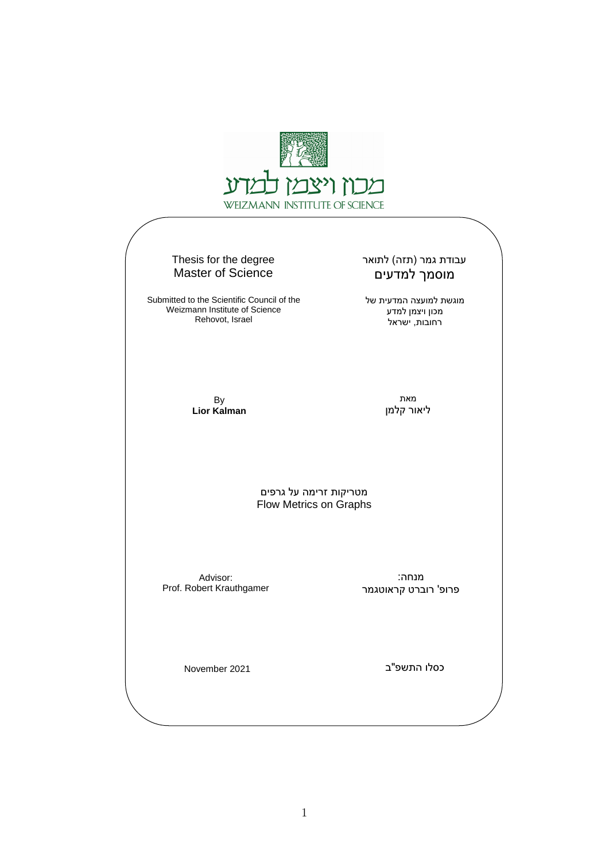

#### Thesis for the degree Master of Science

Submitted to the Scientific Council of the Weizmann Institute of Science Rehovot, Israel

#### עבודת גמר (תזה) לתואר מוסמך למדעים

מוגשת למועצה המדעית של מכון ויצמן למדע רחובות, ישראל

By **Lior Kalman**

מאת ליאור קלמן

מטריקות זרימה על גרפים Flow Metrics on Graphs

Advisor: Prof. Robert Krauthgamer

מנחה: פרופ' רוברט קראוטגמר

November 2021

כסלו התשפ"ב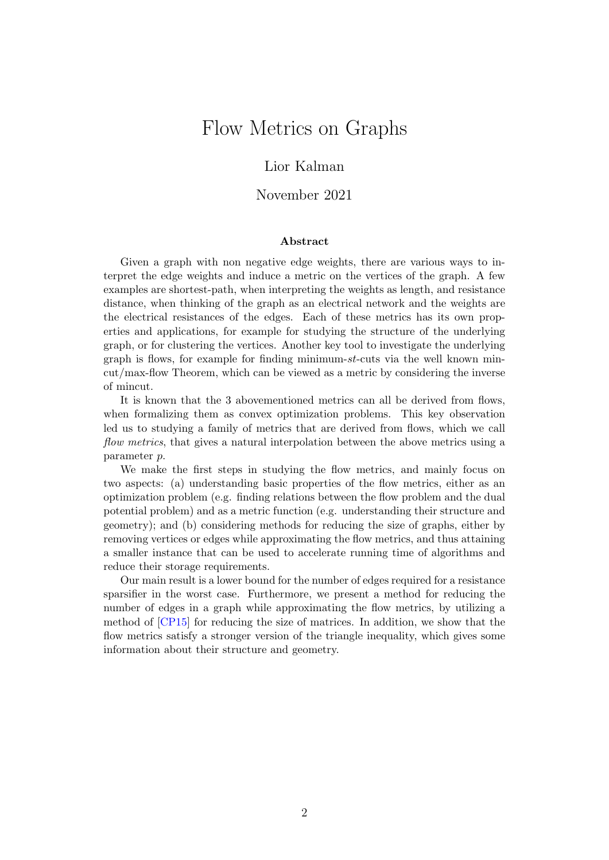## Flow Metrics on Graphs

#### Lior Kalman

#### November 2021

#### Abstract

Given a graph with non negative edge weights, there are various ways to interpret the edge weights and induce a metric on the vertices of the graph. A few examples are shortest-path, when interpreting the weights as length, and resistance distance, when thinking of the graph as an electrical network and the weights are the electrical resistances of the edges. Each of these metrics has its own properties and applications, for example for studying the structure of the underlying graph, or for clustering the vertices. Another key tool to investigate the underlying graph is flows, for example for finding minimum-st-cuts via the well known mincut/max-flow Theorem, which can be viewed as a metric by considering the inverse of mincut.

It is known that the 3 abovementioned metrics can all be derived from flows, when formalizing them as convex optimization problems. This key observation led us to studying a family of metrics that are derived from flows, which we call flow metrics, that gives a natural interpolation between the above metrics using a parameter p.

We make the first steps in studying the flow metrics, and mainly focus on two aspects: (a) understanding basic properties of the flow metrics, either as an optimization problem (e.g. finding relations between the flow problem and the dual potential problem) and as a metric function (e.g. understanding their structure and geometry); and (b) considering methods for reducing the size of graphs, either by removing vertices or edges while approximating the flow metrics, and thus attaining a smaller instance that can be used to accelerate running time of algorithms and reduce their storage requirements.

Our main result is a lower bound for the number of edges required for a resistance sparsifier in the worst case. Furthermore, we present a method for reducing the number of edges in a graph while approximating the flow metrics, by utilizing a method of [\[CP15\]](#page-50-0) for reducing the size of matrices. In addition, we show that the flow metrics satisfy a stronger version of the triangle inequality, which gives some information about their structure and geometry.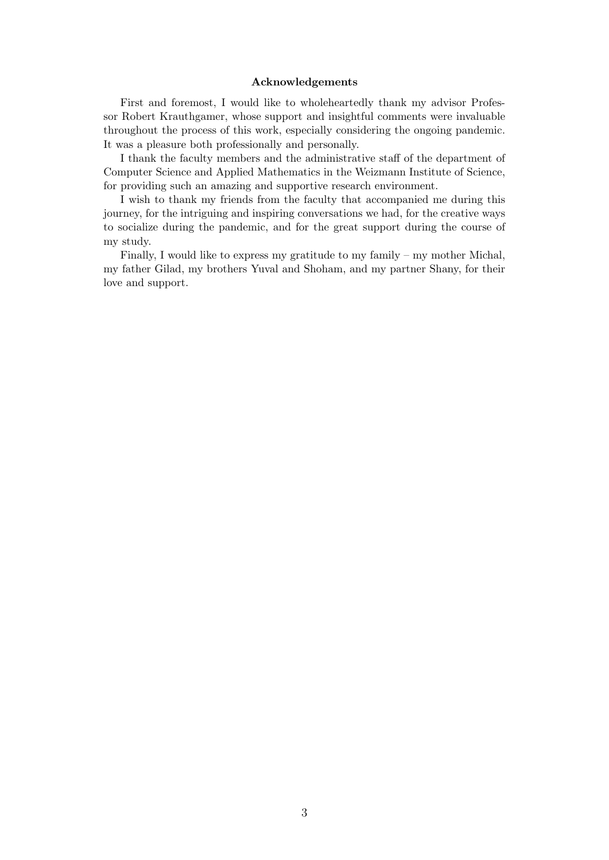#### Acknowledgements

First and foremost, I would like to wholeheartedly thank my advisor Professor Robert Krauthgamer, whose support and insightful comments were invaluable throughout the process of this work, especially considering the ongoing pandemic. It was a pleasure both professionally and personally.

I thank the faculty members and the administrative staff of the department of Computer Science and Applied Mathematics in the Weizmann Institute of Science, for providing such an amazing and supportive research environment.

I wish to thank my friends from the faculty that accompanied me during this journey, for the intriguing and inspiring conversations we had, for the creative ways to socialize during the pandemic, and for the great support during the course of my study.

Finally, I would like to express my gratitude to my family – my mother Michal, my father Gilad, my brothers Yuval and Shoham, and my partner Shany, for their love and support.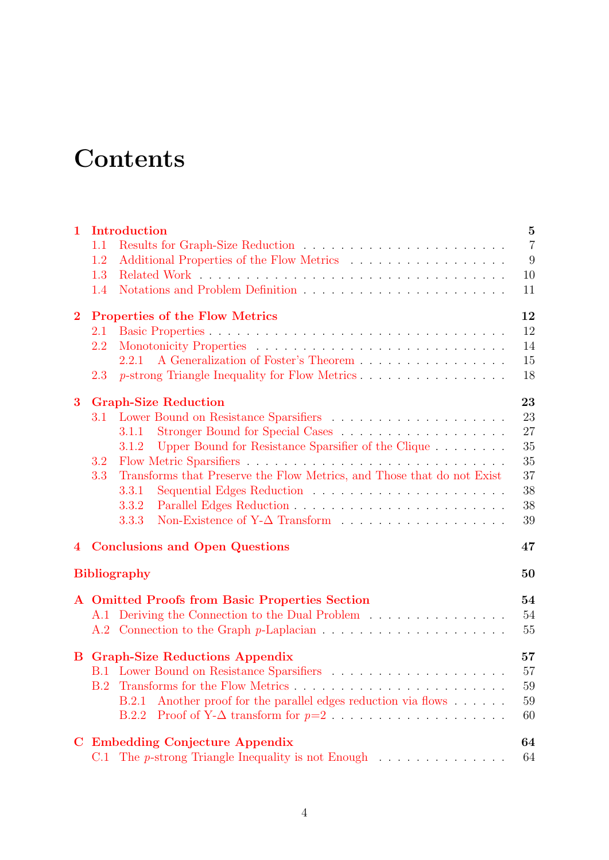# **Contents**

| $\mathbf{1}$   |                                   | Introduction<br>$\bf{5}$                                                         |                |  |
|----------------|-----------------------------------|----------------------------------------------------------------------------------|----------------|--|
|                | 1.1                               |                                                                                  | $\overline{7}$ |  |
|                | 1.2                               |                                                                                  | 9              |  |
|                | 1.3                               |                                                                                  | 10             |  |
|                | 1.4                               |                                                                                  | 11             |  |
| $\overline{2}$ |                                   | <b>Properties of the Flow Metrics</b>                                            | 12             |  |
|                | 2.1                               |                                                                                  | 12             |  |
|                | 2.2                               |                                                                                  | 14             |  |
|                |                                   | A Generalization of Foster's Theorem<br>2.2.1                                    | 15             |  |
|                | 2.3                               | p-strong Triangle Inequality for Flow Metrics                                    | 18             |  |
| 3              | <b>Graph-Size Reduction</b><br>23 |                                                                                  |                |  |
|                | 3.1                               |                                                                                  | 23             |  |
|                |                                   | 3.1.1                                                                            | 27             |  |
|                |                                   | Upper Bound for Resistance Sparsifier of the Clique<br>3.1.2                     | 35             |  |
|                | 3.2                               |                                                                                  | 35             |  |
|                | 3.3                               | Transforms that Preserve the Flow Metrics, and Those that do not Exist           | 37             |  |
|                |                                   | 3.3.1                                                                            | 38             |  |
|                |                                   | 3.3.2                                                                            | 38             |  |
|                |                                   | 3.3.3                                                                            | 39             |  |
| $\overline{4}$ |                                   | <b>Conclusions and Open Questions</b><br>47                                      |                |  |
|                |                                   | <b>Bibliography</b>                                                              | 50             |  |
|                |                                   | A Omitted Proofs from Basic Properties Section                                   | 54             |  |
|                |                                   | A.1 Deriving the Connection to the Dual Problem                                  | 54             |  |
|                |                                   |                                                                                  | 55             |  |
|                |                                   | <b>B</b> Graph-Size Reductions Appendix                                          | 57             |  |
|                |                                   |                                                                                  | 57             |  |
|                | B.2                               |                                                                                  | 59             |  |
|                |                                   | Another proof for the parallel edges reduction via flows<br><b>B.2.1</b>         | 59             |  |
|                |                                   | B.2.2                                                                            | 60             |  |
| $\bf C$        |                                   | <b>Embedding Conjecture Appendix</b>                                             | 64             |  |
|                |                                   | C.1 The p-strong Triangle Inequality is not Enough $\ldots \ldots \ldots \ldots$ | 64             |  |
|                |                                   |                                                                                  |                |  |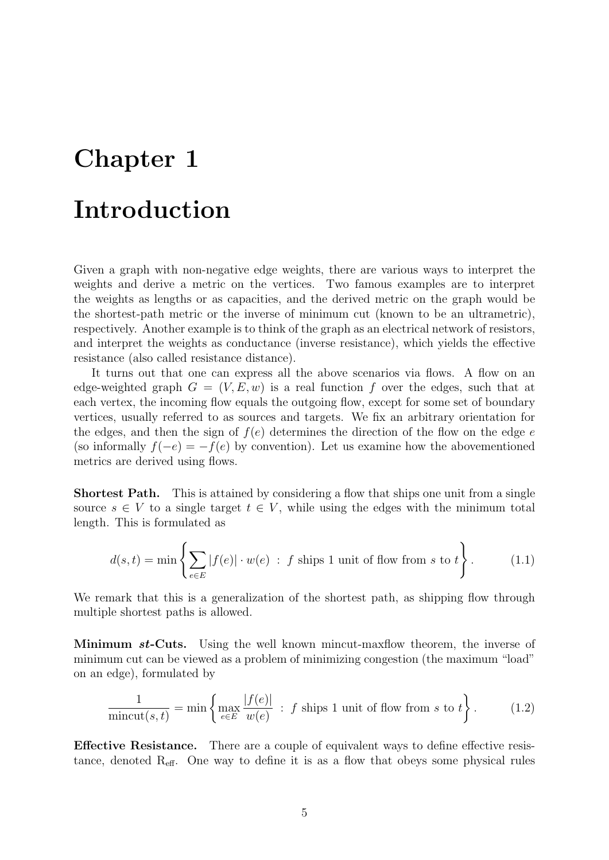# <span id="page-4-0"></span>Chapter 1

# Introduction

Given a graph with non-negative edge weights, there are various ways to interpret the weights and derive a metric on the vertices. Two famous examples are to interpret the weights as lengths or as capacities, and the derived metric on the graph would be the shortest-path metric or the inverse of minimum cut (known to be an ultrametric), respectively. Another example is to think of the graph as an electrical network of resistors, and interpret the weights as conductance (inverse resistance), which yields the effective resistance (also called resistance distance).

It turns out that one can express all the above scenarios via flows. A flow on an edge-weighted graph  $G = (V, E, w)$  is a real function f over the edges, such that at each vertex, the incoming flow equals the outgoing flow, except for some set of boundary vertices, usually referred to as sources and targets. We fix an arbitrary orientation for the edges, and then the sign of  $f(e)$  determines the direction of the flow on the edge e (so informally  $f(-e) = -f(e)$  by convention). Let us examine how the abovementioned metrics are derived using flows.

Shortest Path. This is attained by considering a flow that ships one unit from a single source  $s \in V$  to a single target  $t \in V$ , while using the edges with the minimum total length. This is formulated as

$$
d(s,t) = \min\left\{ \sum_{e \in E} |f(e)| \cdot w(e) : f \text{ ships 1 unit of flow from } s \text{ to } t \right\}. \tag{1.1}
$$

We remark that this is a generalization of the shortest path, as shipping flow through multiple shortest paths is allowed.

**Minimum st-Cuts.** Using the well known mincut-maxflow theorem, the inverse of minimum cut can be viewed as a problem of minimizing congestion (the maximum "load" on an edge), formulated by

$$
\frac{1}{\text{mincut}(s,t)} = \min\left\{\max_{e \in E} \frac{|f(e)|}{w(e)} : f \text{ ships 1 unit of flow from } s \text{ to } t\right\}.
$$
 (1.2)

Effective Resistance. There are a couple of equivalent ways to define effective resistance, denoted  $R_{\text{eff}}$ . One way to define it is as a flow that obeys some physical rules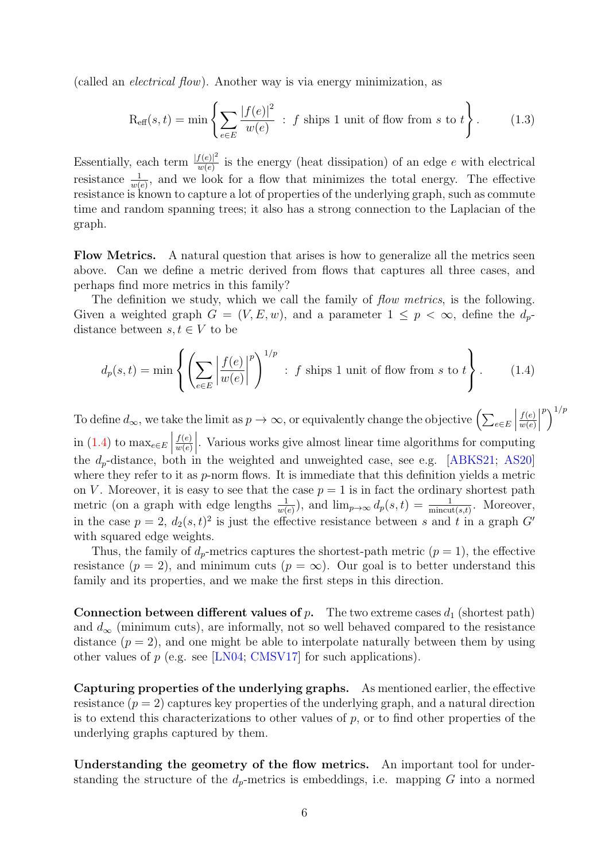(called an electrical flow). Another way is via energy minimization, as

$$
\text{R}_{\text{eff}}(s,t) = \min \left\{ \sum_{e \in E} \frac{|f(e)|^2}{w(e)} \; : \; f \text{ ships 1 unit of flow from } s \text{ to } t \right\}. \tag{1.3}
$$

Essentially, each term  $\frac{|f(e)|^2}{w(e)}$  $\frac{f(e)|^2}{w(e)}$  is the energy (heat dissipation) of an edge e with electrical resistance  $\frac{1}{w(e)}$ , and we look for a flow that minimizes the total energy. The effective resistance is known to capture a lot of properties of the underlying graph, such as commute time and random spanning trees; it also has a strong connection to the Laplacian of the graph.

Flow Metrics. A natural question that arises is how to generalize all the metrics seen above. Can we define a metric derived from flows that captures all three cases, and perhaps find more metrics in this family?

The definition we study, which we call the family of *flow metrics*, is the following. Given a weighted graph  $G = (V, E, w)$ , and a parameter  $1 \leq p < \infty$ , define the  $d_p$ distance between  $s, t \in V$  to be

<span id="page-5-0"></span>
$$
d_p(s,t) = \min\left\{ \left( \sum_{e \in E} \left| \frac{f(e)}{w(e)} \right|^p \right)^{1/p} : f \text{ ships 1 unit of flow from } s \text{ to } t \right\}. \tag{1.4}
$$

To define  $d_{\infty}$ , we take the limit as  $p \to \infty$ , or equivalently change the objective  $\left(\sum_{e \in E} \Big|$  $f(e)$  $w(e)$  $\begin{array}{c} \n\end{array}$  $\binom{p}{1}$ in [\(1.4\)](#page-5-0) to  $\max_{e \in E}$  $f(e)$  $w(e)$  $\left| \cdot \right|$ . Various works give almost linear time algorithms for computing the  $d_p$ -distance, both in the weighted and unweighted case, see e.g. [\[ABKS21;](#page-49-1) [AS20\]](#page-49-2) where they refer to it as p-norm flows. It is immediate that this definition yields a metric on V. Moreover, it is easy to see that the case  $p = 1$  is in fact the ordinary shortest path metric (on a graph with edge lengths  $\frac{1}{w(e)}$ ), and  $\lim_{p\to\infty} d_p(s,t) = \frac{1}{\min_{s,t}}$ . Moreover, in the case  $p = 2$ ,  $d_2(s, t)^2$  is just the effective resistance between s and t in a graph G' with squared edge weights.

Thus, the family of  $d_p$ -metrics captures the shortest-path metric  $(p = 1)$ , the effective resistance ( $p = 2$ ), and minimum cuts ( $p = \infty$ ). Our goal is to better understand this family and its properties, and we make the first steps in this direction.

**Connection between different values of p.** The two extreme cases  $d_1$  (shortest path) and  $d_{\infty}$  (minimum cuts), are informally, not so well behaved compared to the resistance distance  $(p = 2)$ , and one might be able to interpolate naturally between them by using other values of  $p$  (e.g. see [\[LN04;](#page-51-0) [CMSV17\]](#page-50-1) for such applications).

Capturing properties of the underlying graphs. As mentioned earlier, the effective resistance  $(p = 2)$  captures key properties of the underlying graph, and a natural direction is to extend this characterizations to other values of  $p$ , or to find other properties of the underlying graphs captured by them.

Understanding the geometry of the flow metrics. An important tool for understanding the structure of the  $d_p$ -metrics is embeddings, i.e. mapping G into a normed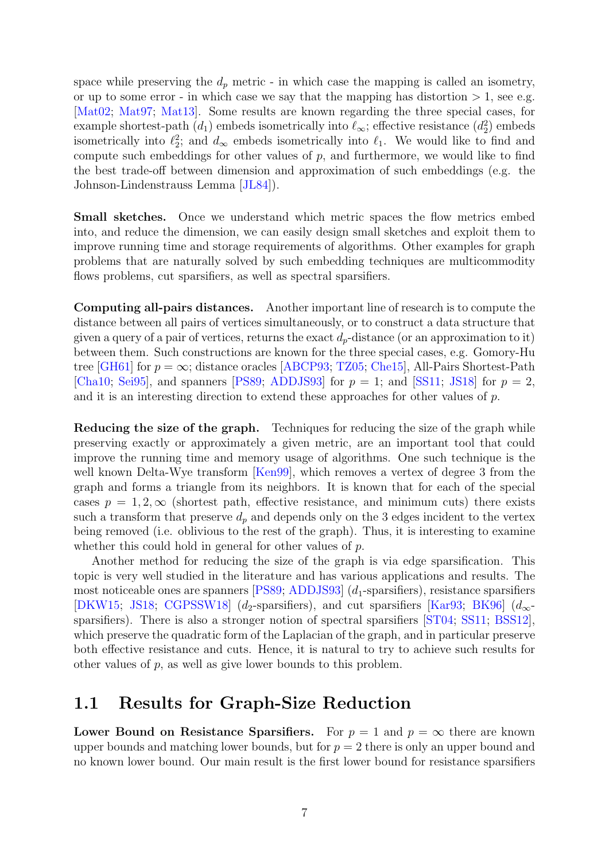space while preserving the  $d_p$  metric - in which case the mapping is called an isometry, or up to some error - in which case we say that the mapping has distortion  $> 1$ , see e.g. [\[Mat02;](#page-51-1) [Mat97;](#page-51-2) [Mat13\]](#page-51-3). Some results are known regarding the three special cases, for example shortest-path  $(d_1)$  embeds isometrically into  $\ell_{\infty}$ ; effective resistance  $(d_2^2)$  embeds isometrically into  $\ell_2^2$ ; and  $d_{\infty}$  embeds isometrically into  $\ell_1$ . We would like to find and compute such embeddings for other values of  $p$ , and furthermore, we would like to find the best trade-off between dimension and approximation of such embeddings (e.g. the Johnson-Lindenstrauss Lemma [\[JL84\]](#page-51-4)).

Small sketches. Once we understand which metric spaces the flow metrics embed into, and reduce the dimension, we can easily design small sketches and exploit them to improve running time and storage requirements of algorithms. Other examples for graph problems that are naturally solved by such embedding techniques are multicommodity flows problems, cut sparsifiers, as well as spectral sparsifiers.

Computing all-pairs distances. Another important line of research is to compute the distance between all pairs of vertices simultaneously, or to construct a data structure that given a query of a pair of vertices, returns the exact  $d_p$ -distance (or an approximation to it) between them. Such constructions are known for the three special cases, e.g. Gomory-Hu tree [\[GH61\]](#page-51-5) for  $p = \infty$ ; distance oracles [\[ABCP93;](#page-49-3) [TZ05;](#page-52-0) [Che15\]](#page-50-2), All-Pairs Shortest-Path [\[Cha10;](#page-50-3) [Sei95\]](#page-52-1), and spanners [\[PS89;](#page-52-2) [ADDJS93\]](#page-49-4) for  $p = 1$ ; and [\[SS11;](#page-52-3) [JS18\]](#page-51-6) for  $p = 2$ , and it is an interesting direction to extend these approaches for other values of p.

Reducing the size of the graph. Techniques for reducing the size of the graph while preserving exactly or approximately a given metric, are an important tool that could improve the running time and memory usage of algorithms. One such technique is the well known Delta-Wye transform [\[Ken99\]](#page-51-7), which removes a vertex of degree 3 from the graph and forms a triangle from its neighbors. It is known that for each of the special cases  $p = 1, 2, \infty$  (shortest path, effective resistance, and minimum cuts) there exists such a transform that preserve  $d_p$  and depends only on the 3 edges incident to the vertex being removed (i.e. oblivious to the rest of the graph). Thus, it is interesting to examine whether this could hold in general for other values of p.

Another method for reducing the size of the graph is via edge sparsification. This topic is very well studied in the literature and has various applications and results. The most noticeable ones are spanners  $[PS89; ADDJS93]$  $[PS89; ADDJS93]$  $[PS89; ADDJS93]$   $(d_1$ -sparsifiers), resistance sparsifiers [\[DKW15;](#page-50-4) [JS18;](#page-51-6) [CGPSSW18\]](#page-50-5) (d<sub>2</sub>-sparsifiers), and cut sparsifiers [\[Kar93;](#page-51-8) [BK96\]](#page-49-5) (d<sub>∞</sub>sparsifiers). There is also a stronger notion of spectral sparsifiers [\[ST04;](#page-52-4) [SS11;](#page-52-3) [BSS12\]](#page-50-6), which preserve the quadratic form of the Laplacian of the graph, and in particular preserve both effective resistance and cuts. Hence, it is natural to try to achieve such results for other values of p, as well as give lower bounds to this problem.

### <span id="page-6-0"></span>1.1 Results for Graph-Size Reduction

Lower Bound on Resistance Sparsifiers. For  $p = 1$  and  $p = \infty$  there are known upper bounds and matching lower bounds, but for  $p = 2$  there is only an upper bound and no known lower bound. Our main result is the first lower bound for resistance sparsifiers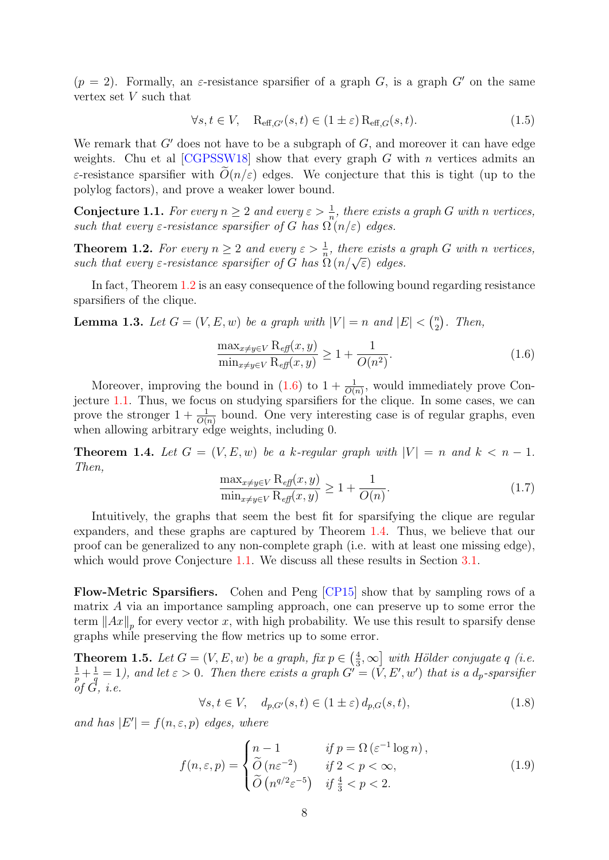$(p = 2)$ . Formally, an *ε*-resistance sparsifier of a graph G, is a graph G' on the same vertex set V such that

$$
\forall s, t \in V, \quad \mathcal{R}_{\text{eff},G'}(s,t) \in (1 \pm \varepsilon) \mathcal{R}_{\text{eff},G}(s,t). \tag{1.5}
$$

We remark that  $G'$  does not have to be a subgraph of  $G$ , and moreover it can have edge weights. Chu et al  $[CGPSSW18]$  show that every graph G with n vertices admits an ε-resistance sparsifier with  $\tilde{O}(n/\varepsilon)$  edges. We conjecture that this is tight (up to the polylog factors), and prove a weaker lower bound.

<span id="page-7-2"></span>**Conjecture 1.1.** For every  $n \geq 2$  and every  $\varepsilon > \frac{1}{n}$ , there exists a graph G with n vertices, such that every  $\varepsilon$ -resistance sparsifier of G has  $\Omega(n/\varepsilon)$  edges.

<span id="page-7-0"></span>**Theorem 1.2.** For every  $n \geq 2$  and every  $\varepsilon > \frac{1}{n}$ , there exists a graph G with n vertices, **Theorem 1.2.** For every  $n \geq 2$  and every  $\varepsilon > \frac{1}{n}$ , there exists a such that every  $\varepsilon$ -resistance sparsifier of G has  $\Omega(n/\sqrt{\varepsilon})$  edges.

In fact, Theorem [1.2](#page-7-0) is an easy consequence of the following bound regarding resistance sparsifiers of the clique.

<span id="page-7-4"></span>**Lemma 1.3.** Let  $G = (V, E, w)$  be a graph with  $|V| = n$  and  $|E| < {n \choose 2}$  $n \choose 2$ . Then,

<span id="page-7-1"></span>
$$
\frac{\max_{x \neq y \in V} \mathcal{R}_{\text{eff}}(x, y)}{\min_{x \neq y \in V} \mathcal{R}_{\text{eff}}(x, y)} \ge 1 + \frac{1}{O(n^2)}.\tag{1.6}
$$

Moreover, improving the bound in  $(1.6)$  to  $1 + \frac{1}{O(n)}$ , would immediately prove Conjecture [1.1.](#page-7-2) Thus, we focus on studying sparsifiers for the clique. In some cases, we can prove the stronger  $1 + \frac{1}{O(n)}$  bound. One very interesting case is of regular graphs, even when allowing arbitrary edge weights, including 0.

<span id="page-7-3"></span>**Theorem 1.4.** Let  $G = (V, E, w)$  be a k-regular graph with  $|V| = n$  and  $k < n - 1$ . Then,

$$
\frac{\max_{x \neq y \in V} R_{\text{eff}}(x, y)}{\min_{x \neq y \in V} R_{\text{eff}}(x, y)} \ge 1 + \frac{1}{O(n)}.\tag{1.7}
$$

Intuitively, the graphs that seem the best fit for sparsifying the clique are regular expanders, and these graphs are captured by Theorem [1.4.](#page-7-3) Thus, we believe that our proof can be generalized to any non-complete graph (i.e. with at least one missing edge), which would prove Conjecture [1.1.](#page-7-2) We discuss all these results in Section [3.1.](#page-22-1)

Flow-Metric Sparsifiers. Cohen and Peng [\[CP15\]](#page-50-0) show that by sampling rows of a matrix A via an importance sampling approach, one can preserve up to some error the term  $||Ax||_p$  for every vector x, with high probability. We use this result to sparsify dense graphs while preserving the flow metrics up to some error.

<span id="page-7-5"></span>**Theorem 1.5.** Let  $G = (V, E, w)$  be a graph, fix  $p \in \left(\frac{4}{3}\right)$  $\frac{4}{3}, \infty$  with Hölder conjugate q (i.e.  $rac{1}{p} + \frac{1}{q}$  $\frac{1}{q} = 1$ ), and let  $\varepsilon > 0$ . Then there exists a graph  $G' = (\tilde{V}, E', w')$  that is a  $d_p$ -sparsifier of  $G, i.e.$ 

$$
\forall s, t \in V, \quad d_{p,G'}(s,t) \in (1 \pm \varepsilon) d_{p,G}(s,t), \tag{1.8}
$$

and has  $|E'| = f(n, \varepsilon, p)$  edges, where

$$
f(n,\varepsilon,p) = \begin{cases} n-1 & \text{if } p = \Omega\left(\varepsilon^{-1}\log n\right), \\ \widetilde{O}\left(n\varepsilon^{-2}\right) & \text{if } 2 < p < \infty, \\ \widetilde{O}\left(n^{q/2}\varepsilon^{-5}\right) & \text{if } \frac{4}{3} < p < 2. \end{cases} \tag{1.9}
$$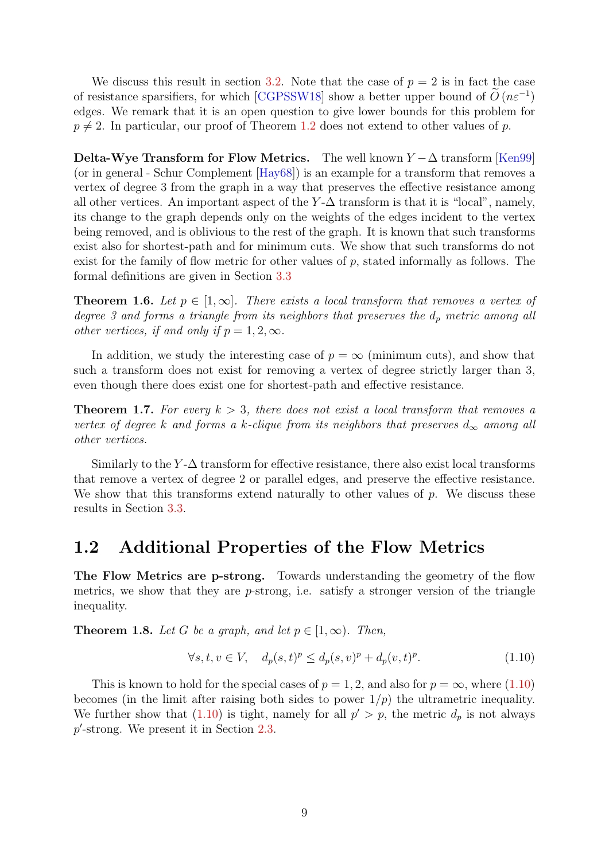We discuss this result in section [3.2.](#page-34-1) Note that the case of  $p = 2$  is in fact the case of resistance sparsifiers, for which [\[CGPSSW18\]](#page-50-5) show a better upper bound of  $\tilde{O}(n\varepsilon^{-1})$ edges. We remark that it is an open question to give lower bounds for this problem for  $p \neq 2$ . In particular, our proof of Theorem [1.2](#page-7-0) does not extend to other values of p.

Delta-Wye Transform for Flow Metrics. The well known  $Y - \Delta$  transform [\[Ken99\]](#page-51-7) (or in general - Schur Complement [\[Hay68\]](#page-51-9)) is an example for a transform that removes a vertex of degree 3 from the graph in a way that preserves the effective resistance among all other vertices. An important aspect of the  $Y$ - $\Delta$  transform is that it is "local", namely, its change to the graph depends only on the weights of the edges incident to the vertex being removed, and is oblivious to the rest of the graph. It is known that such transforms exist also for shortest-path and for minimum cuts. We show that such transforms do not exist for the family of flow metric for other values of p, stated informally as follows. The formal definitions are given in Section [3.3](#page-36-0)

<span id="page-8-3"></span>**Theorem 1.6.** Let  $p \in [1,\infty]$ . There exists a local transform that removes a vertex of degree 3 and forms a triangle from its neighbors that preserves the  $d_p$  metric among all other vertices, if and only if  $p = 1, 2, \infty$ .

In addition, we study the interesting case of  $p = \infty$  (minimum cuts), and show that such a transform does not exist for removing a vertex of degree strictly larger than 3, even though there does exist one for shortest-path and effective resistance.

<span id="page-8-4"></span>**Theorem 1.7.** For every  $k > 3$ , there does not exist a local transform that removes a vertex of degree k and forms a k-clique from its neighbors that preserves  $d_{\infty}$  among all other vertices.

Similarly to the  $Y$ - $\Delta$  transform for effective resistance, there also exist local transforms that remove a vertex of degree 2 or parallel edges, and preserve the effective resistance. We show that this transforms extend naturally to other values of  $p$ . We discuss these results in Section [3.3.](#page-36-0)

### <span id="page-8-0"></span>1.2 Additional Properties of the Flow Metrics

The Flow Metrics are p-strong. Towards understanding the geometry of the flow metrics, we show that they are p-strong, i.e. satisfy a stronger version of the triangle inequality.

<span id="page-8-2"></span>**Theorem 1.8.** Let G be a graph, and let  $p \in [1,\infty)$ . Then,

<span id="page-8-1"></span>
$$
\forall s, t, v \in V, \quad d_p(s, t)^p \le d_p(s, v)^p + d_p(v, t)^p. \tag{1.10}
$$

This is known to hold for the special cases of  $p = 1, 2$ , and also for  $p = \infty$ , where [\(1.10\)](#page-8-1) becomes (in the limit after raising both sides to power  $1/p$ ) the ultrametric inequality. We further show that [\(1.10\)](#page-8-1) is tight, namely for all  $p' > p$ , the metric  $d_p$  is not always  $p'$ -strong. We present it in Section [2.3.](#page-17-0)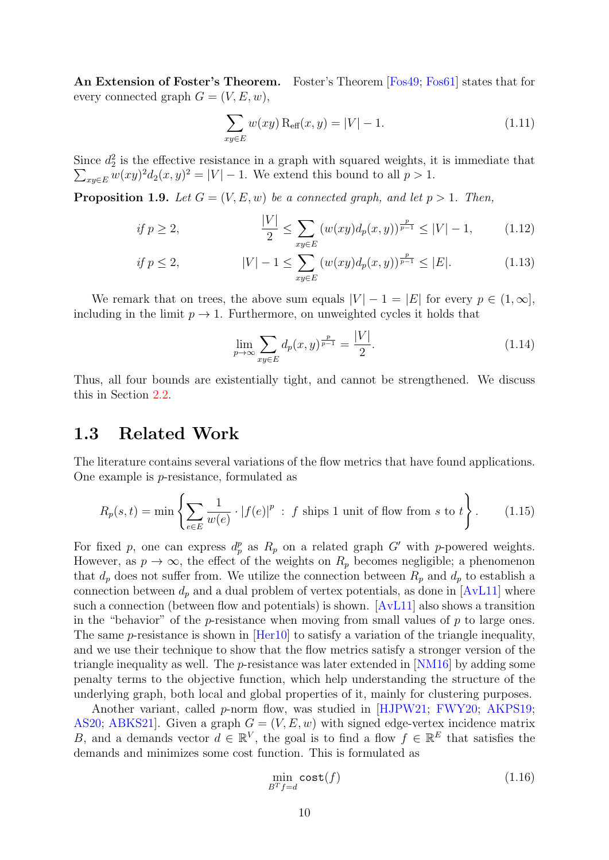An Extension of Foster's Theorem. Foster's Theorem [\[Fos49;](#page-50-7) [Fos61\]](#page-50-8) states that for every connected graph  $G = (V, E, w)$ ,

$$
\sum_{xy \in E} w(xy) \, \text{R}_{\text{eff}}(x, y) = |V| - 1. \tag{1.11}
$$

Since  $d_2^2$  is the effective resistance in a graph with squared weights, it is immediate that  $\sum_{xy\in E} w(xy)^2 d_2(x, y)^2 = |V| - 1$ . We extend this bound to all  $p > 1$ .

<span id="page-9-1"></span>**Proposition 1.9.** Let  $G = (V, E, w)$  be a connected graph, and let  $p > 1$ . Then,

if 
$$
p \ge 2
$$
, 
$$
\frac{|V|}{2} \le \sum_{xy \in E} (w(xy)d_p(x, y))^\frac{p}{p-1} \le |V| - 1,
$$
 (1.12)

if 
$$
p \le 2
$$
,  $|V| - 1 \le \sum_{xy \in E} (w(xy)d_p(x, y))^{\frac{p}{p-1}} \le |E|.$  (1.13)

We remark that on trees, the above sum equals  $|V| - 1 = |E|$  for every  $p \in (1,\infty]$ , including in the limit  $p \to 1$ . Furthermore, on unweighted cycles it holds that

$$
\lim_{p \to \infty} \sum_{xy \in E} d_p(x, y)^{\frac{p}{p-1}} = \frac{|V|}{2}.
$$
\n(1.14)

Thus, all four bounds are existentially tight, and cannot be strengthened. We discuss this in Section [2.2.](#page-13-0)

### <span id="page-9-0"></span>1.3 Related Work

The literature contains several variations of the flow metrics that have found applications. One example is p-resistance, formulated as

$$
R_p(s,t) = \min\left\{\sum_{e \in E} \frac{1}{w(e)} \cdot |f(e)|^p : f \text{ ships 1 unit of flow from } s \text{ to } t\right\}.
$$
 (1.15)

For fixed p, one can express  $d_p^p$  as  $R_p$  on a related graph G' with p-powered weights. However, as  $p \to \infty$ , the effect of the weights on  $R_p$  becomes negligible; a phenomenon that  $d_p$  does not suffer from. We utilize the connection between  $R_p$  and  $d_p$  to establish a connection between  $d_p$  and a dual problem of vertex potentials, as done in [\[AvL11\]](#page-49-6) where such a connection (between flow and potentials) is shown. [\[AvL11\]](#page-49-6) also shows a transition in the "behavior" of the p-resistance when moving from small values of  $p$  to large ones. The same p-resistance is shown in  $[Her10]$  to satisfy a variation of the triangle inequality, and we use their technique to show that the flow metrics satisfy a stronger version of the triangle inequality as well. The  $p$ -resistance was later extended in [\[NM16\]](#page-51-11) by adding some penalty terms to the objective function, which help understanding the structure of the underlying graph, both local and global properties of it, mainly for clustering purposes.

Another variant, called p-norm flow, was studied in [\[HJPW21;](#page-51-12) [FWY20;](#page-51-13) [AKPS19;](#page-49-7) [AS20;](#page-49-2) ABKS21. Given a graph  $G = (V, E, w)$  with signed edge-vertex incidence matrix B, and a demands vector  $d \in \mathbb{R}^V$ , the goal is to find a flow  $f \in \mathbb{R}^E$  that satisfies the demands and minimizes some cost function. This is formulated as

$$
\min_{B^T f = d} \text{cost}(f) \tag{1.16}
$$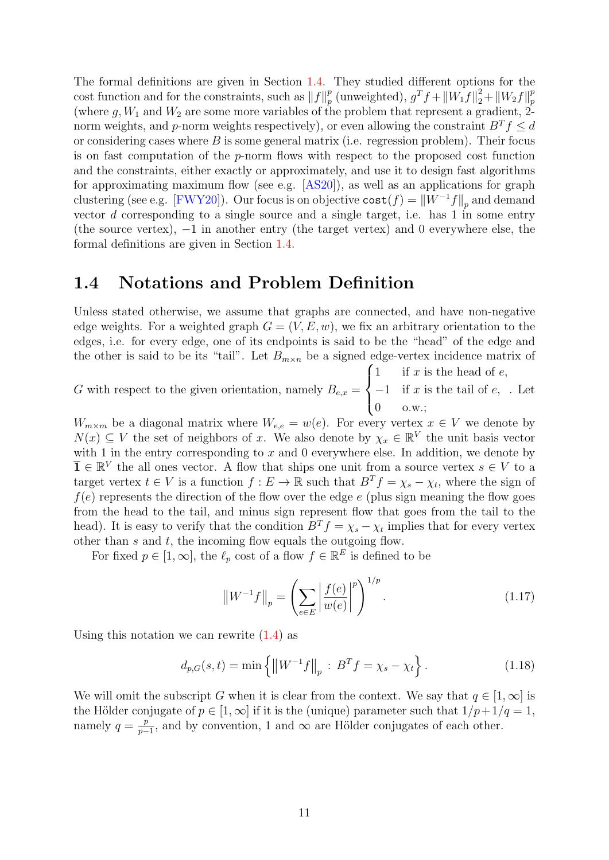The formal definitions are given in Section [1.4.](#page-10-0) They studied different options for the cost function and for the constraints, such as  $||f||_n^p$  $\frac{p}{p}$  (unweighted),  $g^T f + ||W_1 f||_2^2 + ||W_2 f||_p^p$  $\overline{p}$ (where  $g, W_1$  and  $W_2$  are some more variables of the problem that represent a gradient, 2norm weights, and p-norm weights respectively), or even allowing the constraint  $B^T f \leq d$ or considering cases where  $B$  is some general matrix (i.e. regression problem). Their focus is on fast computation of the p-norm flows with respect to the proposed cost function and the constraints, either exactly or approximately, and use it to design fast algorithms for approximating maximum flow (see e.g. [\[AS20\]](#page-49-2)), as well as an applications for graph clustering (see e.g. [\[FWY20\]](#page-51-13)). Our focus is on objective  $\text{cost}(f) = ||W^{-1}f||_p$  and demand vector  $d$  corresponding to a single source and a single target, i.e. has  $1$  in some entry (the source vertex),  $-1$  in another entry (the target vertex) and 0 everywhere else, the formal definitions are given in Section [1.4.](#page-10-0)

### <span id="page-10-0"></span>1.4 Notations and Problem Definition

Unless stated otherwise, we assume that graphs are connected, and have non-negative edge weights. For a weighted graph  $G = (V, E, w)$ , we fix an arbitrary orientation to the edges, i.e. for every edge, one of its endpoints is said to be the "head" of the edge and the other is said to be its "tail". Let  $B_{m \times n}$  be a signed edge-vertex incidence matrix of

G with respect to the given orientation, namely  $B_{e,x} =$  $\sqrt{ }$  $\int$  $\overline{\mathcal{L}}$ 1 if  $x$  is the head of  $e$ ,  $-1$  if x is the tail of e, 0 o.w.; . Let

 $W_{m\times m}$  be a diagonal matrix where  $W_{e,e} = w(e)$ . For every vertex  $x \in V$  we denote by  $N(x) \subseteq V$  the set of neighbors of x. We also denote by  $\chi_x \in \mathbb{R}^V$  the unit basis vector with 1 in the entry corresponding to  $x$  and 0 everywhere else. In addition, we denote by  $\overline{\mathbf{1}} \in \mathbb{R}^V$  the all ones vector. A flow that ships one unit from a source vertex  $s \in V$  to a target vertex  $t \in V$  is a function  $f: E \to \mathbb{R}$  such that  $B^T f = \chi_s - \chi_t$ , where the sign of  $f(e)$  represents the direction of the flow over the edge e (plus sign meaning the flow goes from the head to the tail, and minus sign represent flow that goes from the tail to the head). It is easy to verify that the condition  $B^T f = \chi_s - \chi_t$  implies that for every vertex other than  $s$  and  $t$ , the incoming flow equals the outgoing flow.

For fixed  $p \in [1, \infty]$ , the  $\ell_p$  cost of a flow  $f \in \mathbb{R}^E$  is defined to be

<span id="page-10-1"></span>
$$
\left\|W^{-1}f\right\|_{p} = \left(\sum_{e \in E} \left|\frac{f(e)}{w(e)}\right|^{p}\right)^{1/p}.
$$
 (1.17)

Using this notation we can rewrite  $(1.4)$  as

$$
d_{p,G}(s,t) = \min\left\{ \|W^{-1}f\|_p : B^T f = \chi_s - \chi_t \right\}.
$$
 (1.18)

We will omit the subscript G when it is clear from the context. We say that  $q \in [1,\infty]$  is the Hölder conjugate of  $p \in [1,\infty]$  if it is the (unique) parameter such that  $1/p+1/q=1$ , namely  $q = \frac{p}{n}$  $\frac{p}{p-1}$ , and by convention, 1 and  $\infty$  are Hölder conjugates of each other.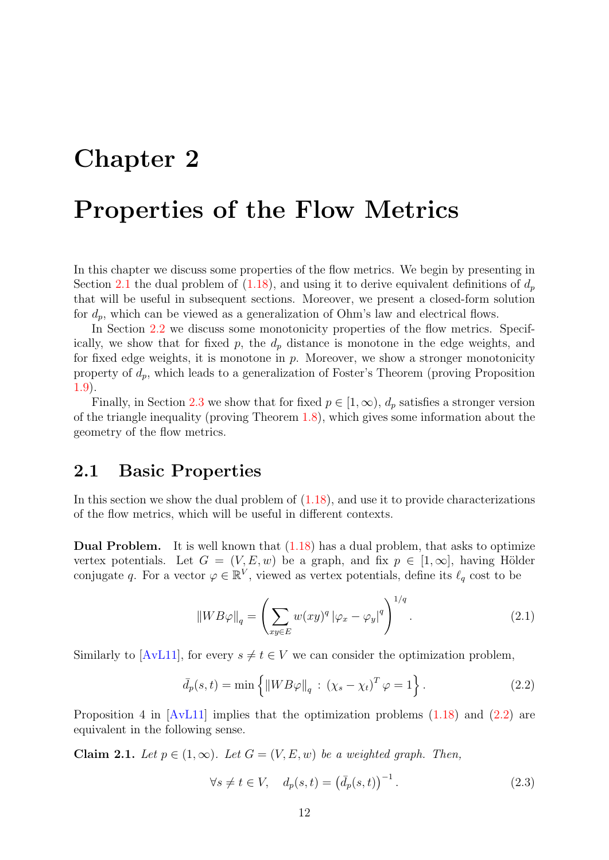# <span id="page-11-0"></span>Chapter 2

# Properties of the Flow Metrics

In this chapter we discuss some properties of the flow metrics. We begin by presenting in Section [2.1](#page-11-1) the dual problem of [\(1.18\)](#page-10-1), and using it to derive equivalent definitions of  $d_p$ that will be useful in subsequent sections. Moreover, we present a closed-form solution for  $d_p$ , which can be viewed as a generalization of Ohm's law and electrical flows.

In Section [2.2](#page-13-0) we discuss some monotonicity properties of the flow metrics. Specifically, we show that for fixed  $p$ , the  $d_p$  distance is monotone in the edge weights, and for fixed edge weights, it is monotone in  $p$ . Moreover, we show a stronger monotonicity property of  $d_p$ , which leads to a generalization of Foster's Theorem (proving Proposition [1.9\)](#page-9-1).

Finally, in Section [2.3](#page-17-0) we show that for fixed  $p \in [1,\infty)$ ,  $d_p$  satisfies a stronger version of the triangle inequality (proving Theorem [1.8\)](#page-8-2), which gives some information about the geometry of the flow metrics.

### <span id="page-11-1"></span>2.1 Basic Properties

In this section we show the dual problem of  $(1.18)$ , and use it to provide characterizations of the flow metrics, which will be useful in different contexts.

Dual Problem. It is well known that [\(1.18\)](#page-10-1) has a dual problem, that asks to optimize vertex potentials. Let  $G = (V, E, w)$  be a graph, and fix  $p \in [1, \infty]$ , having Hölder conjugate q. For a vector  $\varphi \in \mathbb{R}^V$ , viewed as vertex potentials, define its  $\ell_q$  cost to be

<span id="page-11-2"></span>
$$
||WB\varphi||_q = \left(\sum_{xy \in E} w(xy)^q |\varphi_x - \varphi_y|^q\right)^{1/q}.
$$
 (2.1)

Similarly to [\[AvL11\]](#page-49-6), for every  $s \neq t \in V$  we can consider the optimization problem,

$$
\bar{d}_p(s,t) = \min\left\{ \left\| W B \varphi \right\|_q : \left( \chi_s - \chi_t \right)^T \varphi = 1 \right\}. \tag{2.2}
$$

Proposition 4 in  $[AvL11]$  implies that the optimization problems  $(1.18)$  and  $(2.2)$  are equivalent in the following sense.

<span id="page-11-3"></span>Claim 2.1. Let  $p \in (1,\infty)$ . Let  $G = (V, E, w)$  be a weighted graph. Then,

$$
\forall s \neq t \in V, \quad d_p(s, t) = \left(\bar{d}_p(s, t)\right)^{-1}.
$$
\n(2.3)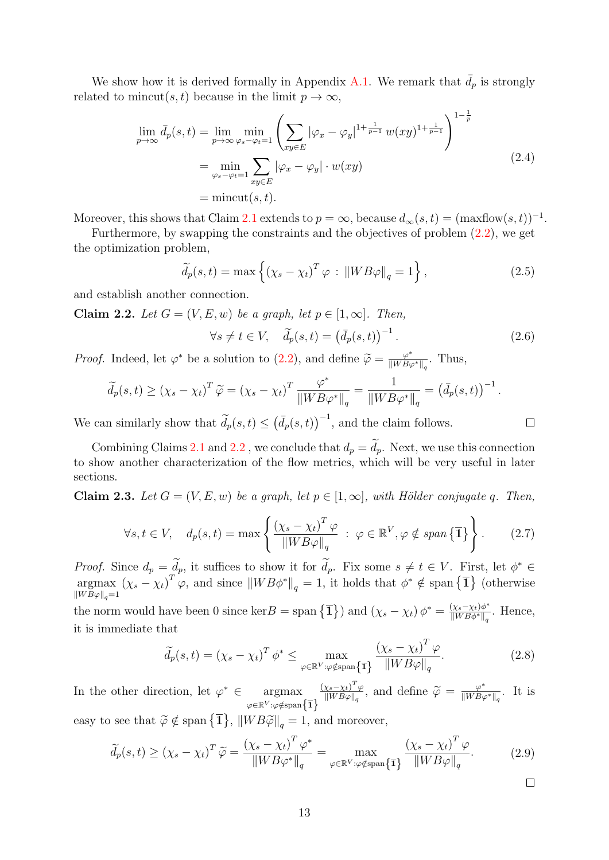We show how it is derived formally in Appendix [A.1.](#page-53-1) We remark that  $d_p$  is strongly related to mincut(s, t) because in the limit  $p \to \infty$ ,

$$
\lim_{p \to \infty} \bar{d}_p(s, t) = \lim_{p \to \infty} \min_{\varphi_s - \varphi_t = 1} \left( \sum_{xy \in E} |\varphi_x - \varphi_y|^{1 + \frac{1}{p-1}} w(xy)^{1 + \frac{1}{p-1}} \right)^{1 - \frac{1}{p}}
$$
\n
$$
= \min_{\varphi_s - \varphi_t = 1} \sum_{xy \in E} |\varphi_x - \varphi_y| \cdot w(xy)
$$
\n
$$
= \text{mincut}(s, t). \tag{2.4}
$$

Moreover, this shows that Claim [2.1](#page-11-3) extends to  $p = \infty$ , because  $d_{\infty}(s, t) = (\text{maxflow}(s, t))^{-1}$ .

Furthermore, by swapping the constraints and the objectives of problem [\(2.2\)](#page-11-2), we get the optimization problem,

$$
\widetilde{d}_p(s,t) = \max\left\{ \left( \chi_s - \chi_t \right)^T \varphi \, : \, \left\| W B \varphi \right\|_q = 1 \right\},\tag{2.5}
$$

and establish another connection.

<span id="page-12-0"></span>Claim 2.2. Let  $G = (V, E, w)$  be a graph, let  $p \in [1, \infty]$ . Then,

$$
\forall s \neq t \in V, \quad \widetilde{d}_p(s, t) = \left(\overline{d}_p(s, t)\right)^{-1}.
$$
\n(2.6)

*Proof.* Indeed, let  $\varphi^*$  be a solution to [\(2.2\)](#page-11-2), and define  $\widetilde{\varphi} = \frac{\varphi^*}{\|WB_{\varphi}\|}$  $\frac{\varphi^*}{\|WB\varphi^*\|_q}$ . Thus,

$$
\widetilde{d}_p(s,t) \geq (\chi_s - \chi_t)^T \widetilde{\varphi} = (\chi_s - \chi_t)^T \frac{\varphi^*}{\|W B \varphi^*\|_q} = \frac{1}{\|W B \varphi^*\|_q} = \left(\overline{d}_p(s,t)\right)^{-1}.
$$

We can similarly show that  $\tilde{d}_p(s,t) \leq (\bar{d}_p(s,t))^{-1}$ , and the claim follows.

Combining Claims [2.1](#page-11-3) and [2.2](#page-12-0), we conclude that  $d_p = \tilde{d}_p$ . Next, we use this connection to show another characterization of the flow metrics, which will be very useful in later sections.

Claim 2.3. Let  $G = (V, E, w)$  be a graph, let  $p \in [1, \infty]$ , with Hölder conjugate q. Then,

$$
\forall s, t \in V, \quad d_p(s, t) = \max \left\{ \frac{\left(\chi_s - \chi_t\right)^T \varphi}{\|W B \varphi\|_q} \ : \ \varphi \in \mathbb{R}^V, \varphi \notin \text{span}\left\{\overline{1}\right\} \right\}. \tag{2.7}
$$

*Proof.* Since  $d_p = d_p$ , it suffices to show it for  $d_p$ . Fix some  $s \neq t \in V$ . First, let  $\phi$ *Proof.* Since  $d_p = \widetilde{d}_p$ , it suffices to show it for  $\widetilde{d}_p$ . Fix some  $s \neq t \in V$ . First, let  $\phi^* \in$ argmax  $\|WB\varphi\|_q=1$  $(\chi_s - \chi_t)^T \varphi$ , and since  $||WB\phi^*||_q = 1$ , it holds that  $\phi^* \notin \text{span} {\{\overline{\mathbf{1}}\}}$  (otherwise

the norm would have been 0 since ker B = span  $\{\mathbf{\overline{1}}\}\$  and  $(\chi_s - \chi_t) \phi^* = \frac{(\chi_s - \chi_t)\phi^*}{\|W\|_{\mathcal{W}}\|_{\mathcal{W}}\|_{\mathcal{W}}}$  $\frac{(X_s - X_t)\phi}{\|WB\phi^*\|_q}$ . Hence, it is immediate that

$$
\widetilde{d}_p(s,t) = (\chi_s - \chi_t)^T \phi^* \le \max_{\varphi \in \mathbb{R}^V : \varphi \notin \text{span}\{\overline{1}\}} \frac{(\chi_s - \chi_t)^T \varphi}{\|W B \varphi\|_q}.
$$
\n(2.8)

In the other direction, let  $\varphi^* \in \text{argmax}$  $\varphi {\in} \mathbb{R}^V$ : $\varphi {\notin} \operatorname{span}\bigl\{\overline{\mathbf{1}}\bigr\}$  $(\chi_s-\chi_t)^T\varphi$  $\frac{\chi_s - \chi_t)^T \varphi}{\|WB\varphi\|_q}$ , and define  $\widetilde{\varphi} = \frac{\varphi^*}{\|WB\varphi\|_q}$  $\frac{\varphi^*}{\|WB\varphi^*\|_q}$ . It is easy to see that  $\widetilde{\varphi} \notin \text{span} {\{\overline{\mathbf{1}}\}, ||W B \widetilde{\varphi}||}_q = 1$ , and moreover,

$$
\widetilde{d}_p(s,t) \ge (\chi_s - \chi_t)^T \widetilde{\varphi} = \frac{(\chi_s - \chi_t)^T \varphi^*}{\|WB\varphi^*\|_q} = \max_{\varphi \in \mathbb{R}^V : \varphi \notin \text{span}\{\mathbf{\bar{1}}\}} \frac{(\chi_s - \chi_t)^T \varphi}{\|WB\varphi\|_q}.
$$
 (2.9)

 $\Box$ 

 $\Box$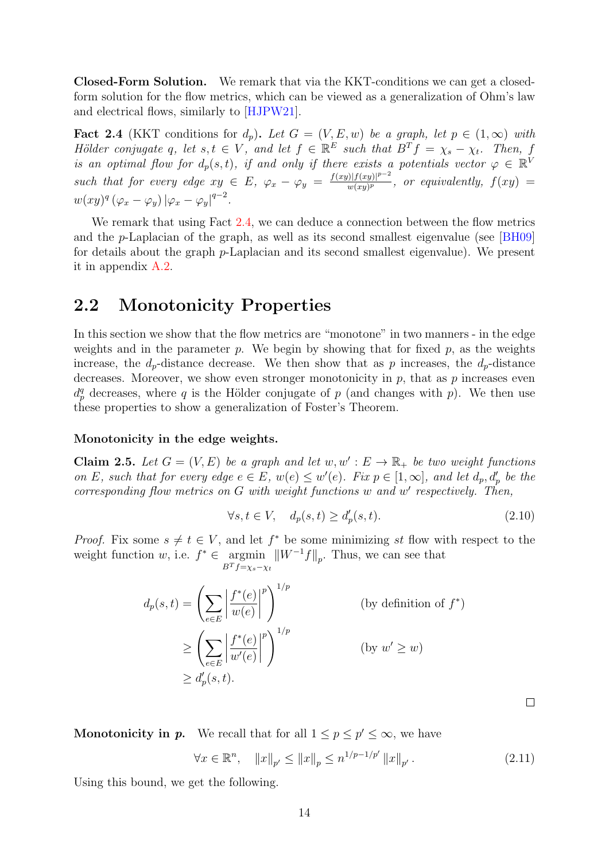Closed-Form Solution. We remark that via the KKT-conditions we can get a closedform solution for the flow metrics, which can be viewed as a generalization of Ohm's law and electrical flows, similarly to [\[HJPW21\]](#page-51-12).

<span id="page-13-1"></span>**Fact 2.4** (KKT conditions for  $d_p$ ). Let  $G = (V, E, w)$  be a graph, let  $p \in (1, \infty)$  with Hölder conjugate q, let  $s, t \in V$ , and let  $f \in \mathbb{R}^E$  such that  $B^T f = \chi_s - \chi_t$ . Then, f is an optimal flow for  $d_p(s,t)$ , if and only if there exists a potentials vector  $\varphi \in \mathbb{R}^{\mathfrak{b}}$ such that for every edge  $xy \in E$ ,  $\varphi_x - \varphi_y = \frac{f(xy)(f(xy))^{p-2}}{w(xy)^p}$  $\frac{f(|f(xy)|^2}{w(xy)^p}$ , or equivalently,  $f(xy) =$  $w(xy)^q (\varphi_x - \varphi_y) |\varphi_x - \varphi_y|^{q-2}.$ 

We remark that using Fact [2.4,](#page-13-1) we can deduce a connection between the flow metrics and the p-Laplacian of the graph, as well as its second smallest eigenvalue (see [\[BH09\]](#page-49-8) for details about the graph p-Laplacian and its second smallest eigenvalue). We present it in appendix [A.2.](#page-54-0)

### <span id="page-13-0"></span>2.2 Monotonicity Properties

In this section we show that the flow metrics are "monotone" in two manners - in the edge weights and in the parameter  $p$ . We begin by showing that for fixed  $p$ , as the weights increase, the  $d_p$ -distance decrease. We then show that as p increases, the  $d_p$ -distance decreases. Moreover, we show even stronger monotonicity in  $p$ , that as  $p$  increases even  $d_p^q$  decreases, where q is the Hölder conjugate of p (and changes with p). We then use these properties to show a generalization of Foster's Theorem.

#### Monotonicity in the edge weights.

**Claim 2.5.** Let  $G = (V, E)$  be a graph and let  $w, w' : E \to \mathbb{R}_+$  be two weight functions on E, such that for every edge  $e \in E$ ,  $w(e) \leq w'(e)$ . Fix  $p \in [1,\infty]$ , and let  $d_p, d'_p$  be the  $corresponding flow metrics on G with weight functions w and w' respectively. Then,$ 

$$
\forall s, t \in V, \quad d_p(s, t) \ge d_p'(s, t). \tag{2.10}
$$

*Proof.* Fix some  $s \neq t \in V$ , and let  $f^*$  be some minimizing st flow with respect to the weight function w, i.e.  $f^* \in \text{argmin}$  $B^T f=\chi_s-\chi_t$  $\|W^{-1}f\|_p$ . Thus, we can see that

$$
d_p(s,t) = \left(\sum_{e \in E} \left| \frac{f^*(e)}{w(e)} \right|^p \right)^{1/p}
$$
 (by definition of  $f^*$ )  

$$
\geq \left(\sum_{e \in E} \left| \frac{f^*(e)}{w'(e)} \right|^p \right)^{1/p}
$$
 (by  $w' \geq w$ )  

$$
\geq d'_p(s,t).
$$

**Monotonicity in p.** We recall that for all  $1 \leq p \leq p' \leq \infty$ , we have

$$
\forall x \in \mathbb{R}^n, \quad \|x\|_{p'} \le \|x\|_p \le n^{1/p - 1/p'} \|x\|_{p'}.
$$
 (2.11)

<span id="page-13-2"></span> $\Box$ 

Using this bound, we get the following.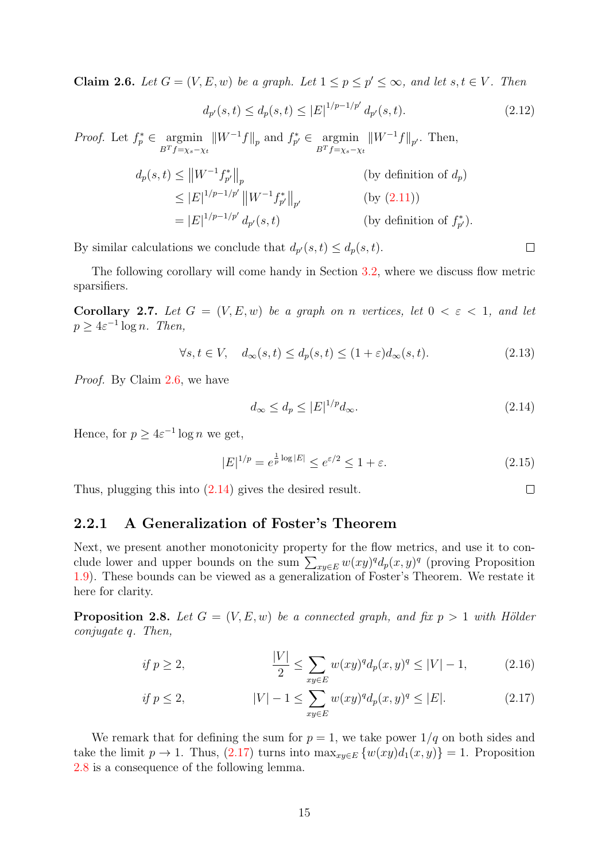<span id="page-14-1"></span>**Claim 2.6.** Let  $G = (V, E, w)$  be a graph. Let  $1 \leq p \leq p' \leq \infty$ , and let  $s, t \in V$ . Then

$$
d_{p'}(s,t) \le d_p(s,t) \le |E|^{1/p-1/p'} d_{p'}(s,t). \tag{2.12}
$$

*Proof.* Let  $f_p^* \in \operatorname{argmin}$  $B^T f=\chi_s-\chi_t$  $\|W^{-1}f\|_p$  and  $f_{p'}^* \in \operatorname{argmin}$  $B^T f=\chi_s-\chi_t$  $\|W^{-1}f\|_{p'}$ . Then,

$$
d_p(s,t) \le ||W^{-1}f_{p'}^*||_p
$$
 (by definition of  $d_p$ )  
\n
$$
\le |E|^{1/p-1/p'}||W^{-1}f_{p'}^*||_p
$$
 (by (2.11))  
\n
$$
= |E|^{1/p-1/p'} d_{p'}(s,t)
$$
 (by definition of  $f_{p'}^*$ ).

By similar calculations we conclude that  $d_{p'}(s,t) \leq d_p(s,t)$ .

The following corollary will come handy in Section [3.2,](#page-34-1) where we discuss flow metric sparsifiers.

<span id="page-14-5"></span>Corollary 2.7. Let  $G = (V, E, w)$  be a graph on n vertices, let  $0 < \varepsilon < 1$ , and let  $p \geq 4\varepsilon^{-1} \log n$ . Then,

$$
\forall s, t \in V, \quad d_{\infty}(s, t) \le d_p(s, t) \le (1 + \varepsilon) d_{\infty}(s, t). \tag{2.13}
$$

Proof. By Claim [2.6,](#page-14-1) we have

<span id="page-14-2"></span>
$$
d_{\infty} \le d_p \le |E|^{1/p} d_{\infty}.\tag{2.14}
$$

Hence, for  $p \geq 4\varepsilon^{-1} \log n$  we get,

$$
|E|^{1/p} = e^{\frac{1}{p}\log|E|} \le e^{\varepsilon/2} \le 1 + \varepsilon. \tag{2.15}
$$

Thus, plugging this into [\(2.14\)](#page-14-2) gives the desired result.

#### <span id="page-14-0"></span>2.2.1 A Generalization of Foster's Theorem

Next, we present another monotonicity property for the flow metrics, and use it to conclude lower and upper bounds on the sum  $\sum_{xy\in E} w(xy)^q d_p(x, y)^q$  (proving Proposition [1.9\)](#page-9-1). These bounds can be viewed as a generalization of Foster's Theorem. We restate it here for clarity.

<span id="page-14-4"></span>**Proposition 2.8.** Let  $G = (V, E, w)$  be a connected graph, and fix  $p > 1$  with Hölder conjugate q. Then,

if 
$$
p \ge 2
$$
, 
$$
\frac{|V|}{2} \le \sum_{xy \in E} w(xy)^q d_p(x, y)^q \le |V| - 1,
$$
 (2.16)

if 
$$
p \le 2
$$
,  $|V| - 1 \le \sum_{xy \in E} w(xy)^q d_p(x, y)^q \le |E|$ . (2.17)

We remark that for defining the sum for  $p = 1$ , we take power  $1/q$  on both sides and take the limit  $p \to 1$ . Thus,  $(2.17)$  turns into  $\max_{x \in E} \{w(xy)d_1(x, y)\} = 1$ . Proposition [2.8](#page-14-4) is a consequence of the following lemma.

 $\Box$ 

<span id="page-14-3"></span> $\Box$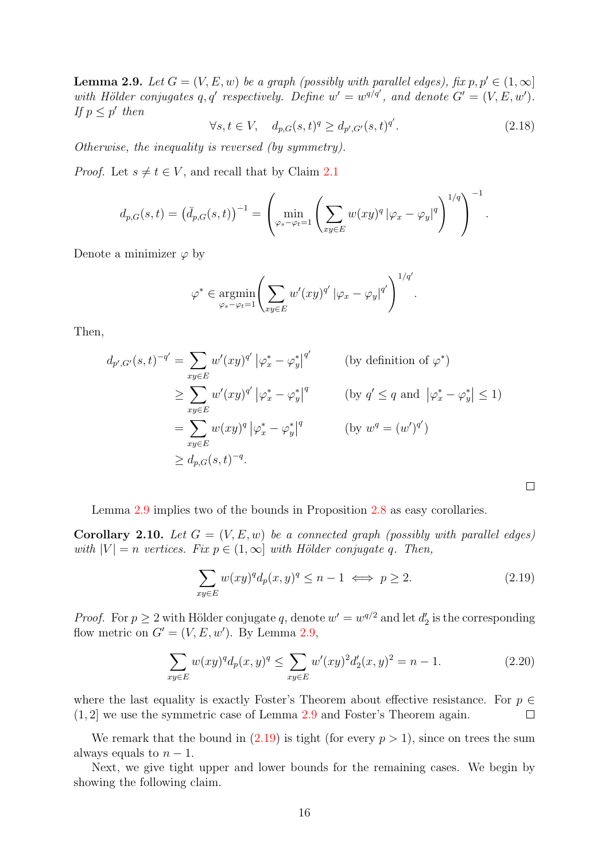<span id="page-15-0"></span>**Lemma 2.9.** Let  $G = (V, E, w)$  be a graph (possibly with parallel edges), fix  $p, p' \in (1, \infty]$ with Hölder conjugates q, q' respectively. Define  $w' = w^{q/q'}$ , and denote  $G' = (V, E, w')$ . If  $p \leq p'$  then

$$
\forall s, t \in V, \quad d_{p,G}(s,t)^q \ge d_{p',G'}(s,t)^{q'}.
$$
\n(2.18)

.

<span id="page-15-1"></span> $\Box$ 

Otherwise, the inequality is reversed (by symmetry).

*Proof.* Let  $s \neq t \in V$ , and recall that by Claim [2.1](#page-11-3)

$$
d_{p,G}(s,t) = (\bar{d}_{p,G}(s,t))^{-1} = \left(\min_{\varphi_s - \varphi_t = 1} \left( \sum_{xy \in E} w(xy)^q |\varphi_x - \varphi_y|^q \right)^{1/q} \right)^{-1}
$$

Denote a minimizer  $\varphi$  by

$$
\varphi^* \in \underset{\varphi_s - \varphi_t = 1}{\operatorname{argmin}} \left( \sum_{xy \in E} w'(xy)^{q'} \left| \varphi_x - \varphi_y \right|^{q'} \right)^{1/q'}.
$$

Then,

$$
d_{p',G'}(s,t)^{-q'} = \sum_{xy \in E} w'(xy)^{q'} |\varphi_x^* - \varphi_y^*|^{q'}
$$
 (by definition of  $\varphi^*$ )  
\n
$$
\geq \sum_{xy \in E} w'(xy)^{q'} |\varphi_x^* - \varphi_y^*|^{q}
$$
 (by  $q' \leq q$  and  $|\varphi_x^* - \varphi_y^*| \leq 1$ )  
\n
$$
= \sum_{xy \in E} w(xy)^{q} |\varphi_x^* - \varphi_y^*|^{q}
$$
 (by  $w^q = (w')^{q'}$ )  
\n
$$
\geq d_{p,G}(s,t)^{-q}.
$$

Lemma [2.9](#page-15-0) implies two of the bounds in Proposition [2.8](#page-14-4) as easy corollaries.

<span id="page-15-2"></span>**Corollary 2.10.** Let  $G = (V, E, w)$  be a connected graph (possibly with parallel edges) with  $|V| = n$  vertices. Fix  $p \in (1,\infty]$  with Hölder conjugate q. Then,

$$
\sum_{xy \in E} w(xy)^q d_p(x, y)^q \le n - 1 \iff p \ge 2. \tag{2.19}
$$

*Proof.* For  $p \ge 2$  with Hölder conjugate q, denote  $w' = w^{q/2}$  and let  $d'_2$  is the corresponding flow metric on  $G' = (V, E, w')$ . By Lemma [2.9,](#page-15-0)

$$
\sum_{xy \in E} w(xy)^q d_p(x, y)^q \le \sum_{xy \in E} w'(xy)^2 d'_2(x, y)^2 = n - 1.
$$
 (2.20)

where the last equality is exactly Foster's Theorem about effective resistance. For  $p \in$ (1, 2] we use the symmetric case of Lemma [2.9](#page-15-0) and Foster's Theorem again.  $\Box$ 

We remark that the bound in  $(2.19)$  is tight (for every  $p > 1$ ), since on trees the sum always equals to  $n-1$ .

Next, we give tight upper and lower bounds for the remaining cases. We begin by showing the following claim.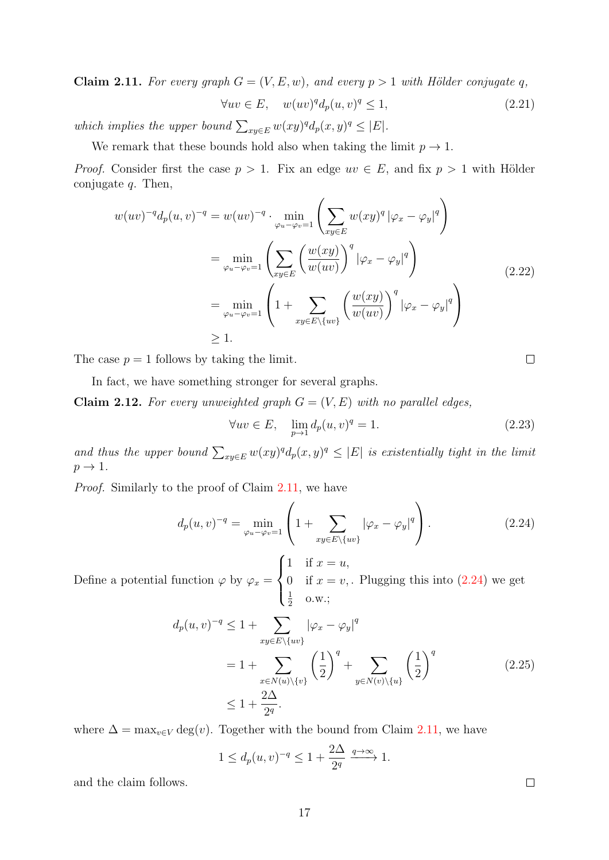<span id="page-16-0"></span>Claim 2.11. For every graph  $G = (V, E, w)$ , and every  $p > 1$  with Hölder conjugate q,

$$
\forall uv \in E, \quad w(uv)^q d_p(u, v)^q \le 1,\tag{2.21}
$$

which implies the upper bound  $\sum_{xy\in E} w(xy)^q d_p(x, y)^q \leq |E|$ .

We remark that these bounds hold also when taking the limit  $p \to 1$ .

*Proof.* Consider first the case  $p > 1$ . Fix an edge  $uv \in E$ , and fix  $p > 1$  with Hölder conjugate  $q$ . Then,

$$
w(uv)^{-q}d_p(u,v)^{-q} = w(uv)^{-q} \cdot \min_{\varphi_u - \varphi_v = 1} \left( \sum_{xy \in E} w(xy)^q |\varphi_x - \varphi_y|^q \right)
$$
  

$$
= \min_{\varphi_u - \varphi_v = 1} \left( \sum_{xy \in E} \left( \frac{w(xy)}{w(uv)} \right)^q |\varphi_x - \varphi_y|^q \right)
$$
  

$$
= \min_{\varphi_u - \varphi_v = 1} \left( 1 + \sum_{xy \in E \setminus \{uv\}} \left( \frac{w(xy)}{w(uv)} \right)^q |\varphi_x - \varphi_y|^q \right)
$$
  

$$
\geq 1.
$$
 (2.22)

The case  $p = 1$  follows by taking the limit.

In fact, we have something stronger for several graphs.

<span id="page-16-2"></span>**Claim 2.12.** For every unweighted graph  $G = (V, E)$  with no parallel edges,

<span id="page-16-1"></span>
$$
\forall uv \in E, \quad \lim_{p \to 1} d_p(u, v)^q = 1. \tag{2.23}
$$

and thus the upper bound  $\sum_{xy\in E} w(xy)^q d_p(x, y)^q \leq |E|$  is existentially tight in the limit  $p \rightarrow 1$ .

Proof. Similarly to the proof of Claim [2.11,](#page-16-0) we have

$$
d_p(u,v)^{-q} = \min_{\varphi_u - \varphi_v = 1} \left( 1 + \sum_{xy \in E \setminus \{uv\}} |\varphi_x - \varphi_y|^q \right). \tag{2.24}
$$

Define a potential function  $\varphi$  by  $\varphi_x =$  $\sqrt{ }$  $\int$  $\overline{\mathcal{L}}$ 1 if  $x = u$ , 0 if  $x = v$ , 1  $\frac{1}{2}$  o.w.; . Plugging this into  $(2.24)$  we get

$$
d_p(u, v)^{-q} \le 1 + \sum_{xy \in E \setminus \{uv\}} |\varphi_x - \varphi_y|^q
$$
  
=  $1 + \sum_{x \in N(u) \setminus \{v\}} \left(\frac{1}{2}\right)^q + \sum_{y \in N(v) \setminus \{u\}} \left(\frac{1}{2}\right)^q$  (2.25)  
 $\le 1 + \frac{2\Delta}{2^q}.$ 

where  $\Delta = \max_{v \in V} \deg(v)$ . Together with the bound from Claim [2.11,](#page-16-0) we have

$$
1 \le d_p(u,v)^{-q} \le 1 + \frac{2\Delta}{2^q} \xrightarrow{q \to \infty} 1.
$$

and the claim follows.

 $\Box$ 

 $\Box$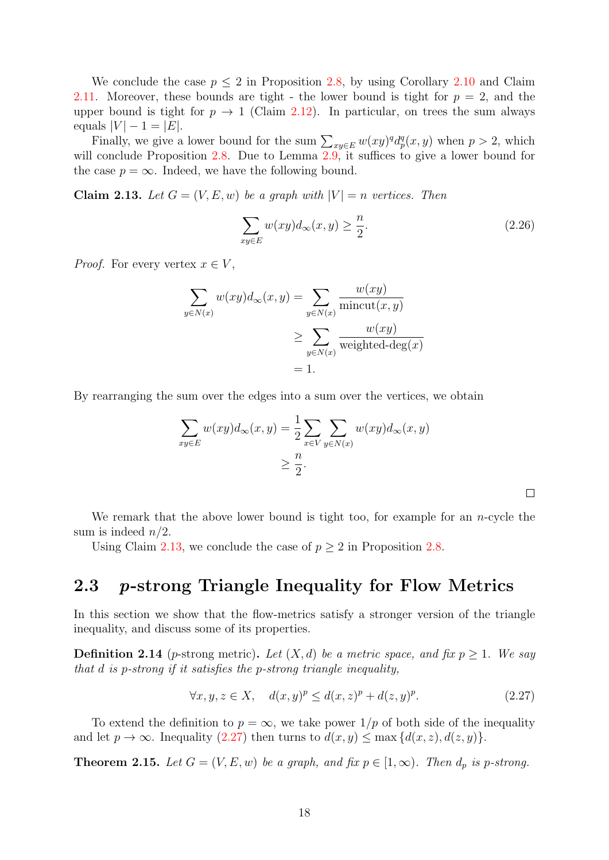We conclude the case  $p \leq 2$  in Proposition [2.8,](#page-14-4) by using Corollary [2.10](#page-15-2) and Claim [2.11.](#page-16-0) Moreover, these bounds are tight - the lower bound is tight for  $p = 2$ , and the upper bound is tight for  $p \to 1$  (Claim [2.12\)](#page-16-2). In particular, on trees the sum always equals  $|V| - 1 = |E|$ .

Finally, we give a lower bound for the sum  $\sum_{xy\in E} w(xy)^q d_p^q(x, y)$  when  $p > 2$ , which will conclude Proposition [2.8.](#page-14-4) Due to Lemma [2.9,](#page-15-0) it suffices to give a lower bound for the case  $p = \infty$ . Indeed, we have the following bound.

<span id="page-17-1"></span>Claim 2.13. Let  $G = (V, E, w)$  be a graph with  $|V| = n$  vertices. Then

$$
\sum_{xy \in E} w(xy)d_{\infty}(x, y) \ge \frac{n}{2}.
$$
\n(2.26)

<span id="page-17-2"></span> $\Box$ 

*Proof.* For every vertex  $x \in V$ ,

$$
\sum_{y \in N(x)} w(xy) d_{\infty}(x, y) = \sum_{y \in N(x)} \frac{w(xy)}{\text{mincut}(x, y)}
$$

$$
\geq \sum_{y \in N(x)} \frac{w(xy)}{\text{weighted-deg}(x)}
$$

$$
= 1.
$$

By rearranging the sum over the edges into a sum over the vertices, we obtain

$$
\sum_{xy \in E} w(xy) d_{\infty}(x, y) = \frac{1}{2} \sum_{x \in V} \sum_{y \in N(x)} w(xy) d_{\infty}(x, y)
$$

$$
\geq \frac{n}{2}.
$$

We remark that the above lower bound is tight too, for example for an  $n$ -cycle the sum is indeed  $n/2$ .

Using Claim [2.13,](#page-17-1) we conclude the case of  $p \geq 2$  in Proposition [2.8.](#page-14-4)

### <span id="page-17-0"></span>2.3 p-strong Triangle Inequality for Flow Metrics

In this section we show that the flow-metrics satisfy a stronger version of the triangle inequality, and discuss some of its properties.

**Definition 2.14** (*p*-strong metric). Let  $(X, d)$  be a metric space, and fix  $p > 1$ . We say that d is p-strong if it satisfies the p-strong triangle inequality,

$$
\forall x, y, z \in X, \quad d(x, y)^p \le d(x, z)^p + d(z, y)^p. \tag{2.27}
$$

To extend the definition to  $p = \infty$ , we take power  $1/p$  of both side of the inequality and let  $p \to \infty$ . Inequality [\(2.27\)](#page-17-2) then turns to  $d(x, y) \le \max\{d(x, z), d(z, y)\}.$ 

<span id="page-17-3"></span>**Theorem 2.15.** Let  $G = (V, E, w)$  be a graph, and fix  $p \in [1, \infty)$ . Then  $d_p$  is p-strong.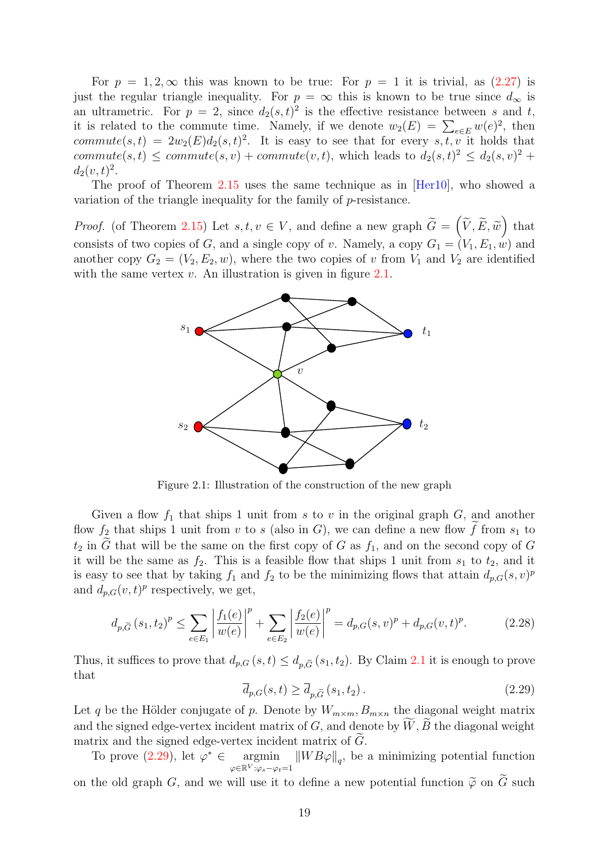For  $p = 1, 2, \infty$  this was known to be true: For  $p = 1$  it is trivial, as [\(2.27\)](#page-17-2) is just the regular triangle inequality. For  $p = \infty$  this is known to be true since  $d_{\infty}$  is an ultrametric. For  $p = 2$ , since  $d_2(s,t)^2$  is the effective resistance between s and t, it is related to the commute time. Namely, if we denote  $w_2(E) = \sum_{e \in E} w(e)^2$ , then commute(s, t) =  $2w_2(E)d_2(s,t)^2$ . It is easy to see that for every s, t, v it holds that  $commute(s,t) \leq commute(s,v) + commute(v,t)$ , which leads to  $d_2(s,t)^2 \leq d_2(s,v)^2 +$  $d_2(v,t)^2$ .

The proof of Theorem [2.15](#page-17-3) uses the same technique as in [\[Her10\]](#page-51-10), who showed a variation of the triangle inequality for the family of p-resistance.

<span id="page-18-0"></span>*Proof.* (of Theorem [2.15\)](#page-17-3) Let  $s, t, v \in V$ , and define a new graph  $\widetilde{G} = (\widetilde{V}, \widetilde{E}, \widetilde{w})$  that consists of two copies of G, and a single copy of v. Namely, a copy  $G_1 = (V_1, E_1, w)$  and another copy  $G_2 = (V_2, E_2, w)$ , where the two copies of v from  $V_1$  and  $V_2$  are identified with the same vertex  $v$ . An illustration is given in figure [2.1.](#page-18-0)



Figure 2.1: Illustration of the construction of the new graph

Given a flow  $f_1$  that ships 1 unit from s to v in the original graph  $G$ , and another flow  $f_2$  that ships 1 unit from v to s (also in G), we can define a new flow f from  $s_1$  to  $t_2$  in G that will be the same on the first copy of G as  $f_1$ , and on the second copy of G it will be the same as  $f_2$ . This is a feasible flow that ships 1 unit from  $s_1$  to  $t_2$ , and it is easy to see that by taking  $f_1$  and  $f_2$  to be the minimizing flows that attain  $d_{p,G}(s, v)^p$ and  $d_{p,G}(v,t)^p$  respectively, we get,

$$
d_{p,\widetilde{G}}(s_1, t_2)^p \le \sum_{e \in E_1} \left| \frac{f_1(e)}{w(e)} \right|^p + \sum_{e \in E_2} \left| \frac{f_2(e)}{w(e)} \right|^p = d_{p,G}(s, v)^p + d_{p,G}(v, t)^p. \tag{2.28}
$$

<span id="page-18-1"></span>Thus, it suffices to prove that  $d_{p,G}(s,t) \leq d_{p,\tilde{G}}(s_1,t_2)$ . By Claim [2.1](#page-11-3) it is enough to prove that

$$
\overline{d}_{p,G}(s,t) \ge \overline{d}_{p,\widetilde{G}}(s_1,t_2). \tag{2.29}
$$

Let q be the Hölder conjugate of p. Denote by  $W_{m \times m}$ ,  $B_{m \times n}$  the diagonal weight matrix and the signed edge-vertex incident matrix of  $G$ , and denote by  $W, B$  the diagonal weight matrix and the signed edge-vertex incident matrix of  $G$ .

To prove  $(2.29)$ , let  $\varphi^* \in$ <sup>∗</sup> ∈ argmin  $\varphi \in \mathbb{R}^V : \varphi_s - \varphi_t = 1$  $\|WB\varphi\|_q$ , be a minimizing potential function on the old graph  $G$ , and we will use it to define a new potential function  $\tilde{\varphi}$  on  $\tilde{G}$  such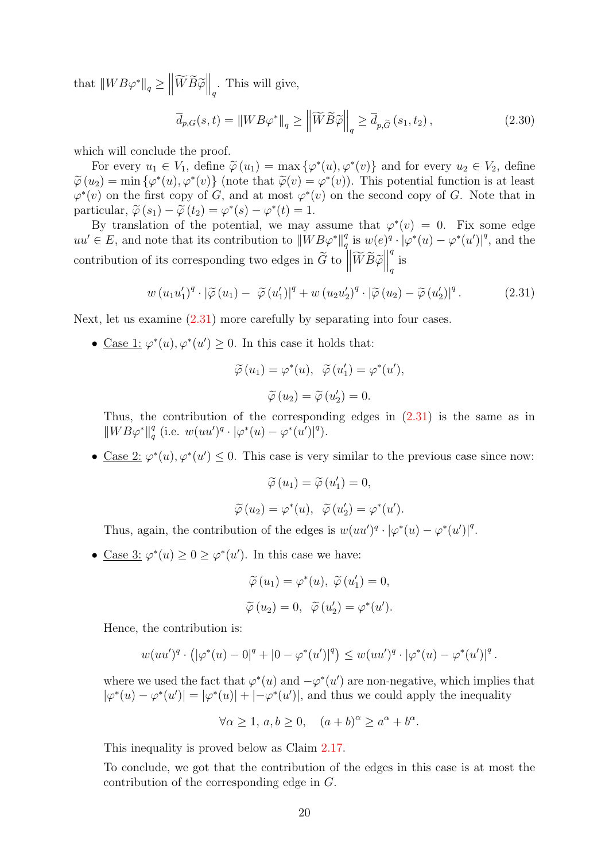that  $||WB\varphi^*||_q \geq \left||\widetilde{W}\widetilde{B}\widetilde{\varphi}\right||_q$ . This will give,

$$
\overline{d}_{p,G}(s,t) = \|WB\varphi^*\|_q \ge \left\|\widetilde{W}\widetilde{B}\widetilde{\varphi}\right\|_q \ge \overline{d}_{p,\widetilde{G}}\left(s_1,t_2\right),\tag{2.30}
$$

which will conclude the proof.

For every  $u_1 \in V_1$ , define  $\widetilde{\varphi}(u_1) = \max \{\varphi^*(u), \varphi^*(v)\}\$  and for every  $u_2 \in V_2$ , define  $\varphi(x) = \min_{\varphi}(L(\varphi^*(u)), \varphi^*(v))$ . This potential function is at loss  $\widetilde{\varphi}(u_2) = \min \{\varphi^*(u), \varphi^*(v)\}$  (note that  $\widetilde{\varphi}(v) = \varphi^*(v)$ ). This potential function is at least  $\varphi^*(v)$  on the first copy of  $C$  and at most  $\varphi^*(v)$  on the second copy of  $C$ . Note that in  $\varphi^*(v)$  on the first copy of G, and at most  $\varphi^*(v)$  on the second copy of G. Note that in particular,  $\widetilde{\varphi}(s_1) - \widetilde{\varphi}(t_2) = \varphi^*(s) - \varphi^*(t) = 1.$ <br>By translation of the potential we may

By translation of the potential, we may assume that  $\varphi^*(v) = 0$ . Fix some edge  $uu' \in E$ , and note that its contribution to  $\|WB\varphi^*\|_a^a$  $_q^q$  is  $w(e)^q \cdot |\varphi^*(u) - \varphi^*(u')|^q$ , and the contribution of its corresponding two edges in  $\widetilde{G}$  to  $\left\| \widetilde{W} \widetilde{B} \widetilde{\varphi} \right\|$ q  $q \text{ is}$ 

$$
w(u_1u'_1)^q \cdot |\widetilde{\varphi}(u_1) - \widetilde{\varphi}(u'_1)|^q + w(u_2u'_2)^q \cdot |\widetilde{\varphi}(u_2) - \widetilde{\varphi}(u'_2)|^q.
$$
 (2.31)

Next, let us examine  $(2.31)$  more carefully by separating into four cases.

• Case 1:  $\varphi^*(u), \varphi^*(u') \geq 0$ . In this case it holds that:

<span id="page-19-0"></span>
$$
\widetilde{\varphi}(u_1) = \varphi^*(u), \ \ \widetilde{\varphi}(u'_1) = \varphi^*(u'),
$$

$$
\widetilde{\varphi}(u_2) = \widetilde{\varphi}(u'_2) = 0.
$$

Thus, the contribution of the corresponding edges in [\(2.31\)](#page-19-0) is the same as in  $\|WB\varphi^*\|_a^q$  $_{q}^{q}$  (i.e.  $w(uu')^{q} \cdot |\varphi^{*}(u) - \varphi^{*}(u')|^{q}$ ).

• Case 2:  $\varphi^*(u), \varphi^*(u') \leq 0$ . This case is very similar to the previous case since now:

$$
\widetilde{\varphi}(u_1) = \widetilde{\varphi}(u'_1) = 0,
$$
  

$$
\widetilde{\varphi}(u_2) = \varphi^*(u), \ \ \widetilde{\varphi}(u'_2) = \varphi^*(u').
$$

Thus, again, the contribution of the edges is  $w(uu')^q \cdot |\varphi^*(u) - \varphi^*(u')|^q$ .

• Case 3:  $\varphi^*(u) \geq 0 \geq \varphi^*(u')$ . In this case we have:

$$
\widetilde{\varphi}(u_1) = \varphi^*(u), \ \widetilde{\varphi}(u'_1) = 0,
$$
  

$$
\widetilde{\varphi}(u_2) = 0, \ \ \widetilde{\varphi}(u'_2) = \varphi^*(u').
$$

Hence, the contribution is:

$$
w(uu')^{q} \cdot (|\varphi^{*}(u) - 0|^{q} + |0 - \varphi^{*}(u')|^{q}) \leq w(uu')^{q} \cdot |\varphi^{*}(u) - \varphi^{*}(u')|^{q}.
$$

where we used the fact that  $\varphi^*(u)$  and  $-\varphi^*(u')$  are non-negative, which implies that  $|\varphi^*(u) - \varphi^*(u')| = |\varphi^*(u)| + |-\varphi^*(u')|$ , and thus we could apply the inequality

$$
\forall \alpha \ge 1, a, b \ge 0, \quad (a+b)^{\alpha} \ge a^{\alpha} + b^{\alpha}.
$$

This inequality is proved below as Claim [2.17.](#page-20-0)

To conclude, we got that the contribution of the edges in this case is at most the contribution of the corresponding edge in G.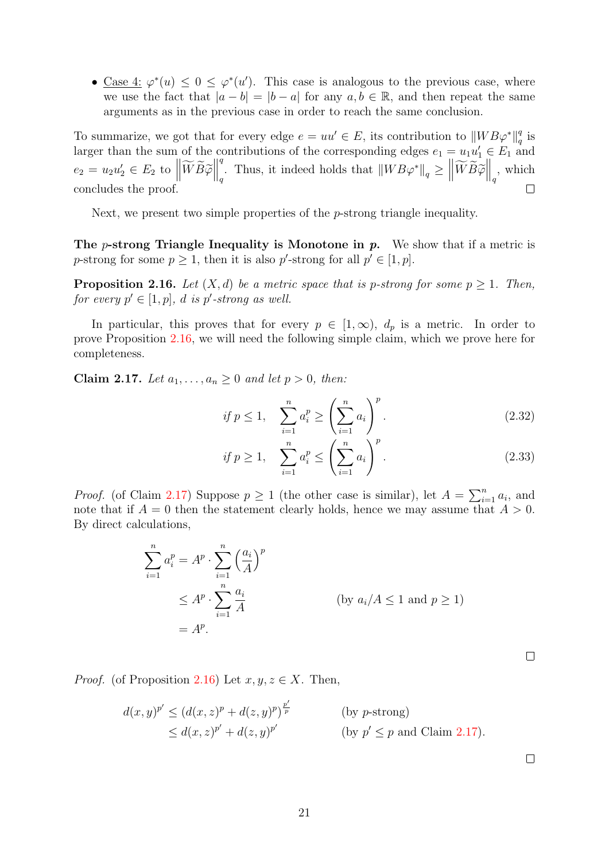• Case 4:  $\varphi^*(u) \leq 0 \leq \varphi^*(u')$ . This case is analogous to the previous case, where we use the fact that  $|a - b| = |b - a|$  for any  $a, b \in \mathbb{R}$ , and then repeat the same arguments as in the previous case in order to reach the same conclusion.

To summarize, we got that for every edge  $e = uu' \in E$ , its contribution to  $\|WB\varphi^*\|_a^a$  $\frac{q}{q}$  is larger than the sum of the contributions of the corresponding edges  $e_1 = u_1 u'_1 \in E_1$  and q  $e_2 = u_2 u_2' \in E_2 \text{ to } \left\| \widetilde{W} \widetilde{B} \widetilde{\varphi} \right\|$ q<sup>q</sup>. Thus, it indeed holds that  $||WB\varphi^*||_q \geq ||\widetilde{W}\widetilde{B}\widetilde{\varphi}||_q$ , which concludes the proof.  $\Box$ 

Next, we present two simple properties of the *p*-strong triangle inequality.

The *p*-strong Triangle Inequality is Monotone in  $p$ . We show that if a metric is p-strong for some  $p \ge 1$ , then it is also p'-strong for all  $p' \in [1, p]$ .

<span id="page-20-1"></span>**Proposition 2.16.** Let  $(X, d)$  be a metric space that is p-strong for some  $p \ge 1$ . Then, for every  $p' \in [1, p]$ , d is p'-strong as well.

In particular, this proves that for every  $p \in [1,\infty)$ ,  $d_p$  is a metric. In order to prove Proposition [2.16,](#page-20-1) we will need the following simple claim, which we prove here for completeness.

<span id="page-20-0"></span>Claim 2.17. Let  $a_1, \ldots, a_n \geq 0$  and let  $p > 0$ , then:

$$
if \ p \le 1, \quad \sum_{i=1}^{n} a_i^p \ge \left(\sum_{i=1}^{n} a_i\right)^p.
$$
 (2.32)

$$
if \ p \ge 1, \quad \sum_{i=1}^{n} a_i^p \le \left(\sum_{i=1}^{n} a_i\right)^p.
$$
 (2.33)

*Proof.* (of Claim [2.17\)](#page-20-0) Suppose  $p \ge 1$  (the other case is similar), let  $A = \sum_{i=1}^{n} a_i$ , and note that if  $A = 0$  then the statement clearly holds, hence we may assume that  $A > 0$ . By direct calculations,

$$
\sum_{i=1}^{n} a_i^p = A^p \cdot \sum_{i=1}^{n} \left(\frac{a_i}{A}\right)^p
$$
  
\n
$$
\leq A^p \cdot \sum_{i=1}^{n} \frac{a_i}{A}
$$
 (by  $a_i/A \leq 1$  and  $p \geq 1$ )  
\n
$$
= A^p.
$$

 $\Box$ 

*Proof.* (of Proposition [2.16\)](#page-20-1) Let  $x, y, z \in X$ . Then,

$$
d(x,y)^{p'} \le (d(x,z)^p + d(z,y)^p)^{\frac{p'}{p}} \qquad \text{(by } p\text{-strong)}
$$
  
 
$$
\le d(x,z)^{p'} + d(z,y)^{p'} \qquad \text{(by } p' \le p \text{ and Claim 2.17)}.
$$

 $\Box$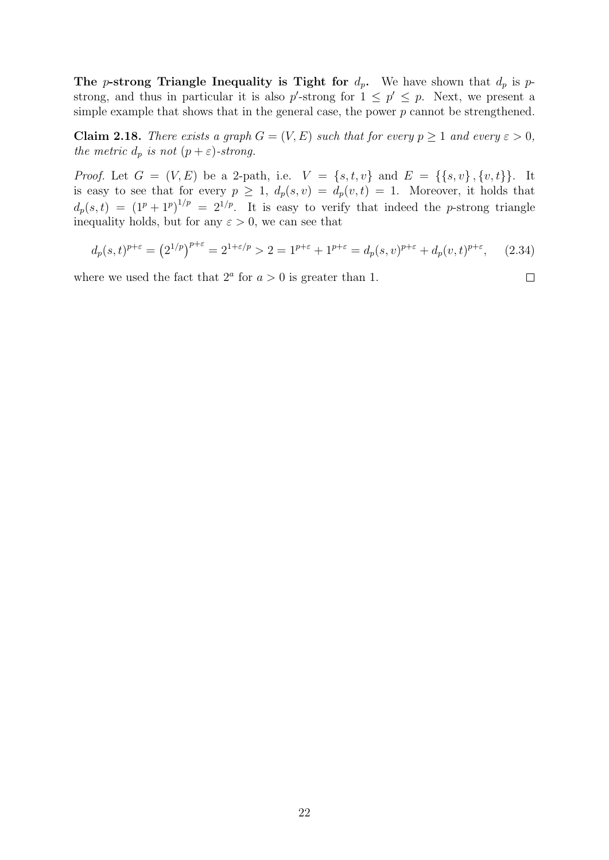The p-strong Triangle Inequality is Tight for  $d_p$ . We have shown that  $d_p$  is pstrong, and thus in particular it is also  $p'$ -strong for  $1 \leq p' \leq p$ . Next, we present a simple example that shows that in the general case, the power  $p$  cannot be strengthened.

Claim 2.18. There exists a graph  $G = (V, E)$  such that for every  $p \ge 1$  and every  $\varepsilon > 0$ , the metric  $d_p$  is not  $(p+\varepsilon)$ -strong.

*Proof.* Let  $G = (V, E)$  be a 2-path, i.e.  $V = \{s, t, v\}$  and  $E = \{\{s, v\}, \{v, t\}\}\$ . It is easy to see that for every  $p \geq 1$ ,  $d_p(s, v) = d_p(v, t) = 1$ . Moreover, it holds that  $d_p(s,t) = (1^p + 1^p)^{1/p} = 2^{1/p}$ . It is easy to verify that indeed the p-strong triangle inequality holds, but for any  $\varepsilon > 0$ , we can see that

$$
d_p(s,t)^{p+\varepsilon} = \left(2^{1/p}\right)^{p+\varepsilon} = 2^{1+\varepsilon/p} > 2 = 1^{p+\varepsilon} + 1^{p+\varepsilon} = d_p(s,v)^{p+\varepsilon} + d_p(v,t)^{p+\varepsilon},\tag{2.34}
$$

 $\Box$ 

where we used the fact that  $2^a$  for  $a > 0$  is greater than 1.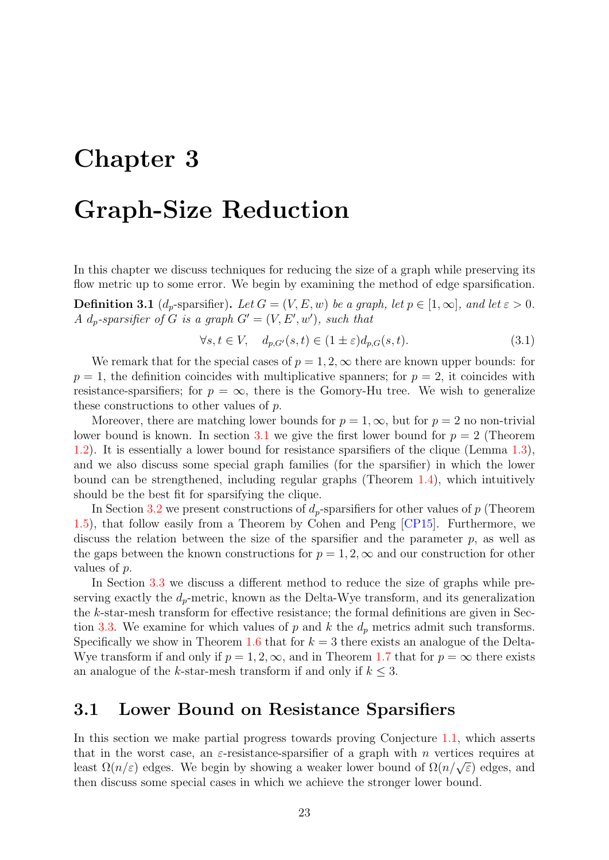# <span id="page-22-0"></span>Chapter 3

# Graph-Size Reduction

In this chapter we discuss techniques for reducing the size of a graph while preserving its flow metric up to some error. We begin by examining the method of edge sparsification.

**Definition 3.1** (d<sub>p</sub>-sparsifier). Let  $G = (V, E, w)$  be a graph, let  $p \in [1, \infty]$ , and let  $\varepsilon > 0$ . A d<sub>p</sub>-sparsifier of G is a graph  $G' = (V, E', w')$ , such that

$$
\forall s, t \in V, \quad d_{p,G'}(s,t) \in (1 \pm \varepsilon) d_{p,G}(s,t). \tag{3.1}
$$

We remark that for the special cases of  $p = 1, 2, \infty$  there are known upper bounds: for  $p = 1$ , the definition coincides with multiplicative spanners; for  $p = 2$ , it coincides with resistance-sparsifiers; for  $p = \infty$ , there is the Gomory-Hu tree. We wish to generalize these constructions to other values of p.

Moreover, there are matching lower bounds for  $p = 1, \infty$ , but for  $p = 2$  no non-trivial lower bound is known. In section [3.1](#page-22-1) we give the first lower bound for  $p = 2$  (Theorem [1.2\)](#page-7-0). It is essentially a lower bound for resistance sparsifiers of the clique (Lemma [1.3\)](#page-7-4), and we also discuss some special graph families (for the sparsifier) in which the lower bound can be strengthened, including regular graphs (Theorem [1.4\)](#page-7-3), which intuitively should be the best fit for sparsifying the clique.

In Section [3.2](#page-34-1) we present constructions of  $d_p$ -sparsifiers for other values of p (Theorem [1.5\)](#page-7-5), that follow easily from a Theorem by Cohen and Peng [\[CP15\]](#page-50-0). Furthermore, we discuss the relation between the size of the sparsifier and the parameter  $p$ , as well as the gaps between the known constructions for  $p = 1, 2, \infty$  and our construction for other values of p.

In Section [3.3](#page-36-0) we discuss a different method to reduce the size of graphs while preserving exactly the  $d_p$ -metric, known as the Delta-Wye transform, and its generalization the k-star-mesh transform for effective resistance; the formal definitions are given in Sec-tion [3.3.](#page-36-0) We examine for which values of p and k the  $d_p$  metrics admit such transforms. Specifically we show in Theorem [1.6](#page-8-3) that for  $k = 3$  there exists an analogue of the Delta-Wye transform if and only if  $p = 1, 2, \infty$ , and in Theorem [1.7](#page-8-4) that for  $p = \infty$  there exists an analogue of the k-star-mesh transform if and only if  $k \leq 3$ .

### <span id="page-22-1"></span>3.1 Lower Bound on Resistance Sparsifiers

In this section we make partial progress towards proving Conjecture [1.1,](#page-7-2) which asserts that in the worst case, an  $\varepsilon$ -resistance-sparsifier of a graph with *n* vertices requires at Least  $\Omega(n/\varepsilon)$  edges. We begin by showing a weaker lower bound of  $\Omega(n/\sqrt{\varepsilon})$  edges, and then discuss some special cases in which we achieve the stronger lower bound.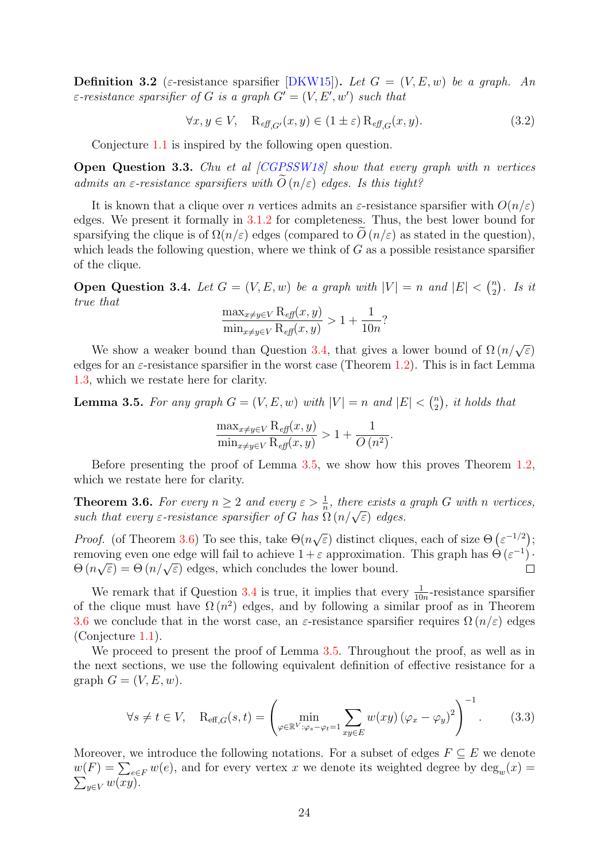**Definition 3.2** (ε-resistance sparsifier [\[DKW15\]](#page-50-4)). Let  $G = (V, E, w)$  be a graph. An  $\varepsilon$ -resistance sparsifier of G is a graph  $G' = (V, E', w')$  such that

$$
\forall x, y \in V, \quad \mathcal{R}_{\text{eff},G'}(x, y) \in (1 \pm \varepsilon) \mathcal{R}_{\text{eff},G}(x, y). \tag{3.2}
$$

Conjecture [1.1](#page-7-2) is inspired by the following open question.

<span id="page-23-3"></span>**Open Question 3.3.** Chu et al  $[CGPSSW18]$  show that every graph with n vertices admits an  $\varepsilon$ -resistance sparsifiers with  $\tilde{O}(n/\varepsilon)$  edges. Is this tight?

It is known that a clique over n vertices admits an  $\varepsilon$ -resistance sparsifier with  $O(n/\varepsilon)$ edges. We present it formally in [3.1.2](#page-34-0) for completeness. Thus, the best lower bound for sparsifying the clique is of  $\Omega(n/\varepsilon)$  edges (compared to  $O(n/\varepsilon)$  as stated in the question), which leads the following question, where we think of  $G$  as a possible resistance sparsifier of the clique.

<span id="page-23-0"></span>**Open Question 3.4.** Let  $G = (V, E, w)$  be a graph with  $|V| = n$  and  $|E| < {n \choose 2}$  $\binom{n}{2}$ . Is it true that

$$
\frac{\max_{x \neq y \in V} \mathcal{R}_{\text{eff}}(x, y)}{\min_{x \neq y \in V} \mathcal{R}_{\text{eff}}(x, y)} > 1 + \frac{1}{10n}?
$$

We show a weaker bound than Question [3.4,](#page-23-0) that gives a lower bound of  $\Omega(n/\sqrt{\epsilon})$ edges for an  $\varepsilon$ -resistance sparsifier in the worst case (Theorem [1.2\)](#page-7-0). This is in fact Lemma [1.3,](#page-7-4) which we restate here for clarity.

<span id="page-23-1"></span>**Lemma 3.5.** For any graph  $G = (V, E, w)$  with  $|V| = n$  and  $|E| < {n \choose 2}$  $\binom{n}{2}$ , it holds that

$$
\frac{\max_{x \neq y \in V} R_{\text{eff}}(x, y)}{\min_{x \neq y \in V} R_{\text{eff}}(x, y)} > 1 + \frac{1}{O(n^2)}.
$$

Before presenting the proof of Lemma [3.5,](#page-23-1) we show how this proves Theorem [1.2,](#page-7-0) which we restate here for clarity.

<span id="page-23-2"></span>**Theorem 3.6.** For every  $n \geq 2$  and every  $\varepsilon > \frac{1}{n}$ , there exists a graph G with n vertices, **Theorem 3.0.** For every  $n \geq 2$  and every  $\varepsilon > \frac{1}{n}$ , there exists a such that every  $\varepsilon$ -resistance sparsifier of G has  $\Omega(n/\sqrt{\varepsilon})$  edges.

*Proof.* (of Theorem [3.6\)](#page-23-2) To see this, take  $\Theta(n)$  $\sqrt{\varepsilon}$ ) distinct cliques, each of size  $\Theta$  ( $\varepsilon^{-1/2}$ ); removing even one edge will fail to achieve  $1 + \varepsilon$  approximation. This graph has  $\Theta(\varepsilon^{-1})$ . Fundamental even one edge will fail to achieve  $1 + \varepsilon$  approximation<br> $\Theta(n\sqrt{\varepsilon}) = \Theta(n/\sqrt{\varepsilon})$  edges, which concludes the lower bound.

We remark that if Question [3.4](#page-23-0) is true, it implies that every  $\frac{1}{10n}$ -resistance sparsifier of the clique must have  $\Omega(n^2)$  edges, and by following a similar proof as in Theorem [3.6](#page-23-2) we conclude that in the worst case, an  $\varepsilon$ -resistance sparsifier requires  $\Omega(n/\varepsilon)$  edges (Conjecture [1.1\)](#page-7-2).

We proceed to present the proof of Lemma [3.5.](#page-23-1) Throughout the proof, as well as in the next sections, we use the following equivalent definition of effective resistance for a graph  $G = (V, E, w)$ .

$$
\forall s \neq t \in V, \quad \mathcal{R}_{\text{eff},G}(s,t) = \left(\min_{\varphi \in \mathbb{R}^V : \varphi_s - \varphi_t = 1} \sum_{xy \in E} w(xy) \left(\varphi_x - \varphi_y\right)^2\right)^{-1}.
$$
 (3.3)

Moreover, we introduce the following notations. For a subset of edges  $F \subseteq E$  we denote  $w(F) = \sum_{e \in F} w(e)$ , and for every vertex x we denote its weighted degree by  $deg_w(x) = \sum_{y \in V} w(xy)$ .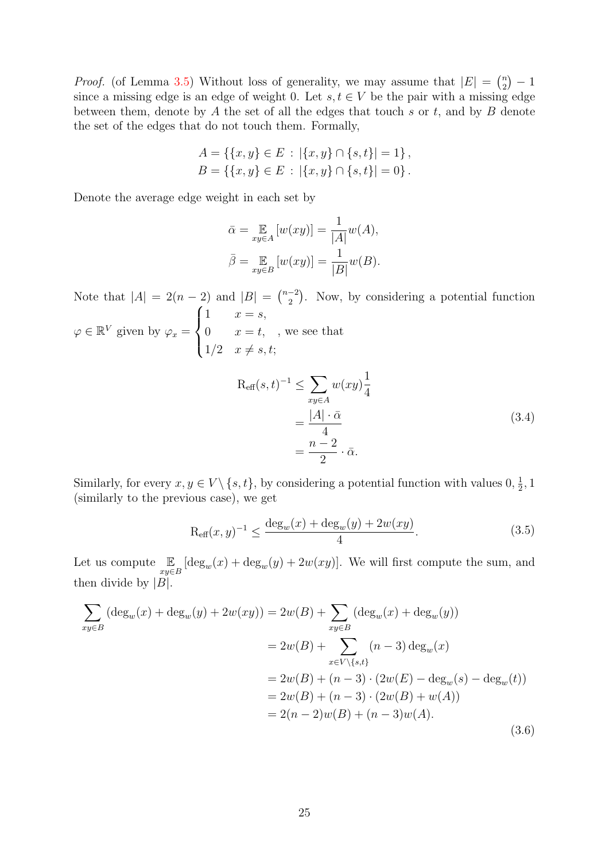*Proof.* (of Lemma [3.5\)](#page-23-1) Without loss of generality, we may assume that  $|E| = \binom{n}{2}$  $\binom{n}{2} - 1$ since a missing edge is an edge of weight 0. Let  $s, t \in V$  be the pair with a missing edge between them, denote by  $A$  the set of all the edges that touch  $s$  or  $t$ , and by  $B$  denote the set of the edges that do not touch them. Formally,

$$
A = \{ \{x, y\} \in E : |\{x, y\} \cap \{s, t\}| = 1 \},
$$
  

$$
B = \{ \{x, y\} \in E : |\{x, y\} \cap \{s, t\}| = 0 \}.
$$

Denote the average edge weight in each set by

$$
\bar{\alpha} = \mathop{\mathbb{E}}_{xy \in A} [w(xy)] = \frac{1}{|A|} w(A),
$$
  

$$
\bar{\beta} = \mathop{\mathbb{E}}_{xy \in B} [w(xy)] = \frac{1}{|B|} w(B).
$$

Note that  $|A| = 2(n-2)$  and  $|B| = \binom{n-2}{2}$  $\binom{-2}{2}$ . Now, by considering a potential function  $\sqrt{ }$  $\int$ 1  $x = s$ ,

$$
\varphi \in \mathbb{R}^V \text{ given by } \varphi_x = \begin{cases} 0 & x = t, \quad, \text{ we see that} \\ 1/2 & x \neq s, t; \end{cases}
$$

<span id="page-24-1"></span>
$$
R_{\text{eff}}(s,t)^{-1} \le \sum_{xy \in A} w(xy)\frac{1}{4}
$$
  
= 
$$
\frac{|A| \cdot \bar{\alpha}}{4}
$$
  
= 
$$
\frac{n-2}{2} \cdot \bar{\alpha}.
$$
 (3.4)

Similarly, for every  $x, y \in V \setminus \{s, t\}$ , by considering a potential function with values  $0, \frac{1}{2}$  $\frac{1}{2}$ , 1 (similarly to the previous case), we get

<span id="page-24-0"></span>
$$
R_{\text{eff}}(x, y)^{-1} \le \frac{\deg_w(x) + \deg_w(y) + 2w(xy)}{4}.
$$
 (3.5)

Let us compute  $\mathbb{E}_{xy \in B} [\deg_w(x) + \deg_w(y) + 2w(xy)].$  We will first compute the sum, and then divide by  $|B|$ .

$$
\sum_{xy \in B} (\deg_w(x) + \deg_w(y) + 2w(xy)) = 2w(B) + \sum_{xy \in B} (\deg_w(x) + \deg_w(y))
$$
  
\n
$$
= 2w(B) + \sum_{x \in V \setminus \{s,t\}} (n-3) \deg_w(x)
$$
  
\n
$$
= 2w(B) + (n-3) \cdot (2w(E) - \deg_w(s) - \deg_w(t))
$$
  
\n
$$
= 2w(B) + (n-3) \cdot (2w(B) + w(A))
$$
  
\n
$$
= 2(n-2)w(B) + (n-3)w(A).
$$
\n(3.6)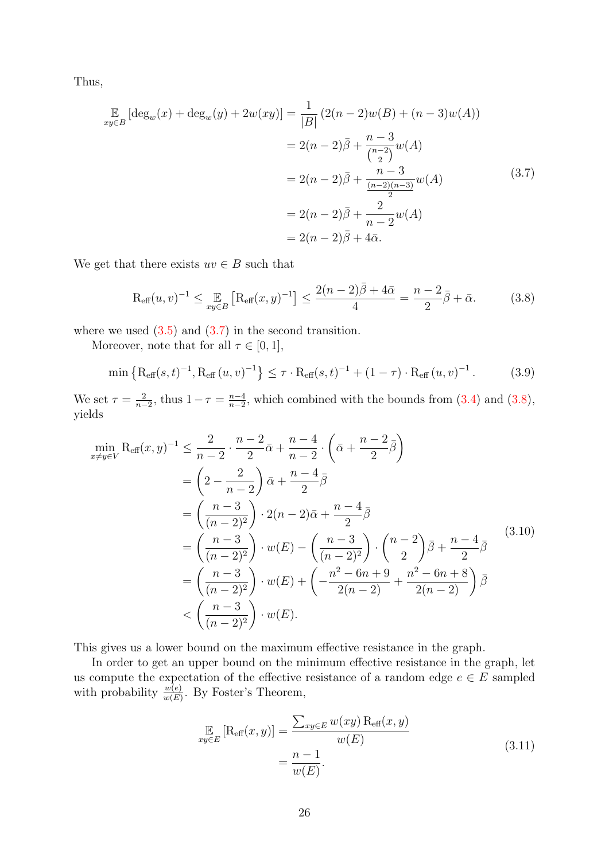Thus,

<span id="page-25-0"></span>
$$
\mathbb{E}_{xy \in B} [\deg_w(x) + \deg_w(y) + 2w(xy)] = \frac{1}{|B|} (2(n-2)w(B) + (n-3)w(A))
$$
  
\n
$$
= 2(n-2)\overline{\beta} + \frac{n-3}{\binom{n-2}{2}}w(A)
$$
  
\n
$$
= 2(n-2)\overline{\beta} + \frac{n-3}{\binom{n-2}{2}}w(A)
$$
  
\n
$$
= 2(n-2)\overline{\beta} + \frac{2}{n-2}w(A)
$$
  
\n
$$
= 2(n-2)\overline{\beta} + 4\overline{\alpha}.
$$
\n(3.7)

We get that there exists  $uv \in B$  such that

<span id="page-25-1"></span>
$$
R_{\text{eff}}(u,v)^{-1} \le \mathbb{E}_{xy \in B} \left[ R_{\text{eff}}(x,y)^{-1} \right] \le \frac{2(n-2)\bar{\beta} + 4\bar{\alpha}}{4} = \frac{n-2}{2}\bar{\beta} + \bar{\alpha}.
$$
 (3.8)

where we used  $(3.5)$  and  $(3.7)$  in the second transition.

Moreover, note that for all  $\tau \in [0, 1]$ ,

$$
\min\left\{R_{\text{eff}}(s,t)^{-1}, R_{\text{eff}}(u,v)^{-1}\right\} \leq \tau \cdot R_{\text{eff}}(s,t)^{-1} + (1-\tau) \cdot R_{\text{eff}}(u,v)^{-1}.
$$
 (3.9)

We set  $\tau = \frac{2}{n}$  $\frac{2}{n-2}$ , thus  $1-\tau = \frac{n-4}{n-2}$  $\frac{n-4}{n-2}$ , which combined with the bounds from  $(3.4)$  and  $(3.8)$ , yields

$$
\min_{x \neq y \in V} \text{Reff}(x, y)^{-1} \leq \frac{2}{n-2} \cdot \frac{n-2}{2} \bar{\alpha} + \frac{n-4}{n-2} \cdot \left(\bar{\alpha} + \frac{n-2}{2} \bar{\beta}\right)
$$
\n
$$
= \left(2 - \frac{2}{n-2}\right) \bar{\alpha} + \frac{n-4}{2} \bar{\beta}
$$
\n
$$
= \left(\frac{n-3}{(n-2)^2}\right) \cdot 2(n-2)\bar{\alpha} + \frac{n-4}{2} \bar{\beta}
$$
\n
$$
= \left(\frac{n-3}{(n-2)^2}\right) \cdot w(E) - \left(\frac{n-3}{(n-2)^2}\right) \cdot \left(\frac{n-2}{2}\right) \bar{\beta} + \frac{n-4}{2} \bar{\beta}
$$
\n
$$
= \left(\frac{n-3}{(n-2)^2}\right) \cdot w(E) + \left(-\frac{n^2 - 6n + 9}{2(n-2)} + \frac{n^2 - 6n + 8}{2(n-2)}\right) \bar{\beta}
$$
\n
$$
< \left(\frac{n-3}{(n-2)^2}\right) \cdot w(E).
$$
\n(4.10)

This gives us a lower bound on the maximum effective resistance in the graph.

In order to get an upper bound on the minimum effective resistance in the graph, let us compute the expectation of the effective resistance of a random edge  $e \in \overrightarrow{E}$  sampled with probability  $\frac{w(e)}{w(E)}$ . By Foster's Theorem,

$$
\mathop{\mathbb{E}}_{xy \in E} \left[ \mathop{\text{Reff}}(x, y) \right] = \frac{\sum_{xy \in E} w(xy) \, \mathop{\text{Reff}}(x, y)}{w(E)} \\
= \frac{n - 1}{w(E)}.
$$
\n(3.11)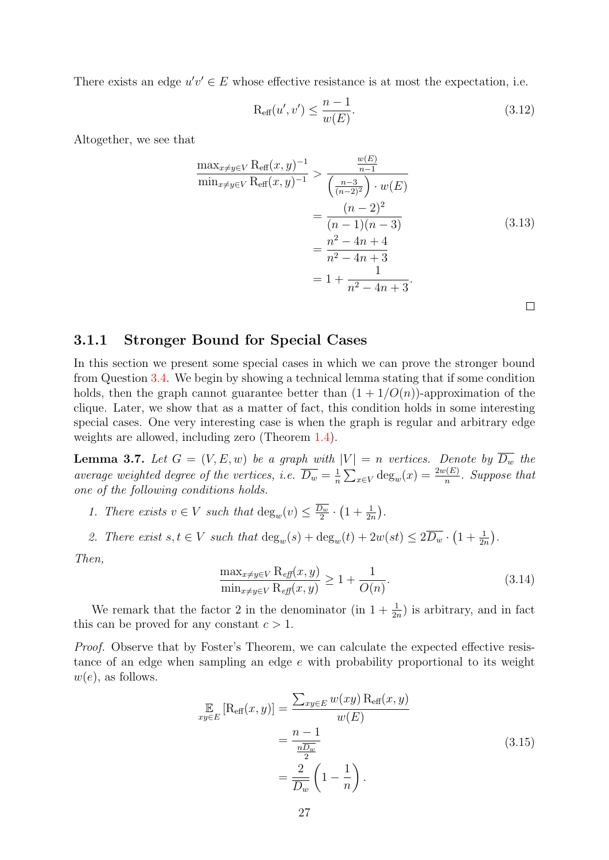There exists an edge  $u'v' \in E$  whose effective resistance is at most the expectation, i.e.

$$
\mathcal{R}_{\text{eff}}(u',v') \le \frac{n-1}{w(E)}.\tag{3.12}
$$

Altogether, we see that

$$
\frac{\max_{x \neq y \in V} \text{R}_{\text{eff}}(x, y)^{-1}}{\min_{x \neq y \in V} \text{R}_{\text{eff}}(x, y)^{-1}} > \frac{\frac{w(E)}{n-1}}{\left(\frac{n-3}{(n-2)^2}\right) \cdot w(E)} \n= \frac{(n-2)^2}{(n-1)(n-3)} \n= \frac{n^2 - 4n + 4}{n^2 - 4n + 3} \n= 1 + \frac{1}{n^2 - 4n + 3}.
$$
\n(3.13)

#### <span id="page-26-0"></span>3.1.1 Stronger Bound for Special Cases

In this section we present some special cases in which we can prove the stronger bound from Question [3.4.](#page-23-0) We begin by showing a technical lemma stating that if some condition holds, then the graph cannot guarantee better than  $(1 + 1/O(n))$ -approximation of the clique. Later, we show that as a matter of fact, this condition holds in some interesting special cases. One very interesting case is when the graph is regular and arbitrary edge weights are allowed, including zero (Theorem [1.4\)](#page-7-3).

<span id="page-26-1"></span>**Lemma 3.7.** Let  $G = (V, E, w)$  be a graph with  $|V| = n$  vertices. Denote by  $D_w$  the average weighted degree of the vertices, i.e.  $\overline{D_w} = \frac{1}{n}$  $\frac{1}{n} \sum_{x \in V} \deg_w(x) = \frac{2w(E)}{n}$ . Suppose that one of the following conditions holds.

1. There exists  $v \in V$  such that  $\deg_w(v) \leq \frac{D_w}{2}$  $\frac{D_w}{2} \cdot \left(1 + \frac{1}{2n}\right)$ .

2. There exist  $s, t \in V$  such that  $\deg_w(s) + \deg_w(t) + 2w(st) \leq 2\overline{D_w} \cdot (1 + \frac{1}{2n}).$ 

Then,

$$
\frac{\max_{x \neq y \in V} \mathcal{R}_{\text{eff}}(x, y)}{\min_{x \neq y \in V} \mathcal{R}_{\text{eff}}(x, y)} \ge 1 + \frac{1}{O(n)}.\tag{3.14}
$$

We remark that the factor 2 in the denominator (in  $1 + \frac{1}{2n}$ ) is arbitrary, and in fact this can be proved for any constant  $c > 1$ .

Proof. Observe that by Foster's Theorem, we can calculate the expected effective resistance of an edge when sampling an edge e with probability proportional to its weight  $w(e)$ , as follows.

$$
\mathbb{E}_{xy \in E} \left[ \mathcal{R}_{\text{eff}}(x, y) \right] = \frac{\sum_{xy \in E} w(xy) \, \mathcal{R}_{\text{eff}}(x, y)}{w(E)} \\
= \frac{n - 1}{\frac{n \overline{D_w}}{2}} \\
= \frac{2}{\overline{D_w}} \left( 1 - \frac{1}{n} \right).
$$
\n(3.15)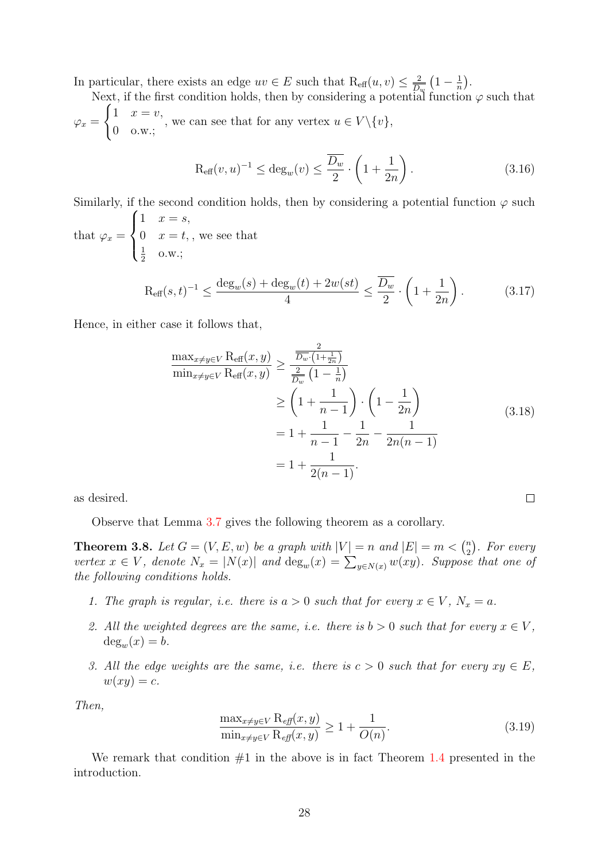In particular, there exists an edge  $uv \in E$  such that  $\text{R}_{\text{eff}}(u, v) \leq \frac{2}{\overline{D}}$  $\frac{2}{\overline{D_w}}\left(1-\frac{1}{n}\right)$  $\frac{1}{n}$ .

Next, if the first condition holds, then by considering a potential function  $\varphi$  such that  $\varphi_x =$  $\int 1 \quad x = v,$ 0 o.w.; , we can see that for any vertex  $u \in V \setminus \{v\},\$ 

$$
\operatorname{R_{eff}}(v, u)^{-1} \le \operatorname{deg}_{w}(v) \le \frac{\overline{D_w}}{2} \cdot \left(1 + \frac{1}{2n}\right). \tag{3.16}
$$

Similarly, if the second condition holds, then by considering a potential function  $\varphi$  such that  $\varphi_x =$  $\sqrt{ }$  $\int$  $\mathcal{L}$  $1 \quad x = s,$ 0  $x = t$ , 1  $\frac{1}{2}$  o.w.; , we see that

$$
\text{R}_{\text{eff}}(s,t)^{-1} \le \frac{\deg_w(s) + \deg_w(t) + 2w(st)}{4} \le \frac{\overline{D_w}}{2} \cdot \left(1 + \frac{1}{2n}\right). \tag{3.17}
$$

Hence, in either case it follows that,

$$
\frac{\max_{x \neq y \in V} \text{Reff}(x, y)}{\min_{x \neq y \in V} \text{Reff}(x, y)} \ge \frac{\frac{2}{\overline{D_w} \cdot (1 + \frac{1}{2n})}}{\frac{2}{\overline{D_w}} \left(1 - \frac{1}{n}\right)} \n\ge \left(1 + \frac{1}{n - 1}\right) \cdot \left(1 - \frac{1}{2n}\right) \n= 1 + \frac{1}{n - 1} - \frac{1}{2n} - \frac{1}{2n(n - 1)} \n= 1 + \frac{1}{2(n - 1)}.
$$
\n(3.18)

 $\Box$ 

as desired.

Observe that Lemma [3.7](#page-26-1) gives the following theorem as a corollary.

<span id="page-27-0"></span>**Theorem 3.8.** Let  $G = (V, E, w)$  be a graph with  $|V| = n$  and  $|E| = m < {n \choose 2}$  $\binom{n}{2}$ . For every vertex  $x \in V$ , denote  $N_x = |N(x)|$  and  $\deg_w(x) = \sum_{y \in N(x)} w(xy)$ . Suppose that one of the following conditions holds.

- 1. The graph is regular, i.e. there is  $a > 0$  such that for every  $x \in V$ ,  $N_x = a$ .
- 2. All the weighted degrees are the same, i.e. there is  $b > 0$  such that for every  $x \in V$ ,  $deg_w(x) = b.$
- 3. All the edge weights are the same, i.e. there is  $c > 0$  such that for every  $xy \in E$ ,  $w(xy) = c.$

Then,

$$
\frac{\max_{x \neq y \in V} \mathcal{R}_{\text{eff}}(x, y)}{\min_{x \neq y \in V} \mathcal{R}_{\text{eff}}(x, y)} \ge 1 + \frac{1}{O(n)}.\tag{3.19}
$$

We remark that condition  $#1$  in the above is in fact Theorem [1.4](#page-7-3) presented in the introduction.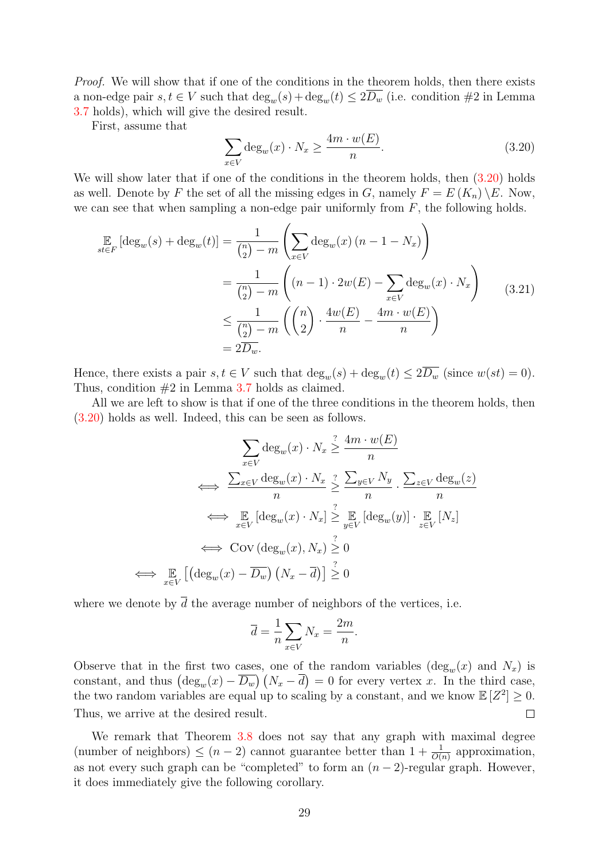Proof. We will show that if one of the conditions in the theorem holds, then there exists a non-edge pair  $s, t \in V$  such that  $\deg_w(s) + \deg_w(t) \leq 2\overline{D_w}$  (i.e. condition #2 in Lemma [3.7](#page-26-1) holds), which will give the desired result.

First, assume that

<span id="page-28-0"></span>
$$
\sum_{x \in V} \deg_w(x) \cdot N_x \ge \frac{4m \cdot w(E)}{n}.
$$
\n(3.20)

We will show later that if one of the conditions in the theorem holds, then  $(3.20)$  holds as well. Denote by F the set of all the missing edges in G, namely  $F = E(K_n) \setminus E$ . Now, we can see that when sampling a non-edge pair uniformly from  $F$ , the following holds.

$$
\mathbb{E}_{st \in F} [\deg_w(s) + \deg_w(t)] = \frac{1}{\binom{n}{2} - m} \left( \sum_{x \in V} \deg_w(x) (n - 1 - N_x) \right)
$$

$$
= \frac{1}{\binom{n}{2} - m} \left( (n - 1) \cdot 2w(E) - \sum_{x \in V} \deg_w(x) \cdot N_x \right)
$$

$$
\leq \frac{1}{\binom{n}{2} - m} \left( \binom{n}{2} \cdot \frac{4w(E)}{n} - \frac{4m \cdot w(E)}{n} \right)
$$
(3.21)
$$
= 2D_w.
$$

Hence, there exists a pair  $s, t \in V$  such that  $\deg_w(s) + \deg_w(t) \leq 2\overline{D_w}$  (since  $w(st) = 0$ ). Thus, condition  $#2$  in Lemma [3.7](#page-26-1) holds as claimed.

All we are left to show is that if one of the three conditions in the theorem holds, then [\(3.20\)](#page-28-0) holds as well. Indeed, this can be seen as follows.

$$
\sum_{x \in V} \deg_w(x) \cdot N_x \stackrel{?}{\geq} \frac{4m \cdot w(E)}{n}
$$
  
\n
$$
\iff \frac{\sum_{x \in V} \deg_w(x) \cdot N_x}{n} \geq \frac{\sum_{y \in V} N_y}{n} \cdot \frac{\sum_{z \in V} \deg_w(z)}{n}
$$
  
\n
$$
\iff \mathop{\mathbb{E}}_{x \in V} [\deg_w(x) \cdot N_x] \stackrel{?}{\geq} \mathop{\mathbb{E}}_{y \in V} [\deg_w(y)] \cdot \mathop{\mathbb{E}}_{z \in V} [N_z]
$$
  
\n
$$
\iff \text{Cov} (\deg_w(x), N_x) \stackrel{?}{\geq} 0
$$
  
\n
$$
\iff \mathop{\mathbb{E}}_{x \in V} [(\deg_w(x) - \overline{D_w}) (N_x - \overline{d})] \stackrel{?}{\geq} 0
$$

where we denote by  $\overline{d}$  the average number of neighbors of the vertices, i.e.

$$
\overline{d} = \frac{1}{n} \sum_{x \in V} N_x = \frac{2m}{n}.
$$

Observe that in the first two cases, one of the random variables  $(\deg_w(x)$  and  $N_x)$  is constant, and thus  $\left(\deg_w(x) - \overline{D_w}\right)\left(N_x - \overline{d}\right) = 0$  for every vertex x. In the third case, the two random variables are equal up to scaling by a constant, and we know  $\mathbb{E}[Z^2] \geq 0$ . Thus, we arrive at the desired result.  $\Box$ 

We remark that Theorem [3.8](#page-27-0) does not say that any graph with maximal degree (number of neighbors)  $\leq (n-2)$  cannot guarantee better than  $1 + \frac{1}{O(n)}$  approximation, as not every such graph can be "completed" to form an  $(n-2)$ -regular graph. However, it does immediately give the following corollary.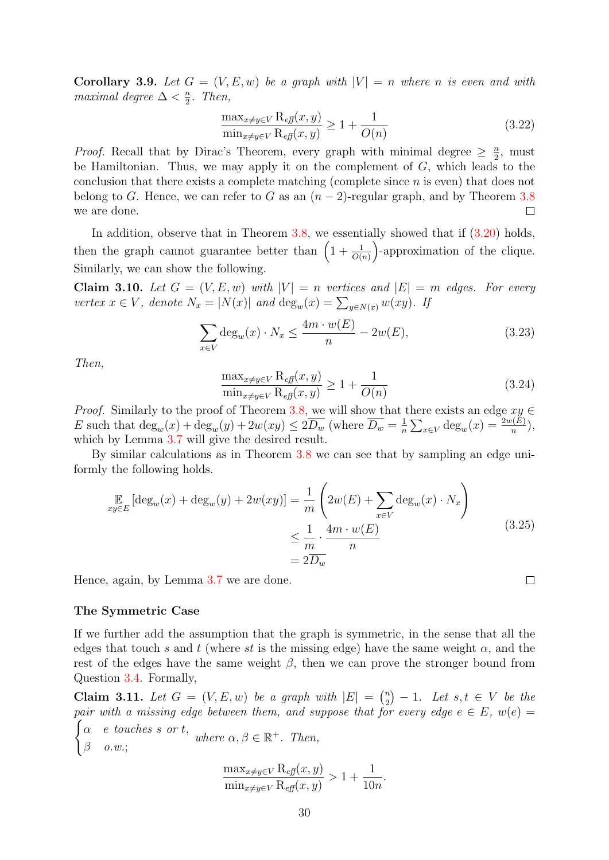Corollary 3.9. Let  $G = (V, E, w)$  be a graph with  $|V| = n$  where n is even and with maximal degree  $\Delta < \frac{n}{2}$  $\frac{n}{2}$ . Then,

$$
\frac{\max_{x \neq y \in V} \mathcal{R}_{\text{eff}}(x, y)}{\min_{x \neq y \in V} \mathcal{R}_{\text{eff}}(x, y)} \ge 1 + \frac{1}{O(n)}\tag{3.22}
$$

*Proof.* Recall that by Dirac's Theorem, every graph with minimal degree  $\geq \frac{n}{2}$  $\frac{n}{2}$ , must be Hamiltonian. Thus, we may apply it on the complement of  $G$ , which leads to the conclusion that there exists a complete matching (complete since n is even) that does not belong to G. Hence, we can refer to G as an  $(n-2)$ -regular graph, and by Theorem [3.8](#page-27-0) we are done.  $\Box$ 

In addition, observe that in Theorem  $3.8$ , we essentially showed that if  $(3.20)$  holds, then the graph cannot guarantee better than  $\left(1+\frac{1}{O(n)}\right)$ -approximation of the clique. Similarly, we can show the following.

Claim 3.10. Let  $G = (V, E, w)$  with  $|V| = n$  vertices and  $|E| = m$  edges. For every vertex  $x \in V$ , denote  $N_x = |N(x)|$  and  $\deg_w(x) = \sum_{y \in N(x)} w(xy)$ . If

$$
\sum_{x \in V} \deg_w(x) \cdot N_x \le \frac{4m \cdot w(E)}{n} - 2w(E),\tag{3.23}
$$

Then,

<span id="page-29-0"></span>
$$
\frac{\max_{x \neq y \in V} \mathcal{R}_{\text{eff}}(x, y)}{\min_{x \neq y \in V} \mathcal{R}_{\text{eff}}(x, y)} \ge 1 + \frac{1}{O(n)}\tag{3.24}
$$

*Proof.* Similarly to the proof of Theorem [3.8,](#page-27-0) we will show that there exists an edge  $xy \in$ E such that  $\deg_w(x) + \deg_w(y) + 2w(xy) \leq 2\overline{D_w}$  (where  $\overline{D_w} = \frac{1}{n}$ )  $\frac{1}{n}\sum_{x\in V} \deg_w(x) = \frac{2w(E)}{n},$ which by Lemma [3.7](#page-26-1) will give the desired result.

By similar calculations as in Theorem [3.8](#page-27-0) we can see that by sampling an edge uniformly the following holds.

$$
\mathbb{E}_{xy \in E} [\deg_w(x) + \deg_w(y) + 2w(xy)] = \frac{1}{m} \left( 2w(E) + \sum_{x \in V} \deg_w(x) \cdot N_x \right)
$$
\n
$$
\leq \frac{1}{m} \cdot \frac{4m \cdot w(E)}{n}
$$
\n(3.25)\n
$$
= 2\overline{D_w}
$$

Hence, again, by Lemma [3.7](#page-26-1) we are done.

#### The Symmetric Case

If we further add the assumption that the graph is symmetric, in the sense that all the edges that touch s and t (where st is the missing edge) have the same weight  $\alpha$ , and the rest of the edges have the same weight  $\beta$ , then we can prove the stronger bound from Question [3.4.](#page-23-0) Formally,

<span id="page-29-1"></span>Claim 3.11. Let  $G = (V, E, w)$  be a graph with  $|E| = \binom{n}{2}$  $\binom{n}{2} - 1$ . Let  $s, t \in V$  be the pair with a missing edge between them, and suppose that for every edge  $e \in E$ ,  $w(e) =$  $\int \alpha$  e touches s or t,

$$
\begin{cases} \alpha & e \text{ touches } s \text{ or } t, \\ \beta & o.w.; \end{cases} where \alpha, \beta \in \mathbb{R}^+. Then,
$$

$$
\frac{\max_{x \neq y \in V} R_{\text{eff}}(x, y)}{\min_{x \neq y \in V} R_{\text{eff}}(x, y)} > 1 + \frac{1}{10n}.
$$

 $\Box$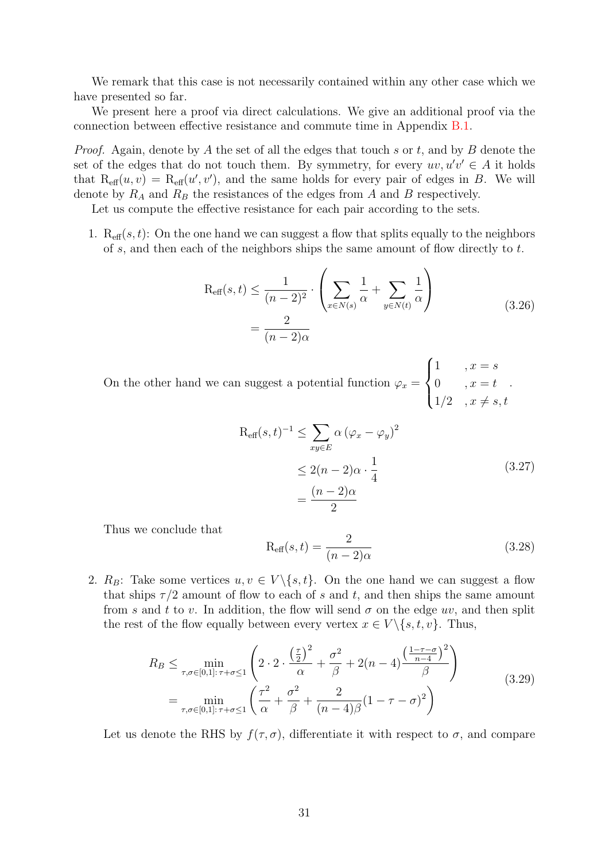We remark that this case is not necessarily contained within any other case which we have presented so far.

We present here a proof via direct calculations. We give an additional proof via the connection between effective resistance and commute time in Appendix [B.1.](#page-56-2)

*Proof.* Again, denote by A the set of all the edges that touch s or t, and by B denote the set of the edges that do not touch them. By symmetry, for every  $uv, u'v' \in A$  it holds that  $R_{\text{eff}}(u, v) = R_{\text{eff}}(u', v')$ , and the same holds for every pair of edges in B. We will denote by  $R_A$  and  $R_B$  the resistances of the edges from A and B respectively.

Let us compute the effective resistance for each pair according to the sets.

1.  $R_{\text{eff}}(s, t)$ : On the one hand we can suggest a flow that splits equally to the neighbors of s, and then each of the neighbors ships the same amount of flow directly to  $t$ .

$$
R_{\text{eff}}(s,t) \le \frac{1}{(n-2)^2} \cdot \left(\sum_{x \in N(s)} \frac{1}{\alpha} + \sum_{y \in N(t)} \frac{1}{\alpha}\right)
$$
  
= 
$$
\frac{2}{(n-2)\alpha}
$$
 (3.26)

On the other hand we can suggest a potential function  $\varphi_x =$  $\sqrt{ }$  $\left\{\right\}$  $\overline{\mathcal{L}}$ 1,  $x = s$ 0,  $x = t$  $1/2$ ,  $x \neq s, t$ .

$$
R_{\text{eff}}(s,t)^{-1} \leq \sum_{xy \in E} \alpha (\varphi_x - \varphi_y)^2
$$
  

$$
\leq 2(n-2)\alpha \cdot \frac{1}{4}
$$
  

$$
= \frac{(n-2)\alpha}{2}
$$
 (3.27)

Thus we conclude that

$$
R_{\text{eff}}(s,t) = \frac{2}{(n-2)\alpha} \tag{3.28}
$$

2.  $R_B$ : Take some vertices  $u, v \in V \setminus \{s, t\}$ . On the one hand we can suggest a flow that ships  $\tau/2$  amount of flow to each of s and t, and then ships the same amount from s and t to v. In addition, the flow will send  $\sigma$  on the edge uv, and then split the rest of the flow equally between every vertex  $x \in V \setminus \{s, t, v\}$ . Thus,

$$
R_B \le \min_{\tau,\sigma \in [0,1]: \tau+\sigma \le 1} \left( 2 \cdot 2 \cdot \frac{\left(\frac{\tau}{2}\right)^2}{\alpha} + \frac{\sigma^2}{\beta} + 2(n-4) \frac{\left(\frac{1-\tau-\sigma}{n-4}\right)^2}{\beta} \right)
$$
  
= 
$$
\min_{\tau,\sigma \in [0,1]: \tau+\sigma \le 1} \left( \frac{\tau^2}{\alpha} + \frac{\sigma^2}{\beta} + \frac{2}{(n-4)\beta} (1-\tau-\sigma)^2 \right)
$$
(3.29)

Let us denote the RHS by  $f(\tau, \sigma)$ , differentiate it with respect to  $\sigma$ , and compare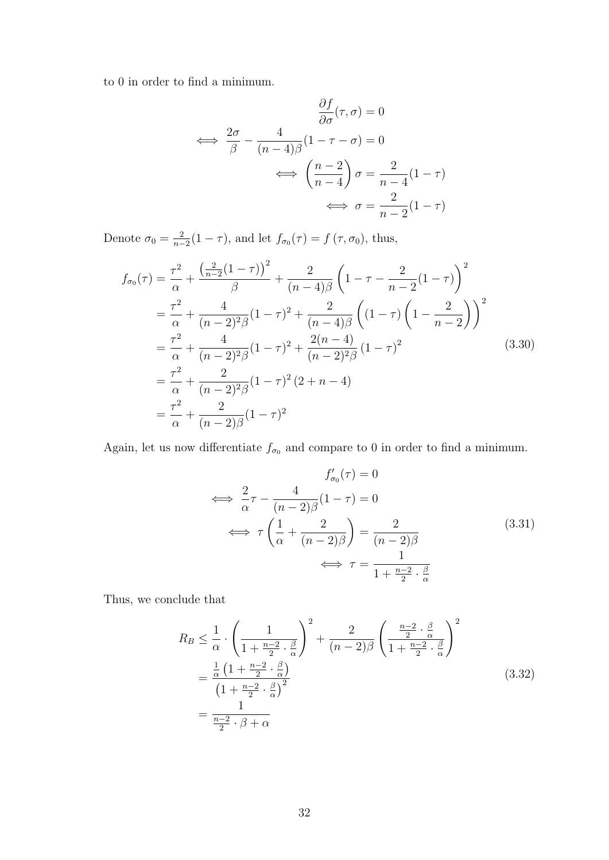to 0 in order to find a minimum.

$$
\frac{\partial f}{\partial \sigma}(\tau, \sigma) = 0
$$
  

$$
\iff \frac{2\sigma}{\beta} - \frac{4}{(n-4)\beta} (1 - \tau - \sigma) = 0
$$
  

$$
\iff \left(\frac{n-2}{n-4}\right) \sigma = \frac{2}{n-4} (1 - \tau)
$$
  

$$
\iff \sigma = \frac{2}{n-2} (1 - \tau)
$$

Denote  $\sigma_0 = \frac{2}{n-1}$  $\frac{2}{n-2}(1-\tau)$ , and let  $f_{\sigma_0}(\tau) = f(\tau, \sigma_0)$ , thus,

$$
f_{\sigma_0}(\tau) = \frac{\tau^2}{\alpha} + \frac{\left(\frac{2}{n-2}(1-\tau)\right)^2}{\beta} + \frac{2}{(n-4)\beta} \left(1 - \tau - \frac{2}{n-2}(1-\tau)\right)^2
$$
  
\n
$$
= \frac{\tau^2}{\alpha} + \frac{4}{(n-2)^2 \beta} (1-\tau)^2 + \frac{2}{(n-4)\beta} \left( (1-\tau) \left(1 - \frac{2}{n-2}\right) \right)^2
$$
  
\n
$$
= \frac{\tau^2}{\alpha} + \frac{4}{(n-2)^2 \beta} (1-\tau)^2 + \frac{2(n-4)}{(n-2)^2 \beta} (1-\tau)^2
$$
  
\n
$$
= \frac{\tau^2}{\alpha} + \frac{2}{(n-2)^2 \beta} (1-\tau)^2 (2+n-4)
$$
  
\n
$$
= \frac{\tau^2}{\alpha} + \frac{2}{(n-2)\beta} (1-\tau)^2
$$
  
\n(3.30)

Again, let us now differentiate  $f_{\sigma_0}$  and compare to 0 in order to find a minimum.

$$
f'_{\sigma_0}(\tau) = 0
$$
  
\n
$$
\iff \frac{2}{\alpha}\tau - \frac{4}{(n-2)\beta}(1-\tau) = 0
$$
  
\n
$$
\iff \tau \left(\frac{1}{\alpha} + \frac{2}{(n-2)\beta}\right) = \frac{2}{(n-2)\beta}
$$
  
\n
$$
\iff \tau = \frac{1}{1 + \frac{n-2}{2} \cdot \frac{\beta}{\alpha}}
$$
\n(3.31)

Thus, we conclude that

$$
R_B \leq \frac{1}{\alpha} \cdot \left(\frac{1}{1 + \frac{n-2}{2} \cdot \frac{\beta}{\alpha}}\right)^2 + \frac{2}{(n-2)\beta} \left(\frac{\frac{n-2}{2} \cdot \frac{\beta}{\alpha}}{1 + \frac{n-2}{2} \cdot \frac{\beta}{\alpha}}\right)^2
$$
  
= 
$$
\frac{\frac{1}{\alpha} \left(1 + \frac{n-2}{2} \cdot \frac{\beta}{\alpha}\right)^2}{\left(1 + \frac{n-2}{2} \cdot \frac{\beta}{\alpha}\right)^2}
$$
  
= 
$$
\frac{1}{\frac{n-2}{2} \cdot \beta + \alpha}
$$
(3.32)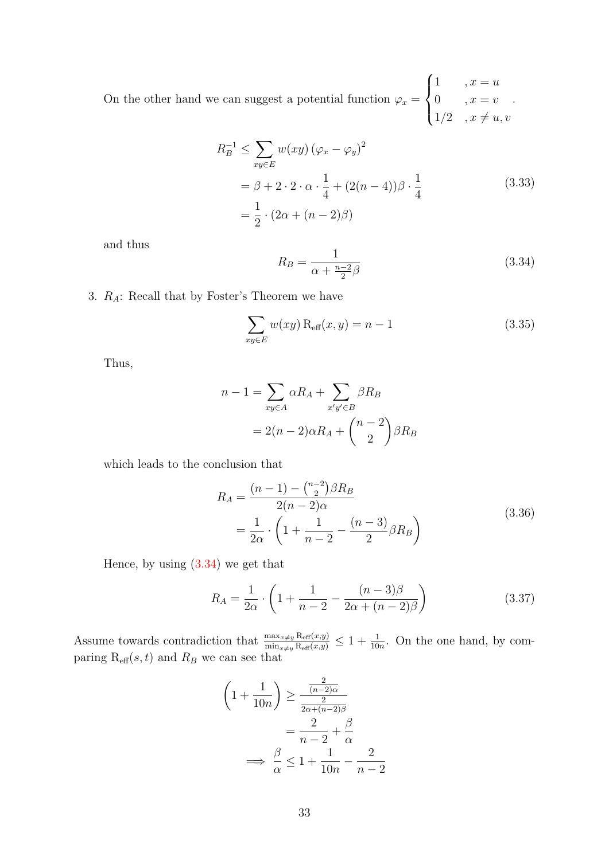On the other hand we can suggest a potential function  $\varphi_x =$  $\sqrt{ }$  $\int$  $\mathcal{L}$ 1,  $x = u$ 0,  $x = v$  $1/2$ ,  $x \neq u, v$ .

$$
R_B^{-1} \le \sum_{xy \in E} w(xy) (\varphi_x - \varphi_y)^2
$$
  
=  $\beta + 2 \cdot 2 \cdot \alpha \cdot \frac{1}{4} + (2(n - 4)) \beta \cdot \frac{1}{4}$  (3.33)  
=  $\frac{1}{2} \cdot (2\alpha + (n - 2)\beta)$ 

<span id="page-32-0"></span>and thus

$$
R_B = \frac{1}{\alpha + \frac{n-2}{2}\beta} \tag{3.34}
$$

3.  $R_A$ : Recall that by Foster's Theorem we have

$$
\sum_{xy \in E} w(xy) \operatorname{R_{eff}}(x, y) = n - 1 \tag{3.35}
$$

Thus,

$$
n - 1 = \sum_{xy \in A} \alpha R_A + \sum_{x'y' \in B} \beta R_B
$$

$$
= 2(n - 2)\alpha R_A + {n - 2 \choose 2} \beta R_B
$$

which leads to the conclusion that

$$
R_A = \frac{(n-1) - {n-2 \choose 2} \beta R_B}{2(n-2)\alpha} = \frac{1}{2\alpha} \cdot \left(1 + \frac{1}{n-2} - \frac{(n-3)}{2} \beta R_B\right)
$$
(3.36)

Hence, by using [\(3.34\)](#page-32-0) we get that

$$
R_A = \frac{1}{2\alpha} \cdot \left( 1 + \frac{1}{n-2} - \frac{(n-3)\beta}{2\alpha + (n-2)\beta} \right) \tag{3.37}
$$

Assume towards contradiction that  $\frac{\max_{x\neq y} \text{Re}_f(x,y)}{\min_{x\neq y} \text{Re}_f(x,y)} \leq 1 + \frac{1}{10n}$ . On the one hand, by comparing  $R_{\text{eff}}(s,t)$  and  $R_B$  we can see that

$$
\left(1 + \frac{1}{10n}\right) \ge \frac{\frac{2}{(n-2)\alpha}}{\frac{2}{2\alpha + (n-2)\beta}}
$$

$$
= \frac{2}{n-2} + \frac{\beta}{\alpha}
$$

$$
\implies \frac{\beta}{\alpha} \le 1 + \frac{1}{10n} - \frac{2}{n-2}
$$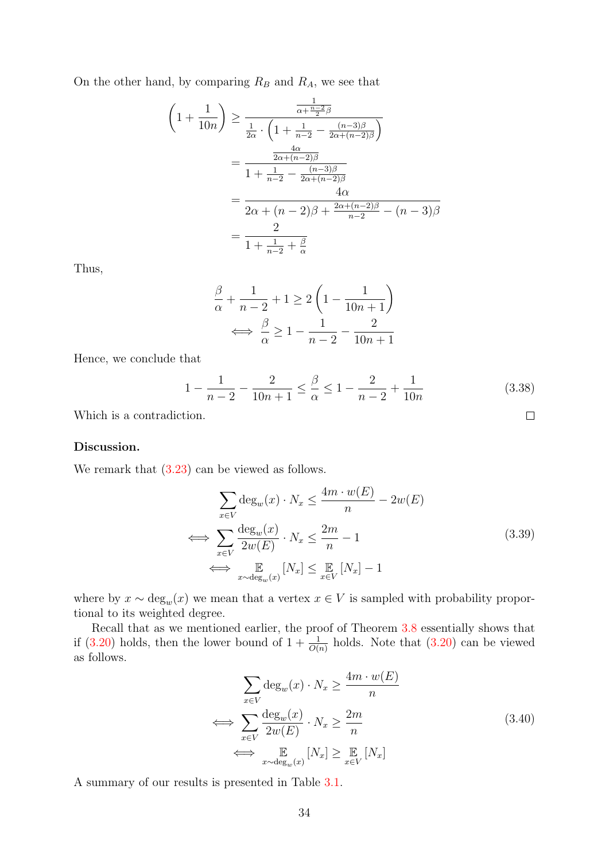On the other hand, by comparing  $R_B$  and  $R_A$ , we see that

$$
\left(1 + \frac{1}{10n}\right) \ge \frac{\frac{1}{\alpha + \frac{n-2}{2}\beta}}{\frac{1}{2\alpha} \cdot \left(1 + \frac{1}{n-2} - \frac{(n-3)\beta}{2\alpha + (n-2)\beta}\right)}
$$

$$
= \frac{\frac{4\alpha}{2\alpha + (n-2)\beta}}{1 + \frac{1}{n-2} - \frac{(n-3)\beta}{2\alpha + (n-2)\beta}}
$$

$$
= \frac{4\alpha}{2\alpha + (n-2)\beta + \frac{2\alpha + (n-2)\beta}{n-2} - (n-3)\beta}
$$

$$
= \frac{2}{1 + \frac{1}{n-2} + \frac{\beta}{\alpha}}
$$

Thus,

$$
\frac{\beta}{\alpha} + \frac{1}{n-2} + 1 \ge 2\left(1 - \frac{1}{10n+1}\right)
$$

$$
\iff \frac{\beta}{\alpha} \ge 1 - \frac{1}{n-2} - \frac{2}{10n+1}
$$

Hence, we conclude that

$$
1 - \frac{1}{n-2} - \frac{2}{10n+1} \le \frac{\beta}{\alpha} \le 1 - \frac{2}{n-2} + \frac{1}{10n}
$$
 (3.38)

 $\Box$ 

Which is a contradiction.

#### Discussion.

We remark that  $(3.23)$  can be viewed as follows.

$$
\sum_{x \in V} \deg_w(x) \cdot N_x \le \frac{4m \cdot w(E)}{n} - 2w(E)
$$
\n
$$
\iff \sum_{x \in V} \frac{\deg_w(x)}{2w(E)} \cdot N_x \le \frac{2m}{n} - 1
$$
\n
$$
\iff \mathbb{E}_{x \sim \deg_w(x)} [N_x] \le \mathbb{E}_{x \in V} [N_x] - 1
$$
\n(3.39)

where by  $x \sim \deg_w(x)$  we mean that a vertex  $x \in V$  is sampled with probability proportional to its weighted degree.

Recall that as we mentioned earlier, the proof of Theorem [3.8](#page-27-0) essentially shows that if [\(3.20\)](#page-28-0) holds, then the lower bound of  $1 + \frac{1}{O(n)}$  holds. Note that (3.20) can be viewed as follows.

$$
\sum_{x \in V} \deg_w(x) \cdot N_x \ge \frac{4m \cdot w(E)}{n}
$$
\n
$$
\iff \sum_{x \in V} \frac{\deg_w(x)}{2w(E)} \cdot N_x \ge \frac{2m}{n}
$$
\n
$$
\iff \mathop{\mathbb{E}}_{x \sim \deg_w(x)} [N_x] \ge \mathop{\mathbb{E}}_{x \in V} [N_x]
$$
\n(3.40)

A summary of our results is presented in Table [3.1.](#page-34-2)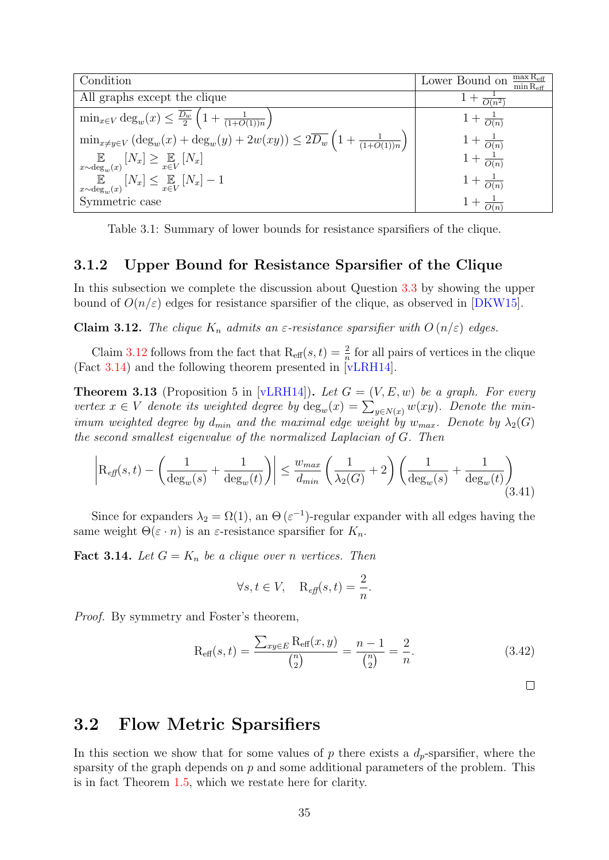<span id="page-34-2"></span>

| Condition                                                                                                            | $\max R_{\text{eff}}$<br>Lower Bound on<br>$\overline{\min \mathrm{R}_{\mathrm{eff}}}$ |
|----------------------------------------------------------------------------------------------------------------------|----------------------------------------------------------------------------------------|
| All graphs except the clique                                                                                         | $1+\frac{1}{O(n^{2n}}$                                                                 |
| $\min_{x \in V} \deg_w(x) \leq \frac{\overline{D_w}}{2} \left(1 + \frac{1}{(1+O(1))n}\right)$                        | $1 + \frac{1}{O(n)}$                                                                   |
| $\min_{x \neq y \in V} (\deg_w(x) + \deg_w(y) + 2w(xy)) \leq 2\overline{D_w} \left(1 + \frac{1}{(1+O(1))n}\right)$   | $1+\frac{1}{O(n)}$                                                                     |
| $\mathbb{E}\left[\mathbb{E}_{x \sim \deg_w(x)}\left[N_x\right] \geq \mathbb{E}_{x \in V}\left[N_x\right]\right]$     | $1 + \frac{1}{O(n)}$                                                                   |
| $\mathbb{E}\left[\mathbb{E}_{x \sim \deg_w(x)}\left[N_x\right] \leq \mathbb{E}_{x \in V}\left[N_x\right] - 1\right]$ | $1 + \frac{1}{O(n)}$                                                                   |
| Symmetric case                                                                                                       | $1 + \frac{1}{O(n)}$                                                                   |

Table 3.1: Summary of lower bounds for resistance sparsifiers of the clique.

#### <span id="page-34-0"></span>3.1.2 Upper Bound for Resistance Sparsifier of the Clique

In this subsection we complete the discussion about Question [3.3](#page-23-3) by showing the upper bound of  $O(n/\varepsilon)$  edges for resistance sparsifier of the clique, as observed in [\[DKW15\]](#page-50-4).

<span id="page-34-3"></span>**Claim 3.12.** The clique  $K_n$  admits an  $\varepsilon$ -resistance sparsifier with  $O(n/\varepsilon)$  edges.

Claim [3.12](#page-34-3) follows from the fact that  $\text{R}_{\text{eff}}(s,t) = \frac{2}{n}$  for all pairs of vertices in the clique The fact [3.14\)](#page-34-4) and the following theorem presented in [\[vLRH14\]](#page-52-5).

**Theorem 3.13** (Proposition 5 in [\[vLRH14\]](#page-52-5)). Let  $G = (V, E, w)$  be a graph. For every vertex  $x \in V$  denote its weighted degree by  $deg_w(x) = \sum_{y \in N(x)} w(xy)$ . Denote the minimum weighted degree by  $d_{min}$  and the maximal edge weight by  $w_{max}$ . Denote by  $\lambda_2(G)$ the second smallest eigenvalue of the normalized Laplacian of G. Then

$$
\left| \mathcal{R}_{\text{eff}}(s,t) - \left( \frac{1}{\deg_w(s)} + \frac{1}{\deg_w(t)} \right) \right| \le \frac{w_{\text{max}}}{d_{\text{min}}} \left( \frac{1}{\lambda_2(G)} + 2 \right) \left( \frac{1}{\deg_w(s)} + \frac{1}{\deg_w(t)} \right) \tag{3.41}
$$

Since for expanders  $\lambda_2 = \Omega(1)$ , an  $\Theta(\varepsilon^{-1})$ -regular expander with all edges having the same weight  $\Theta(\varepsilon \cdot n)$  is an  $\varepsilon$ -resistance sparsifier for  $K_n$ .

<span id="page-34-4"></span>**Fact 3.14.** Let  $G = K_n$  be a clique over n vertices. Then

$$
\forall s, t \in V, \quad \mathcal{R}_{\text{eff}}(s, t) = \frac{2}{n}.
$$

Proof. By symmetry and Foster's theorem,

$$
R_{\text{eff}}(s,t) = \frac{\sum_{xy \in E} R_{\text{eff}}(x,y)}{\binom{n}{2}} = \frac{n-1}{\binom{n}{2}} = \frac{2}{n}.
$$
 (3.42)

 $\Box$ 

### <span id="page-34-1"></span>3.2 Flow Metric Sparsifiers

In this section we show that for some values of p there exists a  $d_p$ -sparsifier, where the sparsity of the graph depends on  $p$  and some additional parameters of the problem. This is in fact Theorem [1.5,](#page-7-5) which we restate here for clarity.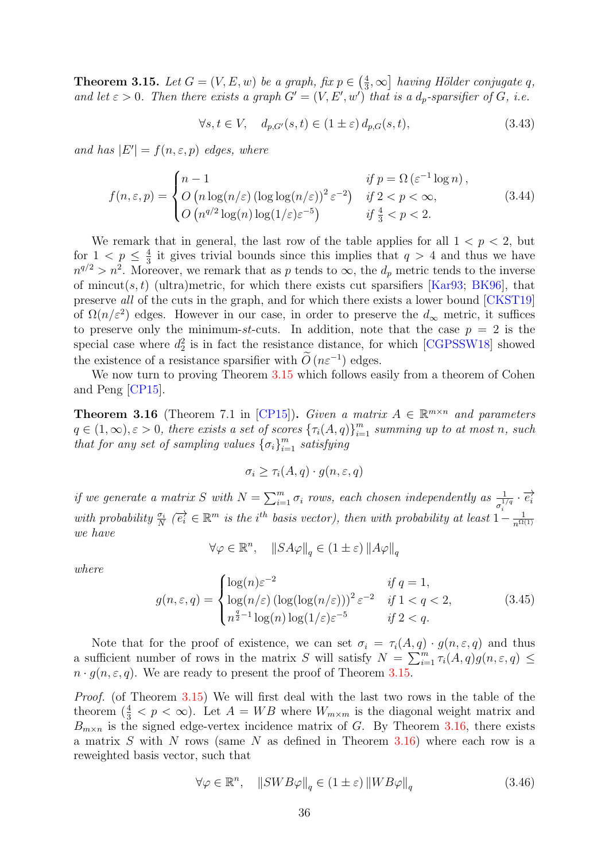<span id="page-35-0"></span>**Theorem 3.15.** Let  $G = (V, E, w)$  be a graph, fix  $p \in \left(\frac{4}{3}\right)$  $\left(\frac{4}{3}, \infty\right)$  having Hölder conjugate q, and let  $\varepsilon > 0$ . Then there exists a graph  $G' = (V, E', w')$  that is a  $d_p$ -sparsifier of G, i.e.

<span id="page-35-3"></span>
$$
\forall s, t \in V, \quad d_{p,G'}(s,t) \in (1 \pm \varepsilon) d_{p,G}(s,t), \tag{3.43}
$$

and has  $|E'| = f(n, \varepsilon, p)$  edges, where

$$
f(n,\varepsilon,p) = \begin{cases} n-1 & \text{if } p = \Omega\left(\varepsilon^{-1}\log n\right), \\ O\left(n\log(n/\varepsilon)\left(\log\log(n/\varepsilon)\right)^2 \varepsilon^{-2}\right) & \text{if } 2 < p < \infty, \\ O\left(n^{q/2}\log(n)\log(1/\varepsilon)\varepsilon^{-5}\right) & \text{if } \frac{4}{3} < p < 2. \end{cases} \tag{3.44}
$$

We remark that in general, the last row of the table applies for all  $1 < p < 2$ , but for  $1 < p \leq \frac{4}{3}$  $\frac{4}{3}$  it gives trivial bounds since this implies that  $q > 4$  and thus we have  $n^{q/2} > n^2$ . Moreover, we remark that as p tends to  $\infty$ , the  $d_p$  metric tends to the inverse of mincut(s, t) (ultra)metric, for which there exists cut sparsifiers [\[Kar93;](#page-51-8) [BK96\]](#page-49-5), that preserve all of the cuts in the graph, and for which there exists a lower bound [\[CKST19\]](#page-50-9) of  $\Omega(n/\varepsilon^2)$  edges. However in our case, in order to preserve the  $d_{\infty}$  metric, it suffices to preserve only the minimum-st-cuts. In addition, note that the case  $p = 2$  is the special case where  $d_2^2$  is in fact the resistance distance, for which [\[CGPSSW18\]](#page-50-5) showed the existence of a resistance sparsifier with  $\tilde{O}(n\varepsilon^{-1})$  edges.

We now turn to proving Theorem [3.15](#page-35-0) which follows easily from a theorem of Cohen and Peng [\[CP15\]](#page-50-0).

<span id="page-35-1"></span>**Theorem 3.16** (Theorem 7.1 in [\[CP15\]](#page-50-0)). Given a matrix  $A \in \mathbb{R}^{m \times n}$  and parameters  $q \in (1,\infty), \varepsilon > 0$ , there exists a set of scores  ${\{\tau_i(A,q)\}}_{i=1}^m$  summing up to at most n, such that for any set of sampling values  $\{\sigma_i\}_{i=1}^m$  satisfying

$$
\sigma_i \ge \tau_i(A, q) \cdot g(n, \varepsilon, q)
$$

if we generate a matrix S with  $N = \sum_{i=1}^{m} \sigma_i$  rows, each chosen independently as  $\frac{1}{\sigma_i^{1/q}} \cdot \overrightarrow{e_i}$ with probability  $\frac{\sigma_i}{N}$  ( $\overrightarrow{e_i} \in \mathbb{R}^m$  is the i<sup>th</sup> basis vector), then with probability at least  $1-\frac{1}{n^{\Omega}}$  $n^{\Omega(1)}$ we have

$$
\forall \varphi \in \mathbb{R}^n, \quad \|SA\varphi\|_q \in (1 \pm \varepsilon) \left\|A\varphi\right\|_q
$$

where

$$
g(n,\varepsilon,q) = \begin{cases} \log(n)\varepsilon^{-2} & \text{if } q = 1, \\ \log(n/\varepsilon)\left(\log(\log(n/\varepsilon))\right)^2 \varepsilon^{-2} & \text{if } 1 < q < 2, \\ n^{\frac{q}{2}-1}\log(n)\log(1/\varepsilon)\varepsilon^{-5} & \text{if } 2 < q. \end{cases} \tag{3.45}
$$

Note that for the proof of existence, we can set  $\sigma_i = \tau_i(A, q) \cdot g(n, \varepsilon, q)$  and thus a sufficient number of rows in the matrix S will satisfy  $N = \sum_{i=1}^{m} \tau_i(A, q) g(n, \varepsilon, q)$  $n \cdot g(n, \varepsilon, q)$ . We are ready to present the proof of Theorem [3.15.](#page-35-0)

Proof. (of Theorem [3.15\)](#page-35-0) We will first deal with the last two rows in the table of the theorem  $(\frac{4}{3} < p < \infty)$ . Let  $A = WB$  where  $W_{m \times m}$  is the diagonal weight matrix and  $B_{m \times n}$  is the signed edge-vertex incidence matrix of G. By Theorem [3.16,](#page-35-1) there exists a matrix  $S$  with  $N$  rows (same  $N$  as defined in Theorem [3.16\)](#page-35-1) where each row is a reweighted basis vector, such that

<span id="page-35-2"></span>
$$
\forall \varphi \in \mathbb{R}^n, \quad \|SWB\varphi\|_q \in (1 \pm \varepsilon) \left\|WB\varphi\right\|_q \tag{3.46}
$$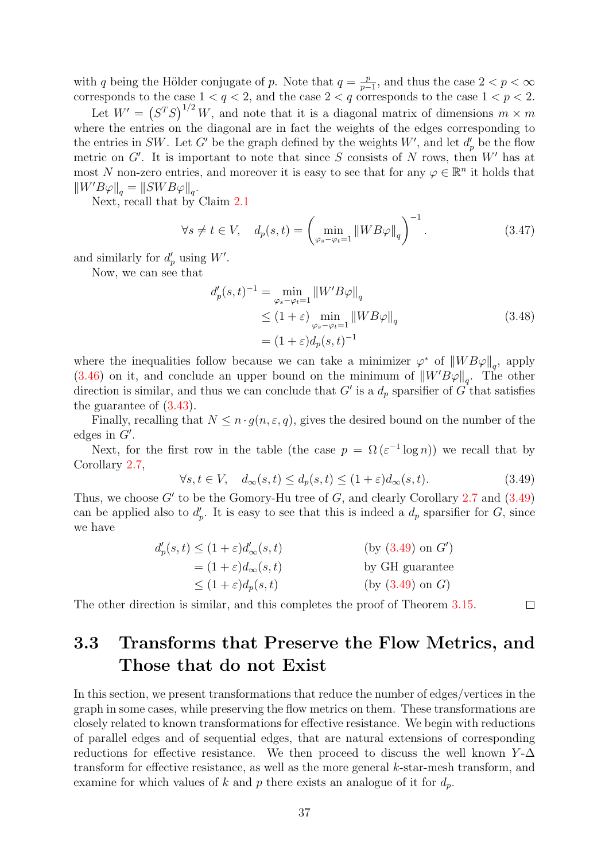with q being the Hölder conjugate of p. Note that  $q = \frac{p}{n-1}$  $\frac{p}{p-1}$ , and thus the case  $2 < p < \infty$ corresponds to the case  $1 < q < 2$ , and the case  $2 < q$  corresponds to the case  $1 < p < 2$ .

Let  $W' = (S^T S)^{1/2} W$ , and note that it is a diagonal matrix of dimensions  $m \times m$ where the entries on the diagonal are in fact the weights of the edges corresponding to the entries in SW. Let G' be the graph defined by the weights  $W'$ , and let  $d'_{p}$  be the flow metric on  $G'$ . It is important to note that since S consists of N rows, then  $W'$  has at most N non-zero entries, and moreover it is easy to see that for any  $\varphi \in \mathbb{R}^n$  it holds that  $\left\|W'B\varphi\right\|_q = \left\|SWB\varphi\right\|_q.$ 

Next, recall that by Claim [2.1](#page-11-3)

$$
\forall s \neq t \in V, \quad d_p(s, t) = \left(\min_{\varphi_s - \varphi_t = 1} \|WB\varphi\|_q\right)^{-1}.\tag{3.47}
$$

and similarly for  $d'_p$  using W'.

Now, we can see that

$$
d'_p(s,t)^{-1} = \min_{\varphi_s - \varphi_t = 1} \|W'B\varphi\|_q
$$
  
\n
$$
\leq (1+\varepsilon) \min_{\varphi_s - \varphi_t = 1} \|WB\varphi\|_q
$$
  
\n
$$
= (1+\varepsilon)d_p(s,t)^{-1}
$$
\n(3.48)

where the inequalities follow because we can take a minimizer  $\varphi^*$  of  $||WB\varphi||_q$ , apply [\(3.46\)](#page-35-2) on it, and conclude an upper bound on the minimum of  $\|W'B\varphi\|_q$ . The other direction is similar, and thus we can conclude that G' is a  $d_p$  sparsifier of G that satisfies the guarantee of [\(3.43\)](#page-35-3).

Finally, recalling that  $N \leq n \cdot q(n, \varepsilon, q)$ , gives the desired bound on the number of the edges in  $G'$ .

Next, for the first row in the table (the case  $p = \Omega(\varepsilon^{-1} \log n)$ ) we recall that by Corollary [2.7,](#page-14-5)

<span id="page-36-1"></span>
$$
\forall s, t \in V, \quad d_{\infty}(s, t) \le d_p(s, t) \le (1 + \varepsilon) d_{\infty}(s, t). \tag{3.49}
$$

 $\Box$ 

Thus, we choose  $G'$  to be the Gomory-Hu tree of  $G$ , and clearly Corollary [2.7](#page-14-5) and  $(3.49)$ can be applied also to  $d'_p$ . It is easy to see that this is indeed a  $d_p$  sparsifier for G, since we have

| $d'_{p}(s,t) \leq (1+\varepsilon)d'_{\infty}(s,t)$ | (by (3.49) on G') |
|----------------------------------------------------|-------------------|
| $=(1+\varepsilon)d_{\infty}(s,t)$                  | by GH guarantee   |
| $\leq (1+\varepsilon)d_p(s,t)$                     | (by (3.49) on G)  |

The other direction is similar, and this completes the proof of Theorem [3.15.](#page-35-0)

### <span id="page-36-0"></span>3.3 Transforms that Preserve the Flow Metrics, and Those that do not Exist

In this section, we present transformations that reduce the number of edges/vertices in the graph in some cases, while preserving the flow metrics on them. These transformations are closely related to known transformations for effective resistance. We begin with reductions of parallel edges and of sequential edges, that are natural extensions of corresponding reductions for effective resistance. We then proceed to discuss the well known  $Y$ - $\Delta$ transform for effective resistance, as well as the more general k-star-mesh transform, and examine for which values of k and p there exists an analogue of it for  $d_p$ .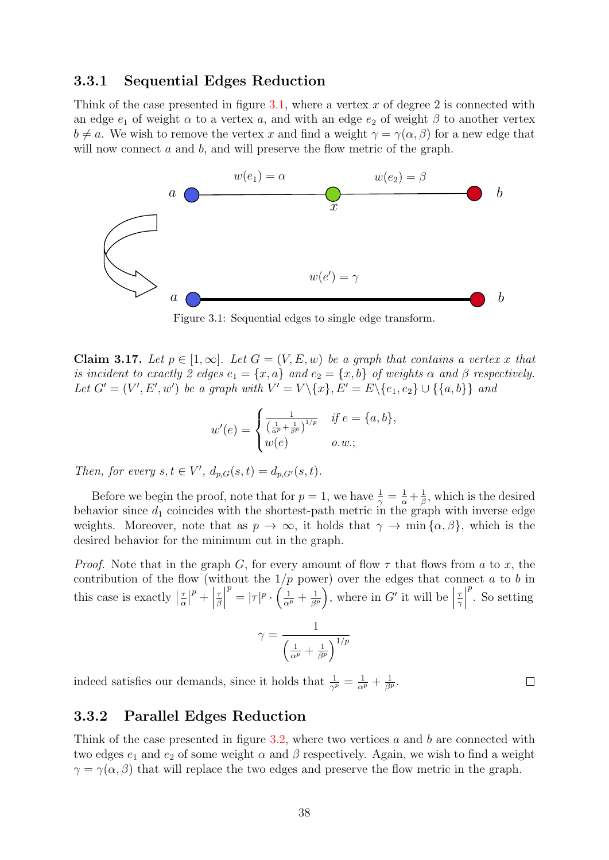#### <span id="page-37-0"></span>3.3.1 Sequential Edges Reduction

Think of the case presented in figure [3.1,](#page-37-2) where a vertex  $x$  of degree 2 is connected with an edge  $e_1$  of weight  $\alpha$  to a vertex a, and with an edge  $e_2$  of weight  $\beta$  to another vertex  $b \neq a$ . We wish to remove the vertex x and find a weight  $\gamma = \gamma(\alpha, \beta)$  for a new edge that will now connect a and b, and will preserve the flow metric of the graph.

<span id="page-37-2"></span>

Figure 3.1: Sequential edges to single edge transform.

Claim 3.17. Let  $p \in [1,\infty]$ . Let  $G = (V, E, w)$  be a graph that contains a vertex x that is incident to exactly 2 edges  $e_1 = \{x, a\}$  and  $e_2 = \{x, b\}$  of weights  $\alpha$  and  $\beta$  respectively. Let  $G' = (V', E', w')$  be a graph with  $V' = V \setminus \{x\}, E' = E \setminus \{e_1, e_2\} \cup \{\{a, b\}\}\$ and

$$
w'(e) = \begin{cases} \frac{1}{\left(\frac{1}{\alpha^p} + \frac{1}{\beta^p}\right)^{1/p}} & \text{if } e = \{a, b\}, \\ w(e) & o.w.; \end{cases}
$$

Then, for every  $s, t \in V'$ ,  $d_{p,G}(s,t) = d_{p,G'}(s,t)$ .

Before we begin the proof, note that for  $p=1$ , we have  $\frac{1}{\gamma} = \frac{1}{\alpha} + \frac{1}{\beta}$  $\frac{1}{\beta}$ , which is the desired behavior since  $d_1$  coincides with the shortest-path metric in the graph with inverse edge weights. Moreover, note that as  $p \to \infty$ , it holds that  $\gamma \to \min{\{\alpha, \beta\}}$ , which is the desired behavior for the minimum cut in the graph.

*Proof.* Note that in the graph G, for every amount of flow  $\tau$  that flows from a to x, the contribution of the flow (without the  $1/p$  power) over the edges that connect a to b in this case is exactly  $\left|\frac{\tau}{\alpha}\right|$  $\left| \begin{array}{c} p \\ + \end{array} \right|$ τ β  $\begin{array}{c} \begin{array}{c} \begin{array}{c} \end{array}\\ \begin{array}{c} \end{array} \end{array} \end{array}$  $p^p = |\tau|^p \cdot \left( \frac{1}{\alpha^p} + \frac{1}{\beta^p} \right)$  $\frac{1}{\beta^p}$ , where in G' it will be τ γ  $\begin{array}{c} \begin{array}{c} \begin{array}{c} \end{array} \\ \begin{array}{c} \end{array} \end{array} \end{array}$  $\sum_{i=1}^{p}$  So setting

$$
\gamma = \frac{1}{\left(\frac{1}{\alpha^p} + \frac{1}{\beta^p}\right)^{1/p}}
$$

indeed satisfies our demands, since it holds that  $\frac{1}{\gamma^p} = \frac{1}{\alpha^p} + \frac{1}{\beta^p}$ .

# <span id="page-37-1"></span>3.3.2 Parallel Edges Reduction

Think of the case presented in figure  $3.2$ , where two vertices a and b are connected with two edges  $e_1$  and  $e_2$  of some weight  $\alpha$  and  $\beta$  respectively. Again, we wish to find a weight  $\gamma = \gamma(\alpha, \beta)$  that will replace the two edges and preserve the flow metric in the graph.

 $\Box$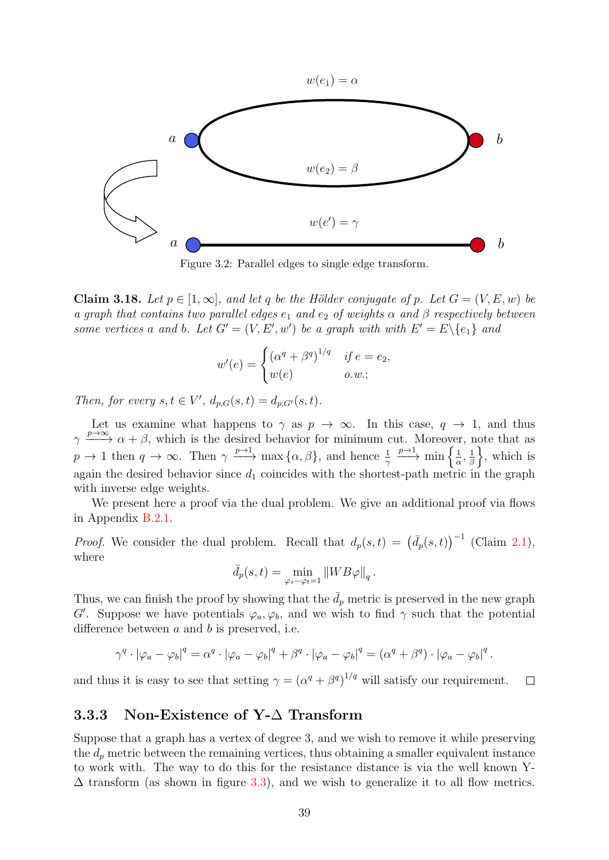<span id="page-38-1"></span>

Figure 3.2: Parallel edges to single edge transform.

<span id="page-38-2"></span>Claim 3.18. Let  $p \in [1,\infty]$ , and let q be the Hölder conjugate of p. Let  $G = (V, E, w)$  be a graph that contains two parallel edges  $e_1$  and  $e_2$  of weights  $\alpha$  and  $\beta$  respectively between some vertices a and b. Let  $G' = (V, E', w')$  be a graph with with  $E' = E \setminus \{e_1\}$  and

$$
w'(e) = \begin{cases} (\alpha^q + \beta^q)^{1/q} & \text{if } e = e_2, \\ w(e) & o.w.; \end{cases}
$$

Then, for every  $s, t \in V'$ ,  $d_{p,G}(s,t) = d_{p,G'}(s,t)$ .

Let us examine what happens to  $\gamma$  as  $p \to \infty$ . In this case,  $q \to 1$ , and thus  $\gamma \longrightarrow^{\infty} \alpha + \beta$ , which is the desired behavior for minimum cut. Moreover, note that as  $p \to 1$  then  $q \to \infty$ . Then  $\gamma \xrightarrow{p \to 1}$  max  $\{\alpha, \beta\}$ , and hence  $\frac{1}{\gamma}$  $\frac{p\rightarrow1}{p\rightarrow\infty}$  min  $\frac{1}{2}$  $\frac{1}{\alpha},\frac{1}{\beta}$  $\frac{1}{\beta}$ , which is again the desired behavior since  $d_1$  coincides with the shortest-path metric in the graph with inverse edge weights.

We present here a proof via the dual problem. We give an additional proof via flows in Appendix [B.2.1.](#page-58-1)

*Proof.* We consider the dual problem. Recall that  $d_p(s,t) = (\bar{d}_p(s,t))^{-1}$  (Claim [2.1\)](#page-11-3), where

$$
\bar{d}_p(s,t) = \min_{\varphi_s - \varphi_t = 1} ||WB\varphi||_q
$$

.

Thus, we can finish the proof by showing that the  $\bar{d}_p$  metric is preserved in the new graph G'. Suppose we have potentials  $\varphi_a, \varphi_b$ , and we wish to find  $\gamma$  such that the potential difference between  $a$  and  $b$  is preserved, i.e.

$$
\gamma^q \cdot |\varphi_a - \varphi_b|^q = \alpha^q \cdot |\varphi_a - \varphi_b|^q + \beta^q \cdot |\varphi_a - \varphi_b|^q = (\alpha^q + \beta^q) \cdot |\varphi_a - \varphi_b|^q.
$$

and thus it is easy to see that setting  $\gamma = (\alpha^q + \beta^q)^{1/q}$  will satisfy our requirement.  $\Box$ 

#### <span id="page-38-0"></span>3.3.3 Non-Existence of Y-∆ Transform

Suppose that a graph has a vertex of degree 3, and we wish to remove it while preserving the  $d_p$  metric between the remaining vertices, thus obtaining a smaller equivalent instance to work with. The way to do this for the resistance distance is via the well known Y-  $\Delta$  transform (as shown in figure [3.3\)](#page-39-0), and we wish to generalize it to all flow metrics.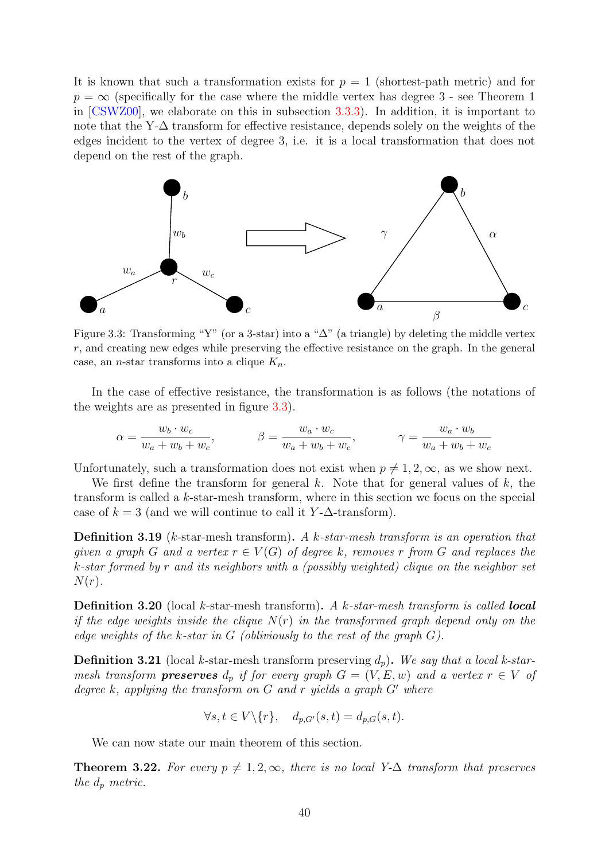It is known that such a transformation exists for  $p = 1$  (shortest-path metric) and for  $p = \infty$  (specifically for the case where the middle vertex has degree 3 - see Theorem 1 in [\[CSWZ00\]](#page-50-10), we elaborate on this in subsection [3.3.3\)](#page-44-0). In addition, it is important to note that the Y-∆ transform for effective resistance, depends solely on the weights of the edges incident to the vertex of degree 3, i.e. it is a local transformation that does not depend on the rest of the graph.

<span id="page-39-0"></span>

Figure 3.3: Transforming "Y" (or a 3-star) into a " $\Delta$ " (a triangle) by deleting the middle vertex r, and creating new edges while preserving the effective resistance on the graph. In the general case, an *n*-star transforms into a clique  $K_n$ .

In the case of effective resistance, the transformation is as follows (the notations of the weights are as presented in figure [3.3\)](#page-39-0).

$$
\alpha = \frac{w_b \cdot w_c}{w_a + w_b + w_c}, \qquad \beta = \frac{w_a \cdot w_c}{w_a + w_b + w_c}, \qquad \gamma = \frac{w_a \cdot w_b}{w_a + w_b + w_c}
$$

Unfortunately, such a transformation does not exist when  $p \neq 1, 2, \infty$ , as we show next.

We first define the transform for general k. Note that for general values of  $k$ , the transform is called a k-star-mesh transform, where in this section we focus on the special case of  $k = 3$  (and we will continue to call it Y- $\Delta$ -transform).

Definition 3.19 (k-star-mesh transform). A k-star-mesh transform is an operation that given a graph G and a vertex  $r \in V(G)$  of degree k, removes r from G and replaces the k-star formed by r and its neighbors with a (possibly weighted) clique on the neighbor set  $N(r)$ .

**Definition 3.20** (local k-star-mesh transform). A k-star-mesh transform is called **local** if the edge weights inside the clique  $N(r)$  in the transformed graph depend only on the edge weights of the k-star in  $G$  (obliviously to the rest of the graph  $G$ ).

**Definition 3.21** (local k-star-mesh transform preserving  $d_p$ ). We say that a local k-starmesh transform **preserves**  $d_p$  if for every graph  $G = (V, E, w)$  and a vertex  $r \in V$  of degree k, applying the transform on  $G$  and r yields a graph  $G'$  where

$$
\forall s, t \in V \setminus \{r\}, \quad d_{p,G'}(s,t) = d_{p,G}(s,t).
$$

We can now state our main theorem of this section.

<span id="page-39-1"></span>**Theorem 3.22.** For every  $p \neq 1, 2, \infty$ , there is no local Y- $\Delta$  transform that preserves the  $d_p$  metric.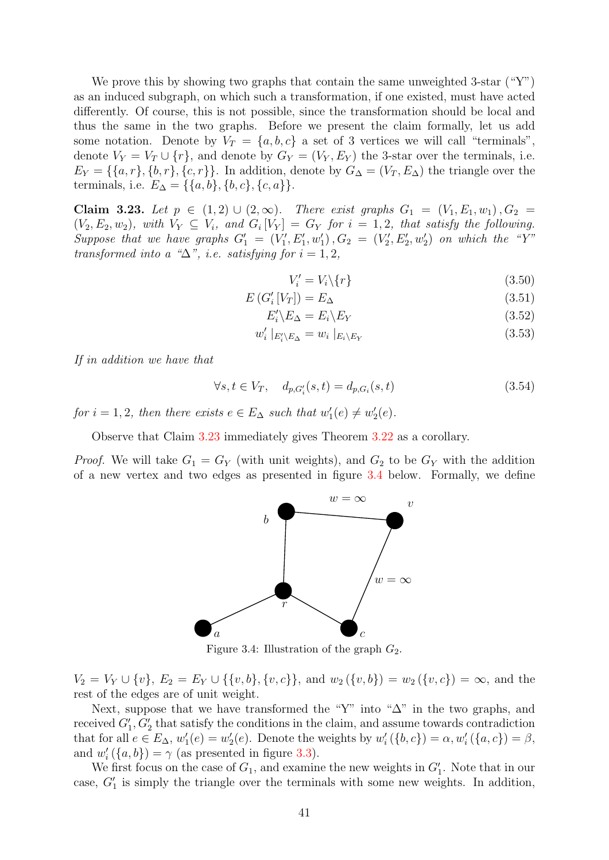We prove this by showing two graphs that contain the same unweighted 3-star  $({}^{\omega}Y^{\gamma})$ as an induced subgraph, on which such a transformation, if one existed, must have acted differently. Of course, this is not possible, since the transformation should be local and thus the same in the two graphs. Before we present the claim formally, let us add some notation. Denote by  $V_T = \{a, b, c\}$  a set of 3 vertices we will call "terminals", denote  $V_Y = V_T \cup \{r\}$ , and denote by  $G_Y = (V_Y, E_Y)$  the 3-star over the terminals, i.e.  $E_Y = \{\{a, r\}, \{b, r\}, \{c, r\}\}\.$  In addition, denote by  $G_\Delta = (V_T, E_\Delta)$  the triangle over the terminals, i.e.  $E_{\Delta} = \{\{a, b\}, \{b, c\}, \{c, a\}\}.$ 

<span id="page-40-0"></span>Claim 3.23. Let  $p \in (1, 2) \cup (2, ∞)$ . There exist graphs  $G_1 = (V_1, E_1, w_1), G_2 =$  $(V_2, E_2, w_2)$ , with  $V_Y \subseteq V_i$ , and  $G_i[V_Y] = G_Y$  for  $i = 1, 2$ , that satisfy the following. Suppose that we have graphs  $G'_1 = (V'_1, E'_1, w'_1), G_2 = (V'_2, E'_2, w'_2)$  on which the "Y" transformed into a " $\Delta$ ", i.e. satisfying for  $i = 1, 2$ ,

 $V_i' = V_i \setminus \{r\}$  (3.50)

$$
E\left(G'_{i}\left[V_{T}\right]\right)=E_{\Delta} \tag{3.51}
$$

$$
E_i'\backslash E_\Delta = E_i\backslash E_Y\tag{3.52}
$$

$$
w_i' \mid_{E_i' \setminus E_\Delta} = w_i \mid_{E_i \setminus E_Y} \tag{3.53}
$$

If in addition we have that

$$
\forall s, t \in V_T, \quad d_{p,G_i'}(s,t) = d_{p,G_i}(s,t) \tag{3.54}
$$

for  $i = 1, 2$ , then there exists  $e \in E_{\Delta}$  such that  $w'_1(e) \neq w'_2(e)$ .

Observe that Claim [3.23](#page-40-0) immediately gives Theorem [3.22](#page-39-1) as a corollary.

<span id="page-40-1"></span>*Proof.* We will take  $G_1 = G_Y$  (with unit weights), and  $G_2$  to be  $G_Y$  with the addition of a new vertex and two edges as presented in figure [3.4](#page-40-1) below. Formally, we define



Figure 3.4: Illustration of the graph  $G_2$ .

 $V_2 = V_Y \cup \{v\}, E_2 = E_Y \cup \{\{v, b\}, \{v, c\}\}\text{, and } w_2(\{v, b\}) = w_2(\{v, c\}) = \infty\text{, and the }$ rest of the edges are of unit weight.

Next, suppose that we have transformed the "Y" into " $\Delta$ " in the two graphs, and received  $G'_{1}, G'_{2}$  that satisfy the conditions in the claim, and assume towards contradiction that for all  $e \in E_{\Delta}$ ,  $w'_1(e) = w'_2(e)$ . Denote the weights by  $w'_i(\{b, c\}) = \alpha$ ,  $w'_i(\{a, c\}) = \beta$ , and  $w'_{i}(\{a,b\}) = \gamma$  (as presented in figure [3.3\)](#page-39-0).

We first focus on the case of  $G_1$ , and examine the new weights in  $G'_1$ . Note that in our case,  $G'_1$  is simply the triangle over the terminals with some new weights. In addition,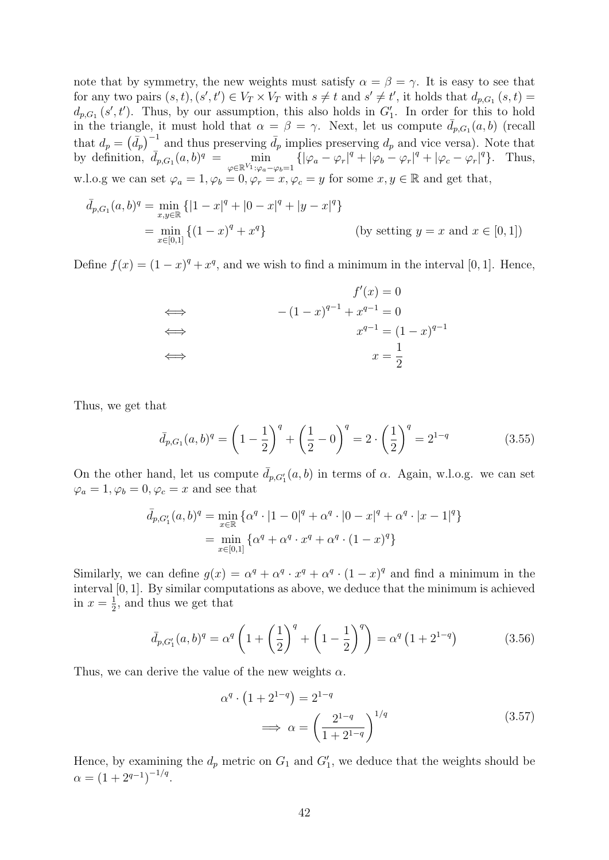note that by symmetry, the new weights must satisfy  $\alpha = \beta = \gamma$ . It is easy to see that for any two pairs  $(s,t)$ ,  $(s',t') \in V_T \times V_T$  with  $s \neq t$  and  $s' \neq t'$ , it holds that  $d_{p,G_1}(s,t)$  $d_{p,G_1}(s',t')$ . Thus, by our assumption, this also holds in  $G'_1$ . In order for this to hold  $\alpha_{p,G_1}(s,t)$ . Thus, by our assumption, this also holds in  $G_1$ . In order for this to hold<br>in the triangle, it must hold that  $\alpha = \beta = \gamma$ . Next, let us compute  $\bar{d}_{p,G_1}(a,b)$  (recall that  $d_p = (\bar{d}_p)^{-1}$  and thus preserving  $\bar{d}_p$  implies preserving  $d_p$  and vice versa). Note that by definition,  $\bar{d}_{p,G_1}(a,b)^q = \min_{\substack{\mathbf{w} \in \mathbb{R}^n \\ \mathbf{w} \in \mathbb{R}^n}}$  $\min_{\varphi \in \mathbb{R}^{V_1} : \varphi_a - \varphi_b = 1} \{ |\varphi_a - \varphi_r|^q + |\varphi_b - \varphi_r|^q + |\varphi_c - \varphi_r|^q \}.$  Thus, w.l.o.g we can set  $\varphi_a = 1, \varphi_b = 0, \varphi_r = x, \varphi_c = y$  for some  $x, y \in \mathbb{R}$  and get that,

$$
\bar{d}_{p,G_1}(a,b)^q = \min_{x,y \in \mathbb{R}} \{|1-x|^q + |0-x|^q + |y-x|^q\}
$$
  
= 
$$
\min_{x \in [0,1]} \{(1-x)^q + x^q\}
$$
 (by setting  $y = x$  and  $x \in [0,1]$ )

Define  $f(x) = (1-x)^q + x^q$ , and we wish to find a minimum in the interval [0, 1]. Hence,

$$
f'(x) = 0
$$
  
\n
$$
\iff - (1 - x)^{q-1} + x^{q-1} = 0
$$
  
\n
$$
\iff x^{q-1} = (1 - x)^{q-1}
$$
  
\n
$$
\iff x = \frac{1}{2}
$$

Thus, we get that

$$
\bar{d}_{p,G_1}(a,b)^q = \left(1 - \frac{1}{2}\right)^q + \left(\frac{1}{2} - 0\right)^q = 2 \cdot \left(\frac{1}{2}\right)^q = 2^{1-q}
$$
\n(3.55)

On the other hand, let us compute  $\bar{d}_{p,G_1'}(a,b)$  in terms of  $\alpha$ . Again, w.l.o.g. we can set  $\varphi_a = 1, \varphi_b = 0, \varphi_c = x$  and see that

$$
\bar{d}_{p,G_1'}(a,b)^q = \min_{x \in \mathbb{R}} \{ \alpha^q \cdot |1-0|^q + \alpha^q \cdot |0-x|^q + \alpha^q \cdot |x-1|^q \}
$$
  
= 
$$
\min_{x \in [0,1]} \{ \alpha^q + \alpha^q \cdot x^q + \alpha^q \cdot (1-x)^q \}
$$

Similarly, we can define  $g(x) = \alpha^q + \alpha^q \cdot x^q + \alpha^q \cdot (1 - x)^q$  and find a minimum in the interval [0, 1]. By similar computations as above, we deduce that the minimum is achieved in  $x=\frac{1}{2}$  $\frac{1}{2}$ , and thus we get that

$$
\bar{d}_{p,G_1'}(a,b)^q = \alpha^q \left( 1 + \left(\frac{1}{2}\right)^q + \left(1 - \frac{1}{2}\right)^q \right) = \alpha^q \left(1 + 2^{1-q}\right) \tag{3.56}
$$

Thus, we can derive the value of the new weights  $\alpha$ .

$$
\alpha^{q} \cdot \left(1 + 2^{1-q}\right) = 2^{1-q}
$$
\n
$$
\implies \alpha = \left(\frac{2^{1-q}}{1+2^{1-q}}\right)^{1/q} \tag{3.57}
$$

Hence, by examining the  $d_p$  metric on  $G_1$  and  $G'_1$ , we deduce that the weights should be  $\alpha = (1 + 2^{q-1})^{-1/q}.$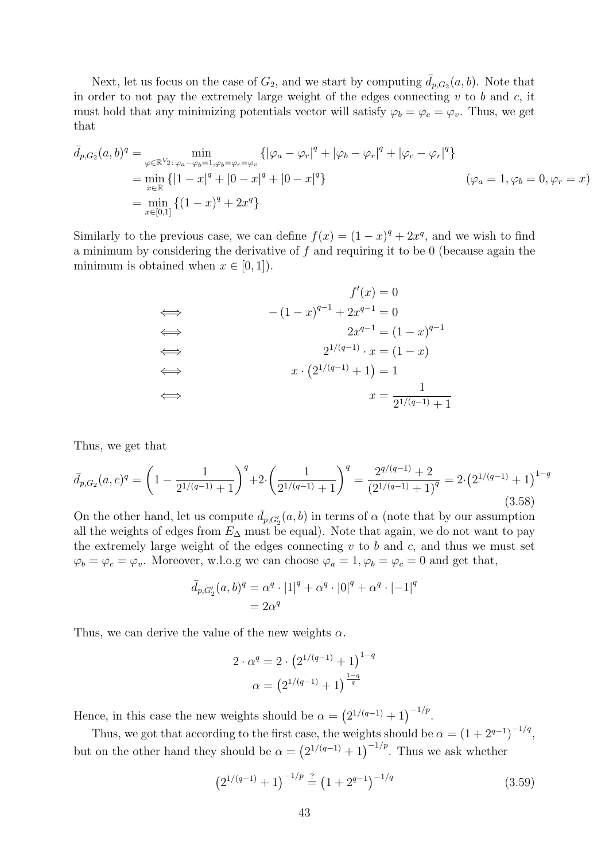Next, let us focus on the case of  $G_2$ , and we start by computing  $\overline{d}_{p,G_2}(a, b)$ . Note that in order to not pay the extremely large weight of the edges connecting  $v$  to  $b$  and  $c$ , it must hold that any minimizing potentials vector will satisfy  $\varphi_b = \varphi_c = \varphi_v$ . Thus, we get that

$$
\bar{d}_{p,G_2}(a,b)^q = \min_{\varphi \in \mathbb{R}^{V_2}: \varphi_a - \varphi_b = 1, \varphi_b = \varphi_c = \varphi_v} \{ |\varphi_a - \varphi_r|^q + |\varphi_b - \varphi_r|^q + |\varphi_c - \varphi_r|^q \}
$$
\n
$$
= \min_{x \in \mathbb{R}} \{ |1 - x|^q + |0 - x|^q + |0 - x|^q \}
$$
\n
$$
= \min_{x \in [0,1]} \{ (1 - x)^q + 2x^q \}
$$
\n
$$
( \varphi_a = 1, \varphi_b = 0, \varphi_r = x )
$$

Similarly to the previous case, we can define  $f(x) = (1 - x)^q + 2x^q$ , and we wish to find a minimum by considering the derivative of  $f$  and requiring it to be 0 (because again the minimum is obtained when  $x \in [0, 1]$ .

$$
f'(x) = 0
$$
  
\n
$$
\iff \qquad -(1-x)^{q-1} + 2x^{q-1} = 0
$$
  
\n
$$
\iff \qquad 2x^{q-1} = (1-x)^{q-1}
$$
  
\n
$$
\iff \qquad 2^{1/(q-1)} \cdot x = (1-x)
$$
  
\n
$$
\iff \qquad x \cdot (2^{1/(q-1)} + 1) = 1
$$
  
\n
$$
\iff \qquad x = \frac{1}{2^{1/(q-1)} + 1}
$$

Thus, we get that

$$
\bar{d}_{p,G_2}(a,c)^q = \left(1 - \frac{1}{2^{1/(q-1)}+1}\right)^q + 2 \cdot \left(\frac{1}{2^{1/(q-1)}+1}\right)^q = \frac{2^{q/(q-1)}+2}{(2^{1/(q-1)}+1)^q} = 2 \cdot \left(2^{1/(q-1)}+1\right)^{1-q}
$$
\n(3.58)

On the other hand, let us compute  $\bar{d}_{p,G_2'}(a,b)$  in terms of  $\alpha$  (note that by our assumption all the weights of edges from  $E_{\Delta}$  must be equal). Note that again, we do not want to pay the extremely large weight of the edges connecting  $v$  to  $b$  and  $c$ , and thus we must set  $\varphi_b = \varphi_c = \varphi_v$ . Moreover, w.l.o.g we can choose  $\varphi_a = 1, \varphi_b = \varphi_c = 0$  and get that,

$$
\bar{d}_{p,G'_2}(a,b)^q = \alpha^q \cdot |1|^q + \alpha^q \cdot |0|^q + \alpha^q \cdot |-1|^q
$$
  
=  $2\alpha^q$ 

Thus, we can derive the value of the new weights  $\alpha$ .

<span id="page-42-0"></span>
$$
2 \cdot \alpha^{q} = 2 \cdot (2^{1/(q-1)} + 1)^{1-q}
$$

$$
\alpha = (2^{1/(q-1)} + 1)^{\frac{1-q}{q}}
$$

Hence, in this case the new weights should be  $\alpha = (2^{1/(q-1)} + 1)^{-1/p}$ .

Thus, we got that according to the first case, the weights should be  $\alpha = (1 + 2^{q-1})^{-1/q}$ , but on the other hand they should be  $\alpha = (2^{1/(q-1)} + 1)^{-1/p}$ . Thus we ask whether

$$
\left(2^{1/(q-1)} + 1\right)^{-1/p} \stackrel{?}{=} \left(1 + 2^{q-1}\right)^{-1/q} \tag{3.59}
$$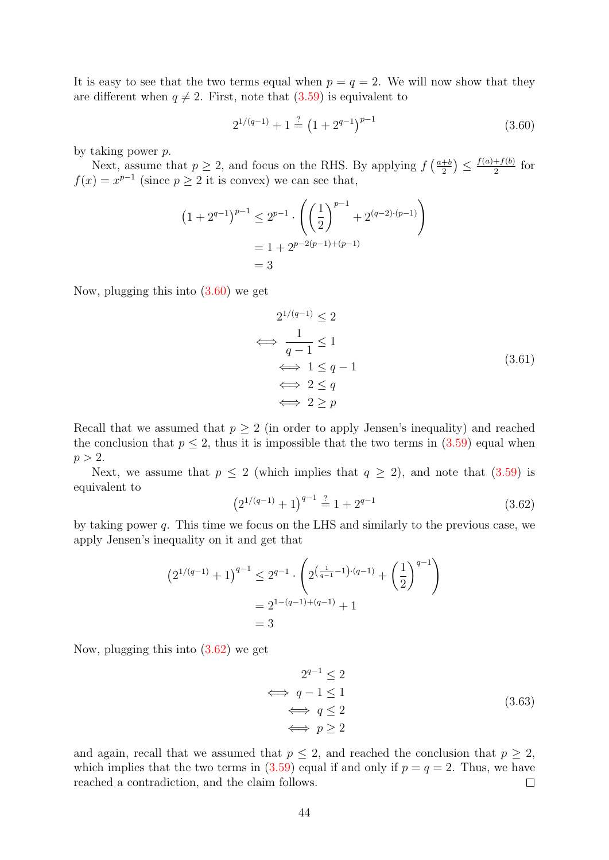It is easy to see that the two terms equal when  $p = q = 2$ . We will now show that they are different when  $q \neq 2$ . First, note that [\(3.59\)](#page-42-0) is equivalent to

<span id="page-43-0"></span>
$$
2^{1/(q-1)} + 1 \stackrel{?}{=} (1 + 2^{q-1})^{p-1}
$$
\n(3.60)

by taking power p.

Next, assume that  $p \geq 2$ , and focus on the RHS. By applying  $f\left(\frac{a+b}{2}\right)$  $\frac{a+b}{2}\big)\leq\frac{f(a)+f(b)}{2}$  $rac{+f(0)}{2}$  for  $f(x) = x^{p-1}$  (since  $p \ge 2$  it is convex) we can see that,

$$
(1 + 2^{q-1})^{p-1} \le 2^{p-1} \cdot \left( \left(\frac{1}{2}\right)^{p-1} + 2^{(q-2)\cdot(p-1)} \right)
$$
  
= 1 + 2^{p-2(p-1)+(p-1)}  
= 3

Now, plugging this into [\(3.60\)](#page-43-0) we get

$$
2^{1/(q-1)} \le 2
$$
  
\n
$$
\iff \frac{1}{q-1} \le 1
$$
  
\n
$$
\iff 1 \le q-1
$$
  
\n
$$
\iff 2 \le q
$$
  
\n
$$
\iff 2 \ge p
$$
  
\n(3.61)

Recall that we assumed that  $p \geq 2$  (in order to apply Jensen's inequality) and reached the conclusion that  $p \leq 2$ , thus it is impossible that the two terms in  $(3.59)$  equal when  $p > 2$ .

<span id="page-43-1"></span>Next, we assume that  $p \leq 2$  (which implies that  $q \geq 2$ ), and note that  $(3.59)$  is equivalent to

$$
(2^{1/(q-1)} + 1)^{q-1} \stackrel{?}{=} 1 + 2^{q-1} \tag{3.62}
$$

by taking power q. This time we focus on the LHS and similarly to the previous case, we apply Jensen's inequality on it and get that

$$
(2^{1/(q-1)} + 1)^{q-1} \le 2^{q-1} \cdot \left( 2^{\left(\frac{1}{q-1} - 1\right) \cdot (q-1)} + \left(\frac{1}{2}\right)^{q-1} \right)
$$
  
=  $2^{1-(q-1)+(q-1)} + 1$   
= 3

Now, plugging this into [\(3.62\)](#page-43-1) we get

$$
2^{q-1} \le 2
$$
  
\n
$$
\iff q-1 \le 1
$$
  
\n
$$
\iff q \le 2
$$
  
\n
$$
\iff p \ge 2
$$
  
\n(3.63)

and again, recall that we assumed that  $p \leq 2$ , and reached the conclusion that  $p \geq 2$ , which implies that the two terms in  $(3.59)$  equal if and only if  $p = q = 2$ . Thus, we have reached a contradiction, and the claim follows.  $\Box$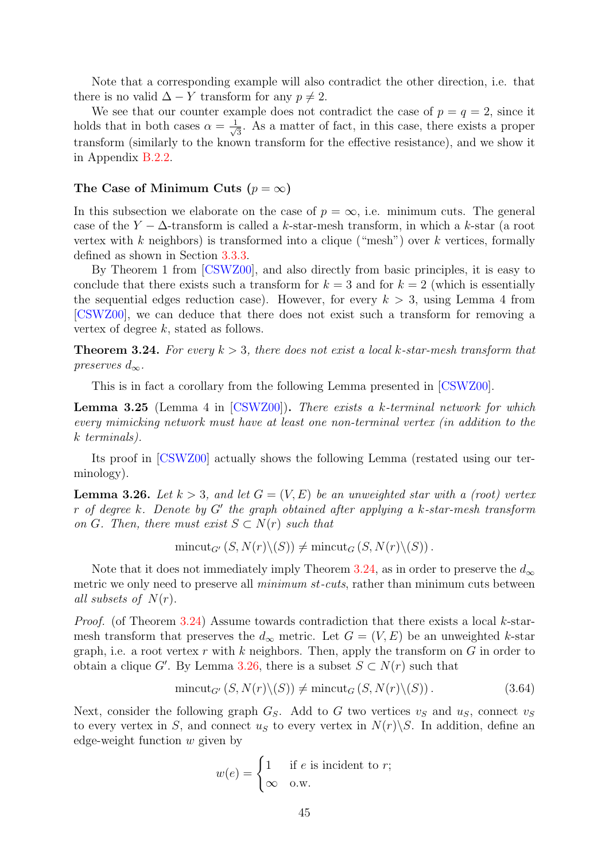Note that a corresponding example will also contradict the other direction, i.e. that there is no valid  $\Delta - Y$  transform for any  $p \neq 2$ .

We see that our counter example does not contradict the case of  $p = q = 2$ , since it holds that in both cases  $\alpha = \frac{1}{\sqrt{2}}$  $\frac{1}{3}$ . As a matter of fact, in this case, there exists a proper transform (similarly to the known transform for the effective resistance), and we show it in Appendix [B.2.2.](#page-59-0)

#### <span id="page-44-0"></span>The Case of Minimum Cuts ( $p = \infty$ )

In this subsection we elaborate on the case of  $p = \infty$ , i.e. minimum cuts. The general case of the Y  $-\Delta$ -transform is called a k-star-mesh transform, in which a k-star (a root vertex with k neighbors) is transformed into a clique ("mesh") over k vertices, formally defined as shown in Section [3.3.3.](#page-38-0)

By Theorem 1 from [\[CSWZ00\]](#page-50-10), and also directly from basic principles, it is easy to conclude that there exists such a transform for  $k = 3$  and for  $k = 2$  (which is essentially the sequential edges reduction case). However, for every  $k > 3$ , using Lemma 4 from [\[CSWZ00\]](#page-50-10), we can deduce that there does not exist such a transform for removing a vertex of degree k, stated as follows.

<span id="page-44-1"></span>**Theorem 3.24.** For every  $k > 3$ , there does not exist a local k-star-mesh transform that preserves  $d_{\infty}$ .

This is in fact a corollary from the following Lemma presented in [\[CSWZ00\]](#page-50-10).

**Lemma 3.25** (Lemma 4 in  $\text{[CSWZ00]}$  $\text{[CSWZ00]}$  $\text{[CSWZ00]}$ ). There exists a k-terminal network for which every mimicking network must have at least one non-terminal vertex (in addition to the k terminals).

Its proof in [\[CSWZ00\]](#page-50-10) actually shows the following Lemma (restated using our terminology).

<span id="page-44-2"></span>**Lemma 3.26.** Let  $k > 3$ , and let  $G = (V, E)$  be an unweighted star with a (root) vertex r of degree  $k$ . Denote by  $G'$  the graph obtained after applying a  $k$ -star-mesh transform on G. Then, there must exist  $S \subset N(r)$  such that

 $\text{mincut}_{G'}(S, N(r)\backslash (S)) \neq \text{mincut}_{G}(S, N(r)\backslash (S)).$ 

Note that it does not immediately imply Theorem [3.24,](#page-44-1) as in order to preserve the  $d_{\infty}$ metric we only need to preserve all *minimum st-cuts*, rather than minimum cuts between all subsets of  $N(r)$ .

Proof. (of Theorem [3.24\)](#page-44-1) Assume towards contradiction that there exists a local k-starmesh transform that preserves the  $d_{\infty}$  metric. Let  $G = (V, E)$  be an unweighted k-star graph, i.e. a root vertex r with k neighbors. Then, apply the transform on  $G$  in order to obtain a clique G'. By Lemma [3.26,](#page-44-2) there is a subset  $S \subset N(r)$  such that

$$
\text{mincut}_{G'}\left(S, N(r)\backslash (S)\right) \neq \text{mincut}_G\left(S, N(r)\backslash (S)\right). \tag{3.64}
$$

Next, consider the following graph  $G_S$ . Add to G two vertices  $v_S$  and  $u_S$ , connect  $v_S$ to every vertex in S, and connect  $u<sub>S</sub>$  to every vertex in  $N(r)\S$ . In addition, define an edge-weight function w given by

<span id="page-44-3"></span>
$$
w(e) = \begin{cases} 1 & \text{if } e \text{ is incident to } r; \\ \infty & \text{o.w.} \end{cases}
$$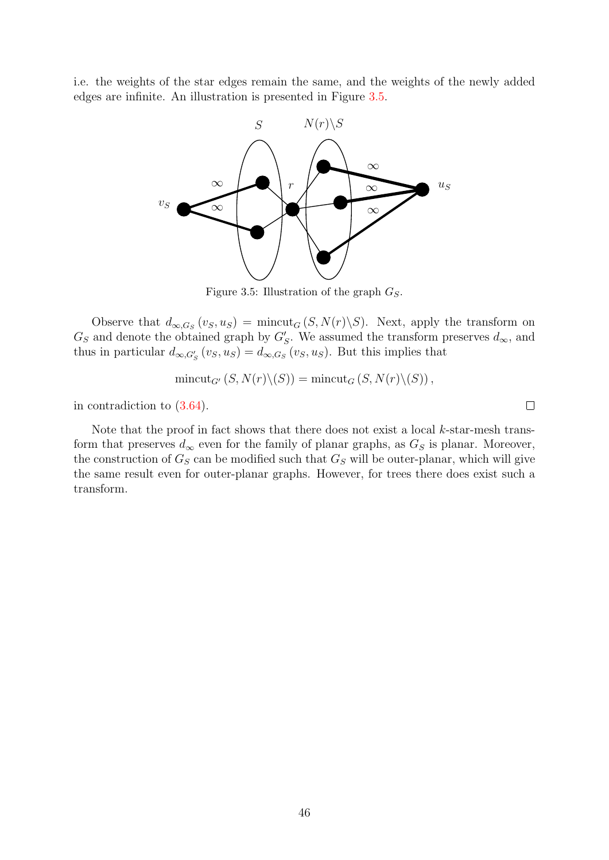<span id="page-45-0"></span>i.e. the weights of the star edges remain the same, and the weights of the newly added edges are infinite. An illustration is presented in Figure [3.5.](#page-45-0)



Figure 3.5: Illustration of the graph  $G_S$ .

Observe that  $d_{\infty,G_S}(v_S,u_S) = \text{mincut}_G(S,N(r)\backslash S)$ . Next, apply the transform on  $G_S$  and denote the obtained graph by  $G'_S$ . We assumed the transform preserves  $d_{\infty}$ , and thus in particular  $d_{\infty,G'_S}(v_S, u_S) = d_{\infty,G_S}(v_S, u_S)$ . But this implies that

$$
\text{mincut}_{G'}\left(S, N(r)\backslash (S)\right) = \text{mincut}_G\left(S, N(r)\backslash (S)\right),
$$

in contradiction to [\(3.64\)](#page-44-3).

Note that the proof in fact shows that there does not exist a local  $k$ -star-mesh transform that preserves  $d_{\infty}$  even for the family of planar graphs, as  $G_S$  is planar. Moreover, the construction of  $G_S$  can be modified such that  $G_S$  will be outer-planar, which will give the same result even for outer-planar graphs. However, for trees there does exist such a transform.

 $\Box$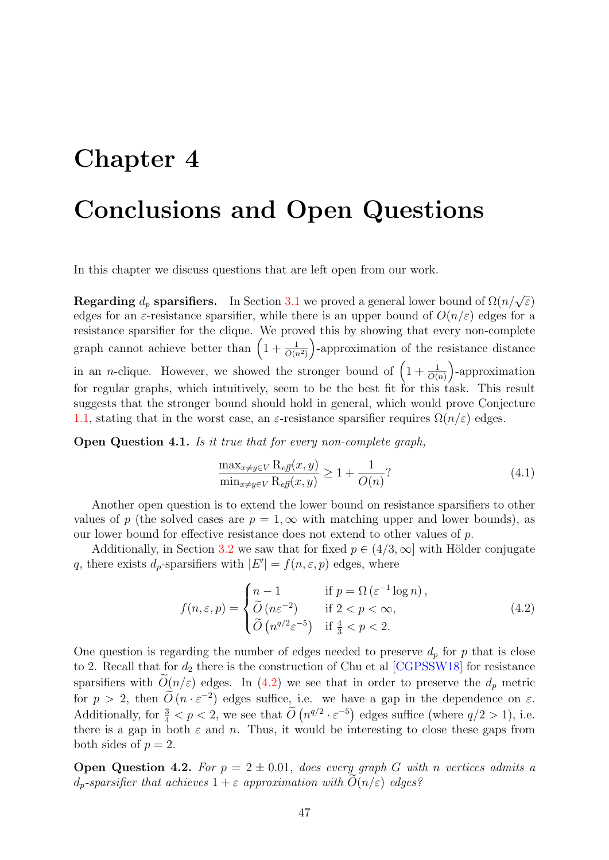# <span id="page-46-0"></span>Chapter 4

# Conclusions and Open Questions

In this chapter we discuss questions that are left open from our work.

**Regarding**  $d_p$  **sparsifiers.** In Section [3.1](#page-22-1) we proved a general lower bound of  $\Omega(n/\sqrt{\varepsilon})$ edges for an  $\varepsilon$ -resistance sparsifier, while there is an upper bound of  $O(n/\varepsilon)$  edges for a resistance sparsifier for the clique. We proved this by showing that every non-complete graph cannot achieve better than  $\left(1+\frac{1}{O(n^2)}\right)$ -approximation of the resistance distance in an *n*-clique. However, we showed the stronger bound of  $\left(1+\frac{1}{O(n)}\right)$ -approximation for regular graphs, which intuitively, seem to be the best fit for this task. This result suggests that the stronger bound should hold in general, which would prove Conjecture [1.1,](#page-7-2) stating that in the worst case, an  $\varepsilon$ -resistance sparsifier requires  $\Omega(n/\varepsilon)$  edges.

Open Question 4.1. Is it true that for every non-complete graph,

<span id="page-46-1"></span>
$$
\frac{\max_{x \neq y \in V} \mathcal{R}_{\text{eff}}(x, y)}{\min_{x \neq y \in V} \mathcal{R}_{\text{eff}}(x, y)} \ge 1 + \frac{1}{O(n)}?
$$
\n(4.1)

Another open question is to extend the lower bound on resistance sparsifiers to other values of p (the solved cases are  $p = 1, \infty$  with matching upper and lower bounds), as our lower bound for effective resistance does not extend to other values of p.

Additionally, in Section [3.2](#page-34-1) we saw that for fixed  $p \in (4/3, \infty]$  with Hölder conjugate q, there exists  $d_p$ -sparsifiers with  $|E'| = f(n, \varepsilon, p)$  edges, where

$$
f(n,\varepsilon,p) = \begin{cases} n-1 & \text{if } p = \Omega\left(\varepsilon^{-1}\log n\right), \\ \widetilde{O}\left(n\varepsilon^{-2}\right) & \text{if } 2 < p < \infty, \\ \widetilde{O}\left(n^{q/2}\varepsilon^{-5}\right) & \text{if } \frac{4}{3} < p < 2. \end{cases} \tag{4.2}
$$

One question is regarding the number of edges needed to preserve  $d_p$  for p that is close to 2. Recall that for  $d_2$  there is the construction of Chu et al  $[CGPSSW18]$  for resistance sparsifiers with  $O(n/\varepsilon)$  edges. In [\(4.2\)](#page-46-1) we see that in order to preserve the  $d_p$  metric for  $p > 2$ , then  $\widetilde{O}(n \cdot \varepsilon^{-2})$  edges suffice, i.e. we have a gap in the dependence on  $\varepsilon$ . Additionally, for  $\frac{3}{4} < p < 2$ , we see that  $\widetilde{O}(n^{q/2} \cdot \varepsilon^{-5})$  edges suffice (where  $q/2 > 1$ ), i.e. there is a gap in both  $\varepsilon$  and n. Thus, it would be interesting to close these gaps from both sides of  $p = 2$ .

**Open Question 4.2.** For  $p = 2 \pm 0.01$ , does every graph G with n vertices admits a  $d_p$ -sparsifier that achieves  $1 + \varepsilon$  approximation with  $O(n/\varepsilon)$  edges?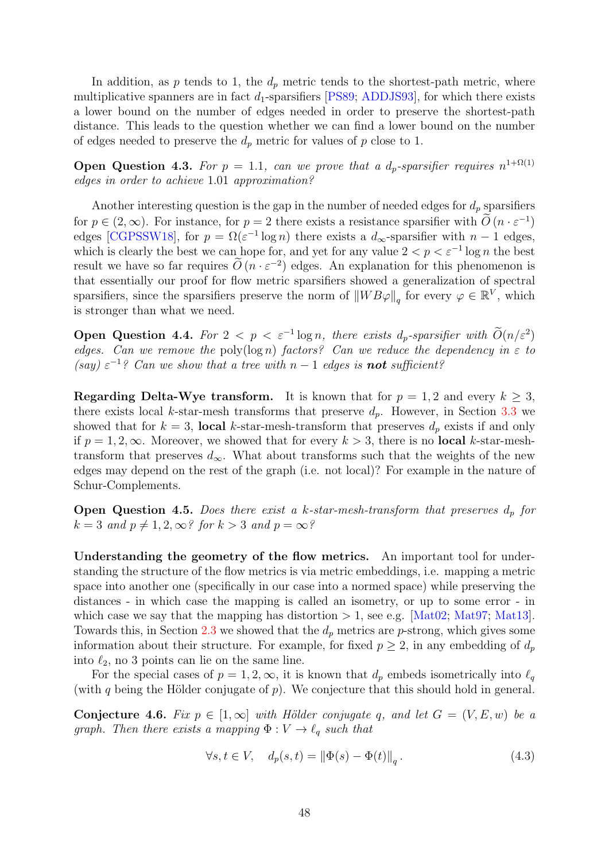In addition, as p tends to 1, the  $d_p$  metric tends to the shortest-path metric, where multiplicative spanners are in fact  $d_1$ -sparsifiers [\[PS89;](#page-52-2) [ADDJS93\]](#page-49-4), for which there exists a lower bound on the number of edges needed in order to preserve the shortest-path distance. This leads to the question whether we can find a lower bound on the number of edges needed to preserve the  $d_p$  metric for values of p close to 1.

**Open Question 4.3.** For  $p = 1.1$ , can we prove that a  $d_p$ -sparsifier requires  $n^{1+\Omega(1)}$ edges in order to achieve 1.01 approximation?

Another interesting question is the gap in the number of needed edges for  $d_p$  sparsifiers for  $p \in (2,\infty)$ . For instance, for  $p=2$  there exists a resistance sparsifier with  $\tilde{O}(n \cdot \varepsilon^{-1})$ edges [\[CGPSSW18\]](#page-50-5), for  $p = \Omega(\varepsilon^{-1} \log n)$  there exists a  $d_{\infty}$ -sparsifier with  $n-1$  edges, which is clearly the best we can hope for, and yet for any value  $2 < p < \varepsilon^{-1} \log n$  the best result we have so far requires  $\tilde{O}(n \cdot \varepsilon^{-2})$  edges. An explanation for this phenomenon is that essentially our proof for flow metric sparsifiers showed a generalization of spectral sparsifiers, since the sparsifiers preserve the norm of  $\|WB\varphi\|_q$  for every  $\varphi \in \mathbb{R}^V$ , which is stronger than what we need.

Open Question 4.4. For  $2 < p < \varepsilon^{-1} \log n$ , there exists  $d_p$ -sparsifier with  $O(n/\varepsilon^2)$ edges. Can we remove the poly(log n) factors? Can we reduce the dependency in  $\varepsilon$  to  $(say) \varepsilon^{-1}$ ? Can we show that a tree with  $n-1$  edges is **not** sufficient?

**Regarding Delta-Wye transform.** It is known that for  $p = 1, 2$  and every  $k \geq 3$ , there exists local k-star-mesh transforms that preserve  $d_p$ . However, in Section [3.3](#page-36-0) we showed that for  $k = 3$ , local k-star-mesh-transform that preserves  $d_p$  exists if and only if  $p = 1, 2, \infty$ . Moreover, we showed that for every  $k > 3$ , there is no **local** k-star-meshtransform that preserves  $d_{\infty}$ . What about transforms such that the weights of the new edges may depend on the rest of the graph (i.e. not local)? For example in the nature of Schur-Complements.

**Open Question 4.5.** Does there exist a k-star-mesh-transform that preserves  $d_p$  for  $k = 3$  and  $p \neq 1, 2, \infty$ ? for  $k > 3$  and  $p = \infty$ ?

Understanding the geometry of the flow metrics. An important tool for understanding the structure of the flow metrics is via metric embeddings, i.e. mapping a metric space into another one (specifically in our case into a normed space) while preserving the distances - in which case the mapping is called an isometry, or up to some error - in which case we say that the mapping has distortion  $> 1$ , see e.g. [\[Mat02;](#page-51-1) [Mat97;](#page-51-2) [Mat13\]](#page-51-3). Towards this, in Section [2.3](#page-17-0) we showed that the  $d_p$  metrics are p-strong, which gives some information about their structure. For example, for fixed  $p \geq 2$ , in any embedding of  $d_p$ into  $\ell_2$ , no 3 points can lie on the same line.

For the special cases of  $p = 1, 2, \infty$ , it is known that  $d_p$  embeds isometrically into  $\ell_q$ (with q being the Hölder conjugate of  $p$ ). We conjecture that this should hold in general.

<span id="page-47-0"></span>Conjecture 4.6. Fix  $p \in [1,\infty]$  with Hölder conjugate q, and let  $G = (V, E, w)$  be a graph. Then there exists a mapping  $\Phi : V \to \ell_q$  such that

$$
\forall s, t \in V, \quad d_p(s, t) = \left\| \Phi(s) - \Phi(t) \right\|_q. \tag{4.3}
$$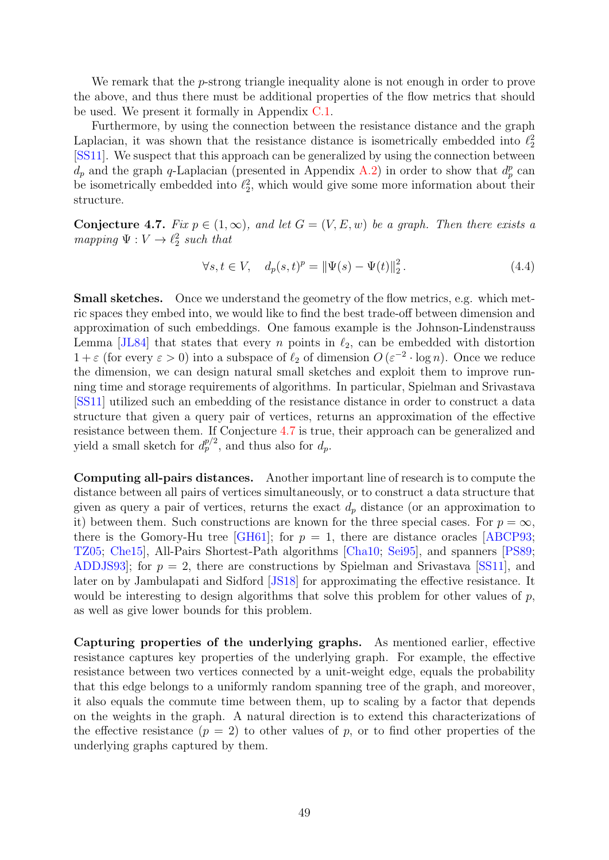We remark that the *p*-strong triangle inequality alone is not enough in order to prove the above, and thus there must be additional properties of the flow metrics that should be used. We present it formally in Appendix [C.1.](#page-63-1)

Furthermore, by using the connection between the resistance distance and the graph Laplacian, it was shown that the resistance distance is isometrically embedded into  $\ell_2^2$ [\[SS11\]](#page-52-3). We suspect that this approach can be generalized by using the connection between  $d_p$  and the graph q-Laplacian (presented in Appendix [A.2\)](#page-54-0) in order to show that  $d_p^p$  can be isometrically embedded into  $\ell_2^2$ , which would give some more information about their structure.

<span id="page-48-0"></span>**Conjecture 4.7.** Fix  $p \in (1,\infty)$ , and let  $G = (V, E, w)$  be a graph. Then there exists a mapping  $\Psi : V \to \ell_2^2$  such that

$$
\forall s, t \in V, \quad d_p(s, t)^p = \|\Psi(s) - \Psi(t)\|_2^2. \tag{4.4}
$$

Small sketches. Once we understand the geometry of the flow metrics, e.g. which metric spaces they embed into, we would like to find the best trade-off between dimension and approximation of such embeddings. One famous example is the Johnson-Lindenstrauss Lemma [\[JL84\]](#page-51-4) that states that every n points in  $\ell_2$ , can be embedded with distortion  $1 + \varepsilon$  (for every  $\varepsilon > 0$ ) into a subspace of  $\ell_2$  of dimension  $O(\varepsilon^{-2} \cdot \log n)$ . Once we reduce the dimension, we can design natural small sketches and exploit them to improve running time and storage requirements of algorithms. In particular, Spielman and Srivastava [\[SS11\]](#page-52-3) utilized such an embedding of the resistance distance in order to construct a data structure that given a query pair of vertices, returns an approximation of the effective resistance between them. If Conjecture [4.7](#page-48-0) is true, their approach can be generalized and yield a small sketch for  $d_p^{p/2}$ , and thus also for  $d_p$ .

Computing all-pairs distances. Another important line of research is to compute the distance between all pairs of vertices simultaneously, or to construct a data structure that given as query a pair of vertices, returns the exact  $d_p$  distance (or an approximation to it) between them. Such constructions are known for the three special cases. For  $p = \infty$ , there is the Gomory-Hu tree [\[GH61\]](#page-51-5); for  $p = 1$ , there are distance oracles [\[ABCP93;](#page-49-3) [TZ05;](#page-52-0) [Che15\]](#page-50-2), All-Pairs Shortest-Path algorithms [\[Cha10;](#page-50-3) [Sei95\]](#page-52-1), and spanners [\[PS89;](#page-52-2) ADDJS93; for  $p = 2$ , there are constructions by Spielman and Srivastava [\[SS11\]](#page-52-3), and later on by Jambulapati and Sidford [\[JS18\]](#page-51-6) for approximating the effective resistance. It would be interesting to design algorithms that solve this problem for other values of  $p$ , as well as give lower bounds for this problem.

Capturing properties of the underlying graphs. As mentioned earlier, effective resistance captures key properties of the underlying graph. For example, the effective resistance between two vertices connected by a unit-weight edge, equals the probability that this edge belongs to a uniformly random spanning tree of the graph, and moreover, it also equals the commute time between them, up to scaling by a factor that depends on the weights in the graph. A natural direction is to extend this characterizations of the effective resistance  $(p = 2)$  to other values of p, or to find other properties of the underlying graphs captured by them.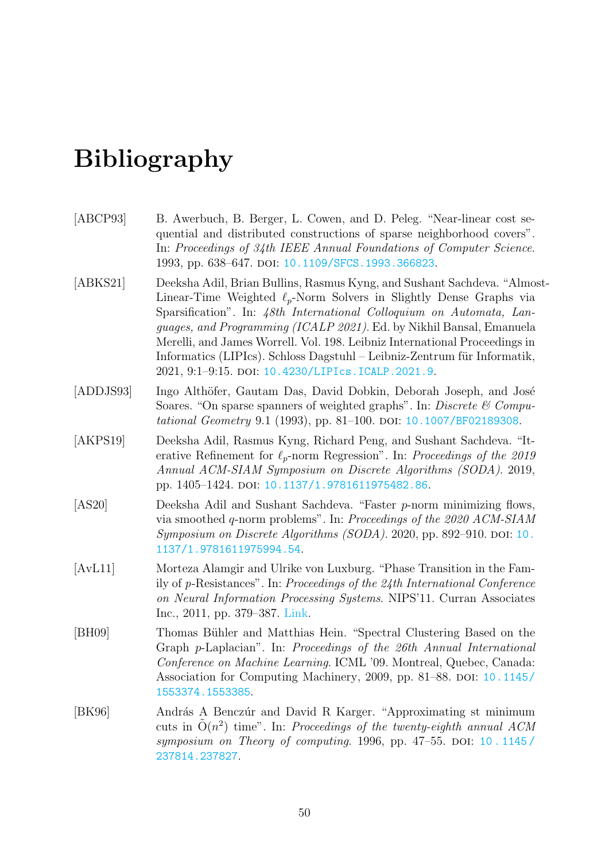# <span id="page-49-0"></span>Bibliography

- <span id="page-49-3"></span>[ABCP93] B. Awerbuch, B. Berger, L. Cowen, and D. Peleg. "Near-linear cost sequential and distributed constructions of sparse neighborhood covers". In: Proceedings of 34th IEEE Annual Foundations of Computer Science. 1993, pp. 638–647. DOI: [10.1109/SFCS.1993.366823](https://doi.org/10.1109/SFCS.1993.366823).
- <span id="page-49-1"></span>[ABKS21] Deeksha Adil, Brian Bullins, Rasmus Kyng, and Sushant Sachdeva. "Almost-Linear-Time Weighted  $\ell_p$ -Norm Solvers in Slightly Dense Graphs via Sparsification". In: 48th International Colloquium on Automata, Languages, and Programming (ICALP 2021). Ed. by Nikhil Bansal, Emanuela Merelli, and James Worrell. Vol. 198. Leibniz International Proceedings in Informatics (LIPIcs). Schloss Dagstuhl – Leibniz-Zentrum für Informatik, 2021, 9:1–9:15. doi: [10.4230/LIPIcs.ICALP.2021.9](https://doi.org/10.4230/LIPIcs.ICALP.2021.9).
- <span id="page-49-4"></span>[ADDJS93] Ingo Althöfer, Gautam Das, David Dobkin, Deborah Joseph, and José Soares. "On sparse spanners of weighted graphs". In: Discrete  $\mathcal C$  Compu-tational Geometry 9.1 (1993), pp. 81–100. doi: [10.1007/BF02189308](https://doi.org/10.1007/BF02189308).
- <span id="page-49-7"></span>[AKPS19] Deeksha Adil, Rasmus Kyng, Richard Peng, and Sushant Sachdeva. "Iterative Refinement for  $\ell_p$ -norm Regression". In: Proceedings of the 2019 Annual ACM-SIAM Symposium on Discrete Algorithms (SODA). 2019, pp. 1405-1424. DOI: [10.1137/1.9781611975482.86](https://doi.org/10.1137/1.9781611975482.86).
- <span id="page-49-2"></span>[AS20] Deeksha Adil and Sushant Sachdeva. "Faster p-norm minimizing flows, via smoothed q-norm problems". In: Proceedings of the 2020 ACM-SIAM  $Symposium on Discrete Algorithms (SODA). 2020, pp. 892–910. DOI:  $10$ .$  $Symposium on Discrete Algorithms (SODA). 2020, pp. 892–910. DOI:  $10$ .$  $Symposium on Discrete Algorithms (SODA). 2020, pp. 892–910. DOI:  $10$ .$ [1137/1.9781611975994.54](https://doi.org/10.1137/1.9781611975994.54).
- <span id="page-49-6"></span>[AvL11] Morteza Alamgir and Ulrike von Luxburg. "Phase Transition in the Family of p-Resistances". In: Proceedings of the 24th International Conference on Neural Information Processing Systems. NIPS'11. Curran Associates Inc., 2011, pp. 379–387. [Link.](https://proceedings.neurips.cc/paper/2011/hash/07cdfd23373b17c6b337251c22b7ea57-Abstract.html)
- <span id="page-49-8"></span>[BH09] Thomas Bühler and Matthias Hein. "Spectral Clustering Based on the Graph p-Laplacian". In: Proceedings of the 26th Annual International Conference on Machine Learning. ICML '09. Montreal, Quebec, Canada: Association for Computing Machinery, 2009, pp. 81–88. DOI: [10.1145/](https://doi.org/10.1145/1553374.1553385) [1553374.1553385](https://doi.org/10.1145/1553374.1553385).
- <span id="page-49-5"></span>[BK96] András A Benczúr and David R Karger. "Approximating st minimum cuts in  $\tilde{O}(n^2)$  time". In: Proceedings of the twenty-eighth annual ACM symposium on Theory of computing. 1996, pp. 47–55. DOI:  $10.1145/$ [237814.237827](https://doi.org/10.1145/237814.237827).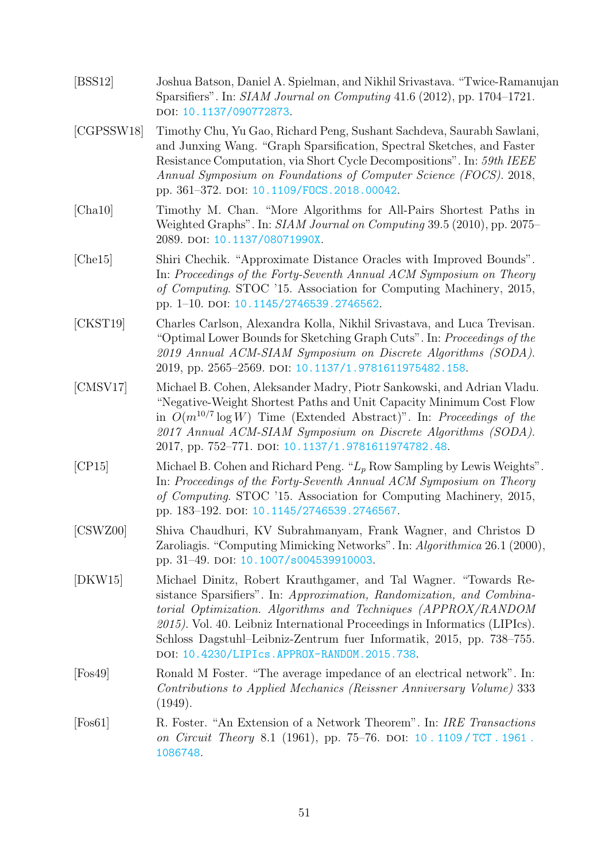<span id="page-50-10"></span><span id="page-50-9"></span><span id="page-50-8"></span><span id="page-50-7"></span><span id="page-50-6"></span><span id="page-50-5"></span><span id="page-50-4"></span><span id="page-50-3"></span><span id="page-50-2"></span><span id="page-50-1"></span><span id="page-50-0"></span>

| [BSS12]           | Joshua Batson, Daniel A. Spielman, and Nikhil Srivastava. "Twice-Ramanujan<br>Sparsifiers". In: SIAM Journal on Computing 41.6 (2012), pp. 1704–1721.<br>DOI: 10.1137/090772873.                                                                                                                                                                                                                                   |
|-------------------|--------------------------------------------------------------------------------------------------------------------------------------------------------------------------------------------------------------------------------------------------------------------------------------------------------------------------------------------------------------------------------------------------------------------|
| [CGPSSW18]        | Timothy Chu, Yu Gao, Richard Peng, Sushant Sachdeva, Saurabh Sawlani,<br>and Junxing Wang. "Graph Sparsification, Spectral Sketches, and Faster<br>Resistance Computation, via Short Cycle Decompositions". In: 59th IEEE<br>Annual Symposium on Foundations of Computer Science (FOCS). 2018,<br>pp. 361-372. DOI: 10.1109/F0CS.2018.00042.                                                                       |
| [Cha10]           | Timothy M. Chan. "More Algorithms for All-Pairs Shortest Paths in<br>Weighted Graphs". In: SIAM Journal on Computing 39.5 (2010), pp. 2075–<br>2089. DOI: 10.1137/08071990X.                                                                                                                                                                                                                                       |
| [Che15]           | Shiri Chechik. "Approximate Distance Oracles with Improved Bounds".<br>In: Proceedings of the Forty-Seventh Annual ACM Symposium on Theory<br>of Computing. STOC '15. Association for Computing Machinery, 2015,<br>pp. 1-10. DOI: 10.1145/2746539.2746562.                                                                                                                                                        |
| [CKST19]          | Charles Carlson, Alexandra Kolla, Nikhil Srivastava, and Luca Trevisan.<br>"Optimal Lower Bounds for Sketching Graph Cuts". In: Proceedings of the<br>2019 Annual ACM-SIAM Symposium on Discrete Algorithms (SODA).<br>2019, pp. 2565-2569. DOI: 10.1137/1.9781611975482.158.                                                                                                                                      |
| [ <b>CMSV17</b> ] | Michael B. Cohen, Aleksander Madry, Piotr Sankowski, and Adrian Vladu.<br>"Negative-Weight Shortest Paths and Unit Capacity Minimum Cost Flow<br>in $O(m^{10/7} \log W)$ Time (Extended Abstract)". In: Proceedings of the<br>2017 Annual ACM-SIAM Symposium on Discrete Algorithms (SODA).<br>2017, pp. 752-771. DOI: 10.1137/1.9781611974782.48.                                                                 |
| [CP15]            | Michael B. Cohen and Richard Peng. " $L_p$ Row Sampling by Lewis Weights".<br>In: Proceedings of the Forty-Seventh Annual ACM Symposium on Theory<br>of Computing. STOC '15. Association for Computing Machinery, 2015,<br>pp. 183-192. DOI: 10.1145/2746539.2746567.                                                                                                                                              |
| [CSWZ00]          | Shiva Chaudhuri, KV Subrahmanyam, Frank Wagner, and Christos D<br>Zaroliagis. "Computing Mimicking Networks". In: Algorithmica 26.1 (2000),<br>pp. 31-49. DOI: 10.1007/s004539910003.                                                                                                                                                                                                                              |
| [DKW15]           | Michael Dinitz, Robert Krauthgamer, and Tal Wagner. "Towards Re-<br>sistance Sparsifiers". In: Approximation, Randomization, and Combina-<br>torial Optimization. Algorithms and Techniques (APPROX/RANDOM<br>$2015$ ). Vol. 40. Leibniz International Proceedings in Informatics (LIPIcs).<br>Schloss Dagstuhl-Leibniz-Zentrum fuer Informatik, 2015, pp. 738–755.<br>DOI: 10.4230/LIPIcs.APPROX-RANDOM.2015.738. |
| [Fos49]           | Ronald M Foster. "The average impedance of an electrical network". In:<br>Contributions to Applied Mechanics (Reissner Anniversary Volume) 333<br>(1949).                                                                                                                                                                                                                                                          |
| [Fos61]           | R. Foster. "An Extension of a Network Theorem". In: IRE Transactions<br>on Circuit Theory 8.1 (1961), pp. 75–76. DOI: 10. 1109/TCT. 1961.<br>1086748.                                                                                                                                                                                                                                                              |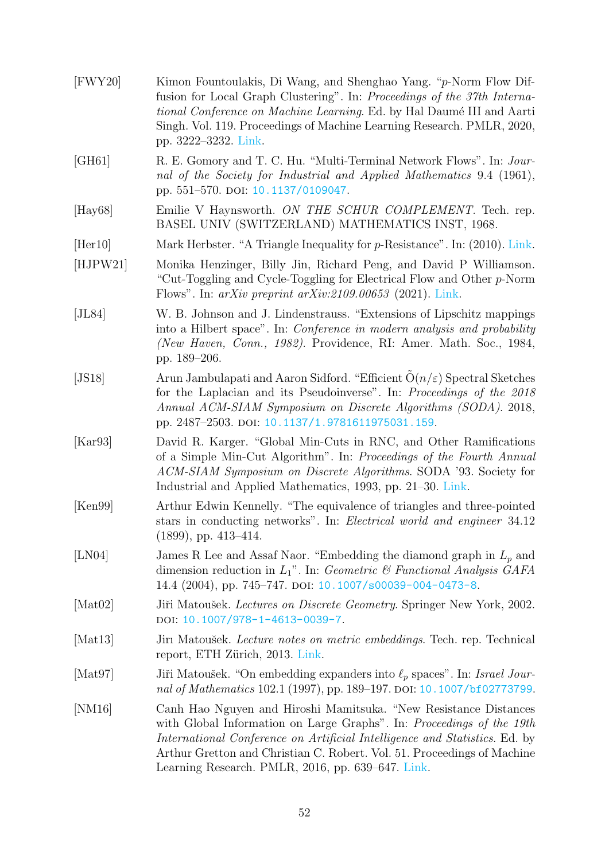<span id="page-51-13"></span><span id="page-51-12"></span><span id="page-51-11"></span><span id="page-51-10"></span><span id="page-51-9"></span><span id="page-51-8"></span><span id="page-51-7"></span><span id="page-51-6"></span><span id="page-51-5"></span><span id="page-51-4"></span><span id="page-51-3"></span><span id="page-51-2"></span><span id="page-51-1"></span><span id="page-51-0"></span>

| [FWY20]          | Kimon Fountoulakis, Di Wang, and Shenghao Yang. "p-Norm Flow Dif-<br>fusion for Local Graph Clustering". In: Proceedings of the 37th Interna-<br><i>tional Conference on Machine Learning.</i> Ed. by Hal Daumé III and Aarti<br>Singh. Vol. 119. Proceedings of Machine Learning Research. PMLR, 2020,<br>pp. 3222-3232. Link.                         |
|------------------|---------------------------------------------------------------------------------------------------------------------------------------------------------------------------------------------------------------------------------------------------------------------------------------------------------------------------------------------------------|
| [GH61]           | R. E. Gomory and T. C. Hu. "Multi-Terminal Network Flows". In: Jour-<br>nal of the Society for Industrial and Applied Mathematics 9.4 (1961),<br>pp. 551-570. DOI: 10.1137/0109047.                                                                                                                                                                     |
| $[\text{Hay68}]$ | Emilie V Haynsworth. ON THE SCHUR COMPLEMENT. Tech. rep.<br>BASEL UNIV (SWITZERLAND) MATHEMATICS INST, 1968.                                                                                                                                                                                                                                            |
| [Her10]          | Mark Herbster. "A Triangle Inequality for $p$ -Resistance". In: (2010). Link.                                                                                                                                                                                                                                                                           |
| [HJPW21]         | Monika Henzinger, Billy Jin, Richard Peng, and David P Williamson.<br>"Cut-Toggling and Cycle-Toggling for Electrical Flow and Other p-Norm<br>Flows". In: $arXiv$ preprint $arXiv:2109.00653$ (2021). Link.                                                                                                                                            |
| [JL84]           | W. B. Johnson and J. Lindenstrauss. "Extensions of Lipschitz mappings<br>into a Hilbert space". In: <i>Conference in modern analysis and probability</i><br>(New Haven, Conn., 1982). Providence, RI: Amer. Math. Soc., 1984,<br>pp. 189–206.                                                                                                           |
| [JS18]           | Arun Jambulapati and Aaron Sidford. "Efficient $O(n/\varepsilon)$ Spectral Sketches<br>for the Laplacian and its Pseudoinverse". In: Proceedings of the 2018<br>Annual ACM-SIAM Symposium on Discrete Algorithms (SODA). 2018,<br>pp. 2487-2503. DOI: 10.1137/1.9781611975031.159.                                                                      |
| [Kar93]          | David R. Karger. "Global Min-Cuts in RNC, and Other Ramifications<br>of a Simple Min-Cut Algorithm". In: Proceedings of the Fourth Annual<br>ACM-SIAM Symposium on Discrete Algorithms. SODA '93. Society for<br>Industrial and Applied Mathematics, 1993, pp. 21–30. Link.                                                                             |
| [Ken99]          | Arthur Edwin Kennelly. "The equivalence of triangles and three-pointed<br>stars in conducting networks". In: Electrical world and engineer 34.12<br>$(1899)$ , pp. 413-414.                                                                                                                                                                             |
| [LN04]           | James R Lee and Assaf Naor. "Embedding the diamond graph in $L_p$ and<br>dimension reduction in $L_1$ ". In: Geometric & Functional Analysis GAFA<br>14.4 (2004), pp. 745-747. DOI: 10.1007/s00039-004-0473-8.                                                                                                                                          |
| [Mat02]          | Jiři Matoušek. Lectures on Discrete Geometry. Springer New York, 2002.<br>DOI: 10.1007/978-1-4613-0039-7.                                                                                                                                                                                                                                               |
| [Mat13]          | Jiri Matoušek. Lecture notes on metric embeddings. Tech. rep. Technical<br>report, ETH Zürich, 2013. Link.                                                                                                                                                                                                                                              |
| [Mat97]          | Jiři Matoušek. "On embedding expanders into $\ell_p$ spaces". In: Israel Jour-<br>nal of Mathematics 102.1 (1997), pp. 189-197. DOI: 10.1007/bf02773799.                                                                                                                                                                                                |
| [NM16]           | Canh Hao Nguyen and Hiroshi Mamitsuka. "New Resistance Distances<br>with Global Information on Large Graphs". In: Proceedings of the 19th<br>International Conference on Artificial Intelligence and Statistics. Ed. by<br>Arthur Gretton and Christian C. Robert. Vol. 51. Proceedings of Machine<br>Learning Research. PMLR, 2016, pp. 639–647. Link. |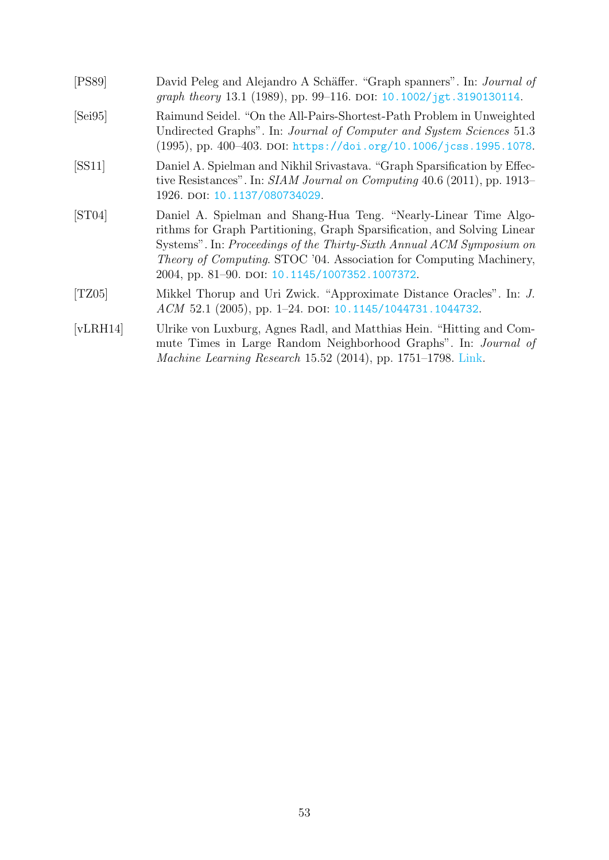<span id="page-52-5"></span><span id="page-52-4"></span><span id="page-52-3"></span><span id="page-52-2"></span><span id="page-52-1"></span><span id="page-52-0"></span>

| [PS89]            | David Peleg and Alejandro A Schäffer. "Graph spanners". In: Journal of<br>graph theory 13.1 (1989), pp. 99-116. DOI: 10.1002/jgt.3190130114.                                                                                                                                                                                                         |
|-------------------|------------------------------------------------------------------------------------------------------------------------------------------------------------------------------------------------------------------------------------------------------------------------------------------------------------------------------------------------------|
| [Sei95]           | Raimund Seidel. "On the All-Pairs-Shortest-Path Problem in Unweighted<br>Undirected Graphs". In: Journal of Computer and System Sciences 51.3<br>(1995), pp. 400-403. DOI: https://doi.org/10.1006/jcss.1995.1078.                                                                                                                                   |
| SS11              | Daniel A. Spielman and Nikhil Srivastava. "Graph Sparsification by Effec-<br>tive Resistances". In: SIAM Journal on Computing 40.6 (2011), pp. 1913–<br>1926. DOI: 10.1137/080734029.                                                                                                                                                                |
| [ST04]            | Daniel A. Spielman and Shang-Hua Teng. "Nearly-Linear Time Algo-<br>rithms for Graph Partitioning, Graph Sparsification, and Solving Linear<br>Systems". In: Proceedings of the Thirty-Sixth Annual ACM Symposium on<br><i>Theory of Computing.</i> STOC '04. Association for Computing Machinery,<br>2004, pp. 81–90. DOI: 10.1145/1007352.1007372. |
| [TZ05]            | Mikkel Thorup and Uri Zwick. "Approximate Distance Oracles". In: J.<br>ACM 52.1 (2005), pp. 1-24. DOI: 10.1145/1044731.1044732.                                                                                                                                                                                                                      |
| [ <b>vLRH14</b> ] | Ulrike von Luxburg, Agnes Radl, and Matthias Hein. "Hitting and Com-<br>mute Times in Large Random Neighborhood Graphs". In: Journal of<br>Machine Learning Research 15.52 (2014), pp. 1751-1798. Link.                                                                                                                                              |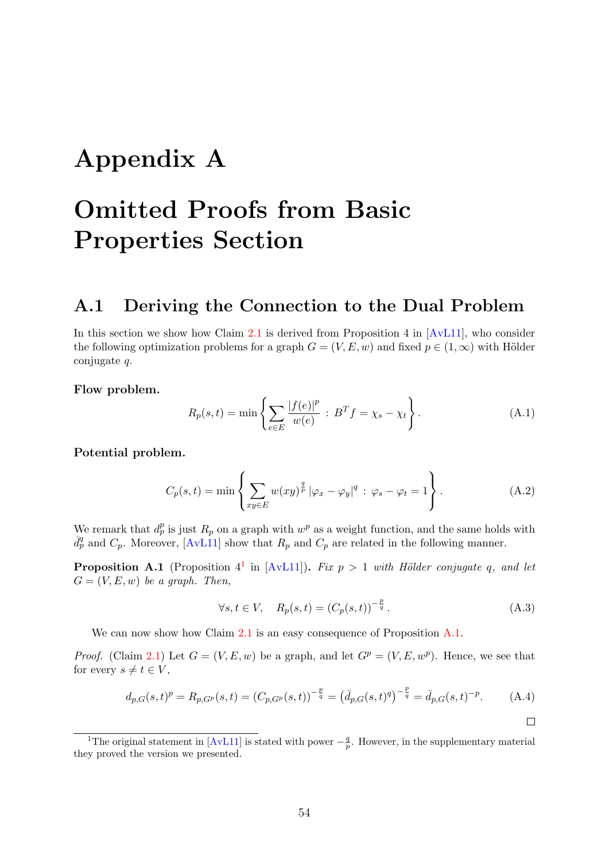# <span id="page-53-0"></span>Appendix A

# Omitted Proofs from Basic Properties Section

### <span id="page-53-1"></span>A.1 Deriving the Connection to the Dual Problem

In this section we show how Claim [2.1](#page-11-3) is derived from Proposition 4 in [\[AvL11\]](#page-49-6), who consider the following optimization problems for a graph  $G = (V, E, w)$  and fixed  $p \in (1, \infty)$  with Hölder conjugate q.

Flow problem.

$$
R_p(s,t) = \min \left\{ \sum_{e \in E} \frac{|f(e)|^p}{w(e)} : B^T f = \chi_s - \chi_t \right\}.
$$
 (A.1)

Potential problem.

$$
C_p(s,t) = \min\left\{\sum_{xy \in E} w(xy)^{\frac{q}{p}} |\varphi_x - \varphi_y|^q : \varphi_s - \varphi_t = 1\right\}.
$$
 (A.2)

We remark that  $d_p^p$  is just  $R_p$  on a graph with  $w^p$  as a weight function, and the same holds with  $\bar{d}_p^q$  and  $C_p$ . Moreover, [\[AvL11\]](#page-49-6) show that  $R_p$  and  $C_p$  are related in the following manner.

<span id="page-53-3"></span>**Proposition A.[1](#page-53-2)** (Proposition  $4^1$  in [\[AvL11\]](#page-49-6)). Fix  $p > 1$  with Hölder conjugate q, and let  $G = (V, E, w)$  be a graph. Then,

$$
\forall s, t \in V, \quad R_p(s, t) = (C_p(s, t))^{-\frac{p}{q}}.
$$
\n(A.3)

We can now show how Claim [2.1](#page-11-3) is an easy consequence of Proposition  $A.1$ .

*Proof.* (Claim [2.1\)](#page-11-3) Let  $G = (V, E, w)$  be a graph, and let  $G^p = (V, E, w^p)$ . Hence, we see that for every  $s \neq t \in V$ ,

$$
d_{p,G}(s,t)^p = R_{p,G^p}(s,t) = (C_{p,G^p}(s,t))^{-\frac{p}{q}} = (\bar{d}_{p,G}(s,t)^q)^{-\frac{p}{q}} = \bar{d}_{p,G}(s,t)^{-p}.
$$
 (A.4)

<span id="page-53-2"></span><sup>&</sup>lt;sup>1</sup>The original statement in [\[AvL11\]](#page-49-6) is stated with power  $-\frac{q}{p}$ . However, in the supplementary material they proved the version we presented.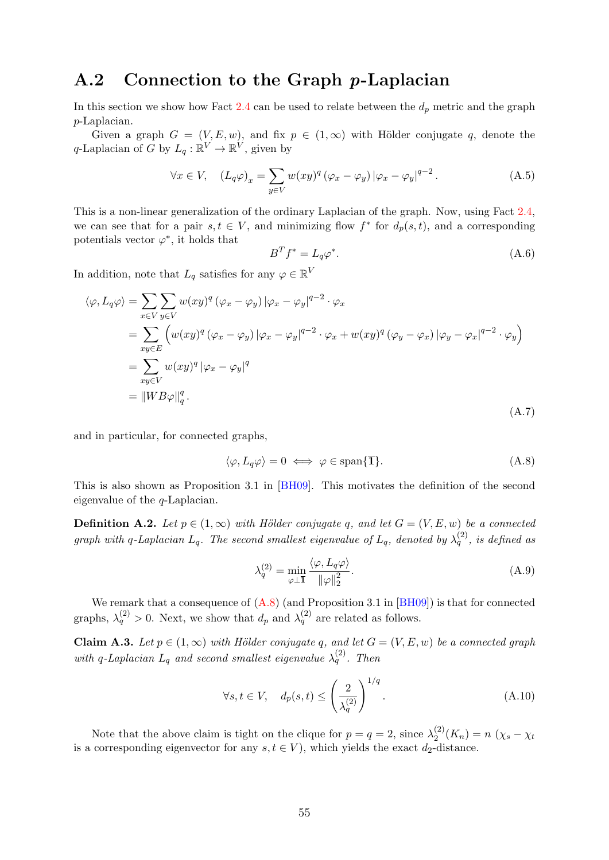### <span id="page-54-0"></span>A.2 Connection to the Graph p-Laplacian

In this section we show how Fact [2.4](#page-13-1) can be used to relate between the  $d_p$  metric and the graph p-Laplacian.

Given a graph  $G = (V, E, w)$ , and fix  $p \in (1, \infty)$  with Hölder conjugate q, denote the q-Laplacian of G by  $L_q : \mathbb{R}^V \to \mathbb{R}^V$ , given by

$$
\forall x \in V, \quad (L_q \varphi)_x = \sum_{y \in V} w(xy)^q \left(\varphi_x - \varphi_y\right) \left|\varphi_x - \varphi_y\right|^{q-2}.
$$
 (A.5)

This is a non-linear generalization of the ordinary Laplacian of the graph. Now, using Fact [2.4,](#page-13-1) we can see that for a pair  $s, t \in V$ , and minimizing flow  $f^*$  for  $d_p(s,t)$ , and a corresponding potentials vector  $\varphi^*$ , it holds that

$$
B^T f^* = L_q \varphi^*.
$$
\n(A.6)

In addition, note that  $L_q$  satisfies for any  $\varphi \in \mathbb{R}^V$ 

$$
\langle \varphi, L_q \varphi \rangle = \sum_{x \in V} \sum_{y \in V} w(xy)^q (\varphi_x - \varphi_y) |\varphi_x - \varphi_y|^{q-2} \cdot \varphi_x
$$
  
\n
$$
= \sum_{xy \in E} \left( w(xy)^q (\varphi_x - \varphi_y) |\varphi_x - \varphi_y|^{q-2} \cdot \varphi_x + w(xy)^q (\varphi_y - \varphi_x) |\varphi_y - \varphi_x|^{q-2} \cdot \varphi_y \right)
$$
  
\n
$$
= \sum_{xy \in V} w(xy)^q |\varphi_x - \varphi_y|^q
$$
  
\n
$$
= ||WB\varphi||_q^q.
$$
  
\n(A.7)

and in particular, for connected graphs,

<span id="page-54-1"></span>
$$
\langle \varphi, L_q \varphi \rangle = 0 \iff \varphi \in \text{span}\{\overline{1}\}. \tag{A.8}
$$

This is also shown as Proposition 3.1 in [\[BH09\]](#page-49-8). This motivates the definition of the second eigenvalue of the q-Laplacian.

**Definition A.2.** Let  $p \in (1,\infty)$  with Hölder conjugate q, and let  $G = (V, E, w)$  be a connected graph with q-Laplacian  $L_q$ . The second smallest eigenvalue of  $L_q$ , denoted by  $\lambda_q^{(2)}$ , is defined as

$$
\lambda_q^{(2)} = \min_{\varphi \perp \mathbf{I}} \frac{\langle \varphi, L_q \varphi \rangle}{\|\varphi\|_2^2}.
$$
\n(A.9)

We remark that a consequence of  $(A.8)$  (and Proposition 3.1 in [\[BH09\]](#page-49-8)) is that for connected graphs,  $\lambda_q^{(2)} > 0$ . Next, we show that  $d_p$  and  $\lambda_q^{(2)}$  are related as follows.

Claim A.3. Let  $p \in (1,\infty)$  with Hölder conjugate q, and let  $G = (V, E, w)$  be a connected graph with q-Laplacian  $L_q$  and second smallest eigenvalue  $\lambda_q^{(2)}$ . Then

$$
\forall s, t \in V, \quad d_p(s, t) \le \left(\frac{2}{\lambda_q^{(2)}}\right)^{1/q}.
$$
\n(A.10)

Note that the above claim is tight on the clique for  $p = q = 2$ , since  $\lambda_2^{(2)}$  $\chi_2^{(2)}(K_n) = n (\chi_s - \chi_t)$ is a corresponding eigenvector for any  $s, t \in V$ , which yields the exact  $d_2$ -distance.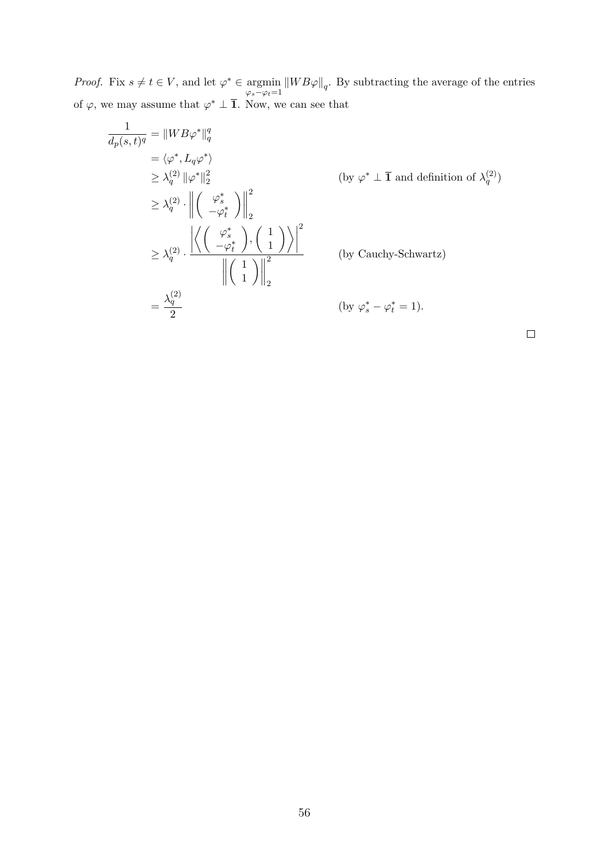*Proof.* Fix  $s \neq t \in V$ , and let  $\varphi^* \in \text{argmin}$ argmin  $||WB\varphi||_q$ . By subtracting the average of the entries  $\varphi_s - \varphi_t = 1$ of  $\varphi$ , we may assume that  $\varphi^* \perp \overline{1}$ . Now, we can see that

$$
\frac{1}{d_p(s,t)^q} = ||WB\varphi^*||_q^q
$$
\n
$$
= \langle \varphi^*, L_q \varphi^* \rangle
$$
\n
$$
\geq \lambda_q^{(2)} ||\varphi^*||_2^2
$$
\n
$$
\geq \lambda_q^{(2)} \cdot \left\| \begin{pmatrix} \varphi_s^* \\ -\varphi_t^* \end{pmatrix} \right\|_2^2
$$
\n
$$
\geq \lambda_q^{(2)} \cdot \left\| \begin{pmatrix} \varphi_s^* \\ -\varphi_t^* \end{pmatrix} \right\|_2^2
$$
\n
$$
\geq \lambda_q^{(2)} \cdot \frac{\left| \left\langle \begin{pmatrix} \varphi_s^* \\ -\varphi_t^* \end{pmatrix}, \begin{pmatrix} 1 \\ 1 \end{pmatrix} \right\rangle \right|^2}{\left\| \begin{pmatrix} 1 \\ 1 \end{pmatrix} \right\|_2^2}
$$
\n
$$
= \frac{\lambda_q^{(2)}}{2}
$$
\n
$$
(by Cauchy-Schwartz)
$$
\n
$$
\left\| \begin{pmatrix} 1 \\ 1 \end{pmatrix} \right\|_2^2
$$
\n
$$
(by \varphi_s^* - \varphi_t^* = 1).
$$

 $\Box$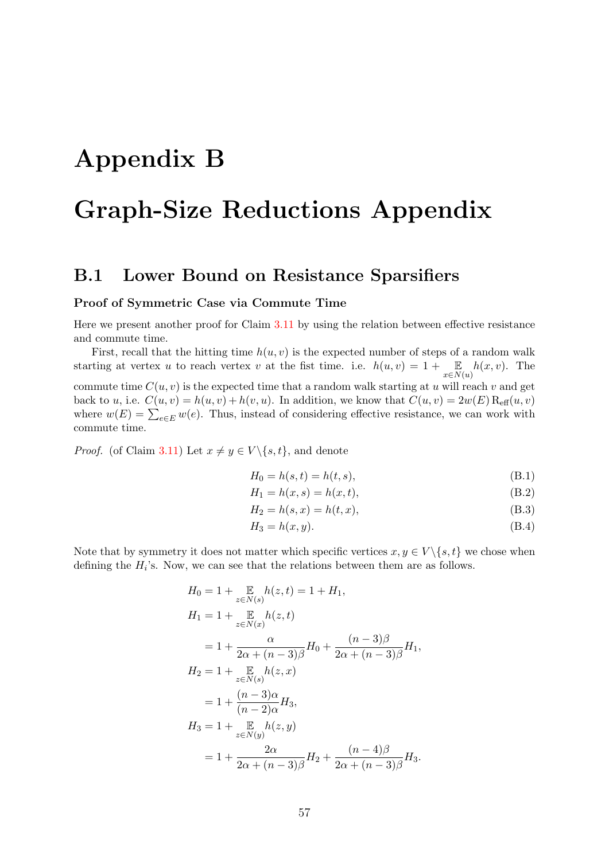# <span id="page-56-0"></span>Appendix B

# Graph-Size Reductions Appendix

### <span id="page-56-1"></span>B.1 Lower Bound on Resistance Sparsifiers

#### <span id="page-56-2"></span>Proof of Symmetric Case via Commute Time

Here we present another proof for Claim [3.11](#page-29-1) by using the relation between effective resistance and commute time.

First, recall that the hitting time  $h(u, v)$  is the expected number of steps of a random walk starting at vertex u to reach vertex v at the fist time. i.e.  $h(u, v) = 1 + \mathbb{E}_{x \in N(u)} h(x, v)$ . The commute time  $C(u, v)$  is the expected time that a random walk starting at u will reach v and get back to u, i.e.  $C(u, v) = h(u, v) + h(v, u)$ . In addition, we know that  $C(u, v) = 2w(E) \operatorname{R_{eff}}(u, v)$ where  $w(E) = \sum_{e \in E} w(e)$ . Thus, instead of considering effective resistance, we can work with commute time.

*Proof.* (of Claim [3.11\)](#page-29-1) Let  $x \neq y \in V \setminus \{s, t\}$ , and denote

$$
H_0 = h(s, t) = h(t, s),
$$
\n(B.1)

$$
H_1 = h(x, s) = h(x, t),
$$
 (B.2)

$$
H_2 = h(s, x) = h(t, x),
$$
 (B.3)

$$
H_3 = h(x, y). \tag{B.4}
$$

Note that by symmetry it does not matter which specific vertices  $x, y \in V \setminus \{s, t\}$  we chose when defining the  $H_i$ 's. Now, we can see that the relations between them are as follows.

$$
H_0 = 1 + \sum_{z \in N(s)} h(z, t) = 1 + H_1,
$$
  
\n
$$
H_1 = 1 + \sum_{z \in N(x)} h(z, t)
$$
  
\n
$$
= 1 + \frac{\alpha}{2\alpha + (n-3)\beta} H_0 + \frac{(n-3)\beta}{2\alpha + (n-3)\beta} H_1,
$$
  
\n
$$
H_2 = 1 + \sum_{z \in N(s)} h(z, x)
$$
  
\n
$$
= 1 + \frac{(n-3)\alpha}{(n-2)\alpha} H_3,
$$
  
\n
$$
H_3 = 1 + \sum_{z \in N(y)} h(z, y)
$$
  
\n
$$
= 1 + \frac{2\alpha}{2\alpha + (n-3)\beta} H_2 + \frac{(n-4)\beta}{2\alpha + (n-3)\beta} H_3.
$$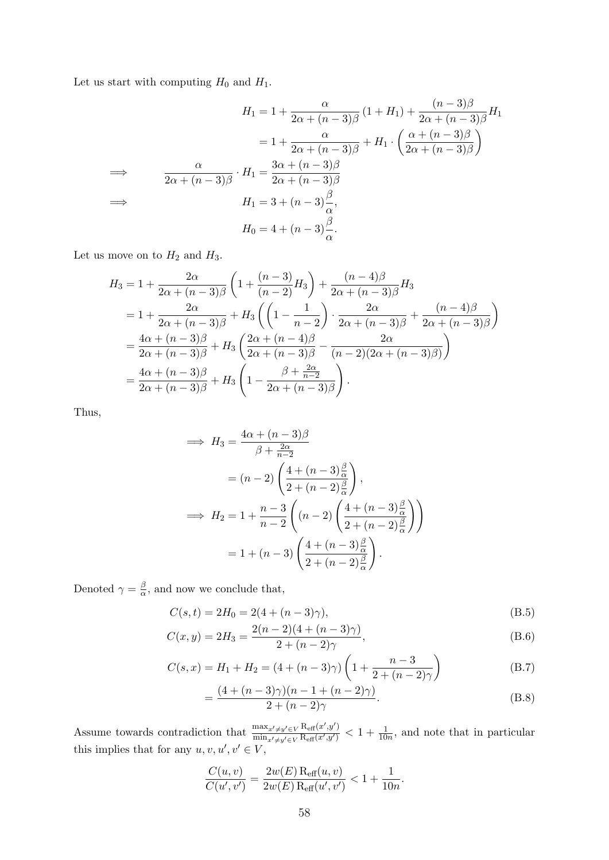Let us start with computing  $H_0$  and  $H_1$ .

$$
H_1 = 1 + \frac{\alpha}{2\alpha + (n-3)\beta} (1 + H_1) + \frac{(n-3)\beta}{2\alpha + (n-3)\beta} H_1
$$
  
\n
$$
= 1 + \frac{\alpha}{2\alpha + (n-3)\beta} + H_1 \cdot \left(\frac{\alpha + (n-3)\beta}{2\alpha + (n-3)\beta}\right)
$$
  
\n
$$
\implies \frac{\alpha}{2\alpha + (n-3)\beta} \cdot H_1 = \frac{3\alpha + (n-3)\beta}{2\alpha + (n-3)\beta}
$$
  
\n
$$
H_1 = 3 + (n-3)\frac{\beta}{\alpha},
$$
  
\n
$$
H_0 = 4 + (n-3)\frac{\beta}{\alpha}.
$$

Let us move on to  ${\cal H}_2$  and  ${\cal H}_3.$ 

$$
H_3 = 1 + \frac{2\alpha}{2\alpha + (n-3)\beta} \left( 1 + \frac{(n-3)}{(n-2)} H_3 \right) + \frac{(n-4)\beta}{2\alpha + (n-3)\beta} H_3
$$
  
=  $1 + \frac{2\alpha}{2\alpha + (n-3)\beta} + H_3 \left( \left( 1 - \frac{1}{n-2} \right) \cdot \frac{2\alpha}{2\alpha + (n-3)\beta} + \frac{(n-4)\beta}{2\alpha + (n-3)\beta} \right)$   
=  $\frac{4\alpha + (n-3)\beta}{2\alpha + (n-3)\beta} + H_3 \left( \frac{2\alpha + (n-4)\beta}{2\alpha + (n-3)\beta} - \frac{2\alpha}{(n-2)(2\alpha + (n-3)\beta)} \right)$   
=  $\frac{4\alpha + (n-3)\beta}{2\alpha + (n-3)\beta} + H_3 \left( 1 - \frac{\beta + \frac{2\alpha}{n-2}}{2\alpha + (n-3)\beta} \right).$ 

Thus,

$$
\implies H_3 = \frac{4\alpha + (n-3)\beta}{\beta + \frac{2\alpha}{n-2}}
$$
  
=  $(n-2) \left( \frac{4 + (n-3)\frac{\beta}{\alpha}}{2 + (n-2)\frac{\beta}{\alpha}} \right)$ ,  

$$
\implies H_2 = 1 + \frac{n-3}{n-2} \left( (n-2) \left( \frac{4 + (n-3)\frac{\beta}{\alpha}}{2 + (n-2)\frac{\beta}{\alpha}} \right) \right)
$$
  
=  $1 + (n-3) \left( \frac{4 + (n-3)\frac{\beta}{\alpha}}{2 + (n-2)\frac{\beta}{\alpha}} \right)$ .

Denoted  $\gamma = \frac{\beta}{\alpha}$  $\frac{\beta}{\alpha}$ , and now we conclude that,

$$
C(s,t) = 2H_0 = 2(4 + (n-3)\gamma),
$$
\n(B.5)

$$
C(x,y) = 2H_3 = \frac{2(n-2)(4 + (n-3)\gamma)}{2 + (n-2)\gamma},
$$
\n(B.6)

$$
C(s,x) = H_1 + H_2 = (4 + (n-3)\gamma) \left(1 + \frac{n-3}{2 + (n-2)\gamma}\right)
$$
 (B.7)

$$
= \frac{(4 + (n-3)\gamma)(n-1 + (n-2)\gamma)}{2 + (n-2)\gamma}.
$$
 (B.8)

Assume towards contradiction that  $\frac{\max_{x'\neq y'\in V} R_{\text{eff}}(x',y')}{\min_{x\in V} R_{\text{eff}}(x',y')}$  $\frac{\max_{x'\neq y'\in V} \operatorname{R_{eff}}(x',y')}{\min_{x'\neq y'\in V} \operatorname{R_{eff}}(x',y')} < 1 + \frac{1}{10n}$ , and note that in particular this implies that for any  $u, v, u', v' \in V$ ,

$$
\frac{C(u, v)}{C(u', v')} = \frac{2w(E) \operatorname{R_{eff}}(u, v)}{2w(E) \operatorname{R_{eff}}(u', v')} < 1 + \frac{1}{10n}.
$$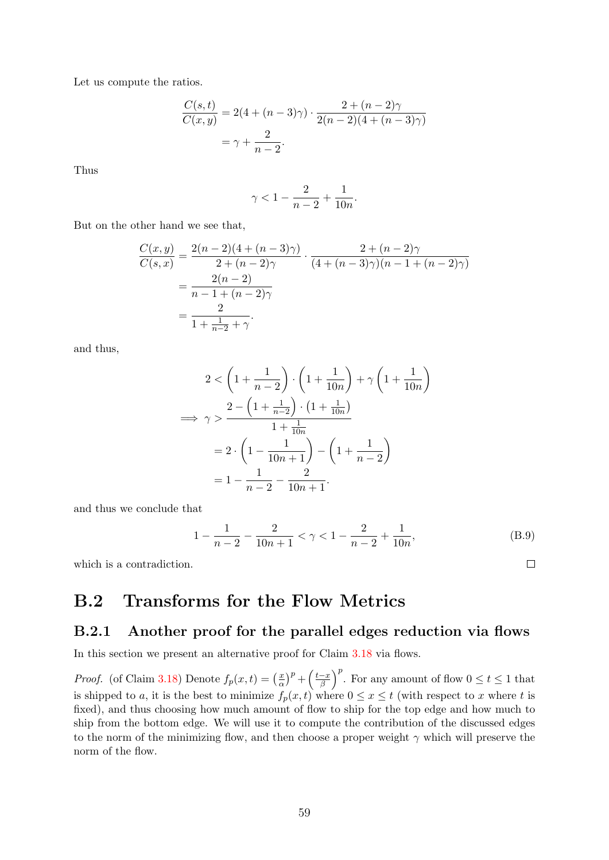Let us compute the ratios.

$$
\frac{C(s,t)}{C(x,y)} = 2(4 + (n-3)\gamma) \cdot \frac{2 + (n-2)\gamma}{2(n-2)(4 + (n-3)\gamma)}
$$

$$
= \gamma + \frac{2}{n-2}.
$$

Thus

$$
\gamma<1-\frac{2}{n-2}+\frac{1}{10n}.
$$

But on the other hand we see that,

$$
\frac{C(x,y)}{C(s,x)} = \frac{2(n-2)(4 + (n-3)\gamma)}{2 + (n-2)\gamma} \cdot \frac{2 + (n-2)\gamma}{(4 + (n-3)\gamma)(n-1 + (n-2)\gamma)}
$$

$$
= \frac{2(n-2)}{n-1 + (n-2)\gamma}
$$

$$
= \frac{2}{1 + \frac{1}{n-2} + \gamma}.
$$

and thus,

$$
2 < \left(1 + \frac{1}{n-2}\right) \cdot \left(1 + \frac{1}{10n}\right) + \gamma \left(1 + \frac{1}{10n}\right)
$$
  

$$
\implies \gamma > \frac{2 - \left(1 + \frac{1}{n-2}\right) \cdot \left(1 + \frac{1}{10n}\right)}{1 + \frac{1}{10n}}
$$
  

$$
= 2 \cdot \left(1 - \frac{1}{10n+1}\right) - \left(1 + \frac{1}{n-2}\right)
$$
  

$$
= 1 - \frac{1}{n-2} - \frac{2}{10n+1}.
$$

and thus we conclude that

$$
1 - \frac{1}{n-2} - \frac{2}{10n+1} < \gamma < 1 - \frac{2}{n-2} + \frac{1}{10n},\tag{B.9}
$$

which is a contradiction.

### <span id="page-58-0"></span>B.2 Transforms for the Flow Metrics

#### <span id="page-58-1"></span>B.2.1 Another proof for the parallel edges reduction via flows

In this section we present an alternative proof for Claim [3.18](#page-38-2) via flows.

*Proof.* (of Claim [3.18\)](#page-38-2) Denote  $f_p(x,t) = \left(\frac{x}{g}\right)^2$  $\left(\frac{x}{\alpha}\right)^p + \left(\frac{t-x}{\beta}\right)$  $\left(\frac{-x}{\beta}\right)^p$ . For any amount of flow  $0 \le t \le 1$  that is shipped to a, it is the best to minimize  $f_p(x, t)$  where  $0 \le x \le t$  (with respect to x where t is fixed), and thus choosing how much amount of flow to ship for the top edge and how much to ship from the bottom edge. We will use it to compute the contribution of the discussed edges to the norm of the minimizing flow, and then choose a proper weight  $\gamma$  which will preserve the norm of the flow.

 $\Box$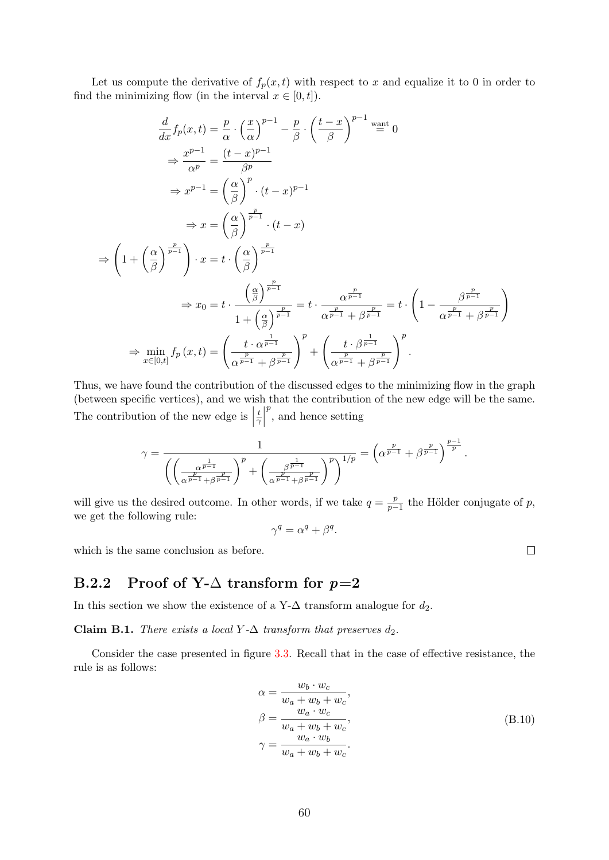Let us compute the derivative of  $f_p(x, t)$  with respect to x and equalize it to 0 in order to find the minimizing flow (in the interval  $x \in [0, t]$ ).

$$
\frac{d}{dx}f_p(x,t) = \frac{p}{\alpha} \cdot \left(\frac{x}{\alpha}\right)^{p-1} - \frac{p}{\beta} \cdot \left(\frac{t-x}{\beta}\right)^{p-1} \stackrel{\text{want}}{=} 0
$$
\n
$$
\Rightarrow \frac{x^{p-1}}{\alpha^p} = \frac{(t-x)^{p-1}}{\beta^p}
$$
\n
$$
\Rightarrow x^{p-1} = \left(\frac{\alpha}{\beta}\right)^p \cdot (t-x)^{p-1}
$$
\n
$$
\Rightarrow x = \left(\frac{\alpha}{\beta}\right)^{\frac{p}{p-1}} \cdot (t-x)
$$
\n
$$
\Rightarrow \left(1 + \left(\frac{\alpha}{\beta}\right)^{\frac{p}{p-1}}\right) \cdot x = t \cdot \left(\frac{\alpha}{\beta}\right)^{\frac{p}{p-1}}
$$
\n
$$
\Rightarrow x_0 = t \cdot \frac{\left(\frac{\alpha}{\beta}\right)^{\frac{p}{p-1}}}{1 + \left(\frac{\alpha}{\beta}\right)^{\frac{p}{p-1}}} = t \cdot \frac{\alpha^{\frac{p}{p-1}}}{\alpha^{\frac{p}{p-1}} + \beta^{\frac{p}{p-1}}} = t \cdot \left(1 - \frac{\beta^{\frac{p}{p-1}}}{\alpha^{\frac{p}{p-1}} + \beta^{\frac{p}{p-1}}}\right)
$$
\n
$$
\Rightarrow \min_{x \in [0,t]} f_p(x,t) = \left(\frac{t \cdot \alpha^{\frac{1}{p-1}}}{\alpha^{\frac{p}{p-1}} + \beta^{\frac{p}{p-1}}}\right)^p + \left(\frac{t \cdot \beta^{\frac{1}{p-1}}}{\alpha^{\frac{p}{p-1}} + \beta^{\frac{p}{p-1}}}\right)^p.
$$

Thus, we have found the contribution of the discussed edges to the minimizing flow in the graph (between specific vertices), and we wish that the contribution of the new edge will be the same. The contribution of the new edge is  $\Big|$ t  $rac{t}{\gamma}$  $p^{p}$ , and hence setting

$$
\gamma=\frac{1}{\left(\left(\frac{\alpha^{\frac{1}{p-1}}}{\alpha^{\frac{p}{p-1}}+\beta^{\frac{p}{p-1}}}\right)^p+\left(\frac{\beta^{\frac{1}{p-1}}}{\alpha^{\frac{p}{p-1}}+\beta^{\frac{p}{p-1}}}\right)^p\right)^{1/p}}=\left(\alpha^{\frac{p}{p-1}}+\beta^{\frac{p}{p-1}}\right)^{\frac{p-1}{p}}.
$$

will give us the desired outcome. In other words, if we take  $q = \frac{p}{n-1}$  $\frac{p}{p-1}$  the Hölder conjugate of p, we get the following rule:

$$
\gamma^q = \alpha^q + \beta^q.
$$

which is the same conclusion as before.

#### <span id="page-59-0"></span>B.2.2 Proof of Y- $\Delta$  transform for  $p=2$

In this section we show the existence of a Y- $\Delta$  transform analogue for  $d_2$ .

<span id="page-59-1"></span>Claim B.1. There exists a local Y- $\Delta$  transform that preserves  $d_2$ .

Consider the case presented in figure [3.3.](#page-39-0) Recall that in the case of effective resistance, the rule is as follows:

$$
\alpha = \frac{w_b \cdot w_c}{w_a + w_b + w_c},
$$
  
\n
$$
\beta = \frac{w_a \cdot w_c}{w_a + w_b + w_c},
$$
  
\n
$$
\gamma = \frac{w_a \cdot w_b}{w_a + w_b + w_c}.
$$
\n(B.10)

 $\Box$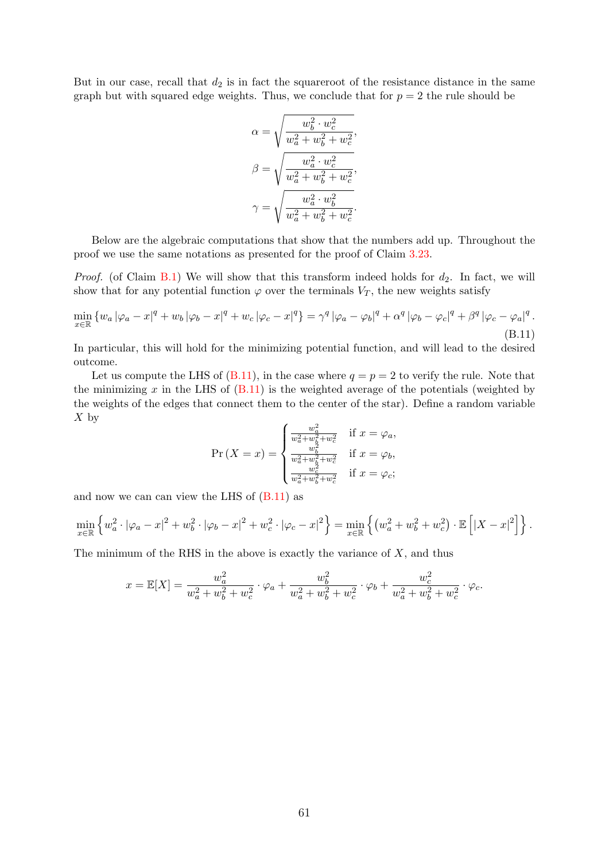But in our case, recall that  $d_2$  is in fact the squareroot of the resistance distance in the same graph but with squared edge weights. Thus, we conclude that for  $p = 2$  the rule should be

<span id="page-60-0"></span>
$$
\alpha = \sqrt{\frac{w_b^2 \cdot w_c^2}{w_a^2 + w_b^2 + w_c^2}},
$$

$$
\beta = \sqrt{\frac{w_a^2 \cdot w_c^2}{w_a^2 + w_b^2 + w_c^2}},
$$

$$
\gamma = \sqrt{\frac{w_a^2 \cdot w_b^2}{w_a^2 + w_b^2 + w_c^2}}.
$$

Below are the algebraic computations that show that the numbers add up. Throughout the proof we use the same notations as presented for the proof of Claim [3.23.](#page-40-0)

*Proof.* (of Claim [B.1\)](#page-59-1) We will show that this transform indeed holds for  $d_2$ . In fact, we will show that for any potential function  $\varphi$  over the terminals  $V_T$ , the new weights satisfy

$$
\min_{x \in \mathbb{R}} \left\{ w_a \left| \varphi_a - x \right|^q + w_b \left| \varphi_b - x \right|^q + w_c \left| \varphi_c - x \right|^q \right\} = \gamma^q \left| \varphi_a - \varphi_b \right|^q + \alpha^q \left| \varphi_b - \varphi_c \right|^q + \beta^q \left| \varphi_c - \varphi_a \right|^q.
$$
\n(B.11)

In particular, this will hold for the minimizing potential function, and will lead to the desired outcome.

Let us compute the LHS of  $(B.11)$ , in the case where  $q = p = 2$  to verify the rule. Note that the minimizing  $x$  in the LHS of  $(B.11)$  is the weighted average of the potentials (weighted by the weights of the edges that connect them to the center of the star). Define a random variable  $X$  by

$$
\Pr(X = x) = \begin{cases} \frac{w_a^2}{w_a^2 + w_b^2 + w_c^2} & \text{if } x = \varphi_a, \\ \frac{w_b^2}{w_a^2 + w_b^2 + w_c^2} & \text{if } x = \varphi_b, \\ \frac{w_c^2}{w_a^2 + w_b^2 + w_c^2} & \text{if } x = \varphi_c; \end{cases}
$$

and now we can can view the LHS of  $(B.11)$  as

$$
\min_{x \in \mathbb{R}} \left\{ w_a^2 \cdot |\varphi_a - x|^2 + w_b^2 \cdot |\varphi_b - x|^2 + w_c^2 \cdot |\varphi_c - x|^2 \right\} = \min_{x \in \mathbb{R}} \left\{ \left( w_a^2 + w_b^2 + w_c^2 \right) \cdot \mathbb{E} \left[ |X - x|^2 \right] \right\}.
$$

The minimum of the RHS in the above is exactly the variance of  $X$ , and thus

$$
x = \mathbb{E}[X] = \frac{w_a^2}{w_a^2 + w_b^2 + w_c^2} \cdot \varphi_a + \frac{w_b^2}{w_a^2 + w_b^2 + w_c^2} \cdot \varphi_b + \frac{w_c^2}{w_a^2 + w_b^2 + w_c^2} \cdot \varphi_c.
$$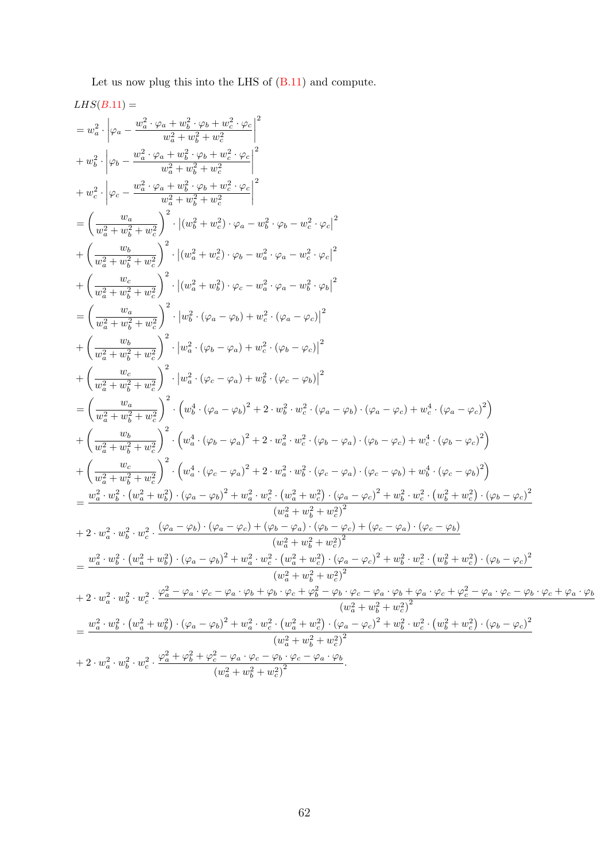Let us now plug this into the LHS of [\(B.11\)](#page-60-0) and compute.

$$
\begin{split} LHS(B,11)&=\\&=w_{a}^{2}\cdot\left|\varphi_{a}-\frac{w_{a}^{2}\cdot\varphi_{a}+w_{b}^{2}\cdot\varphi_{b}+w_{c}^{2}\cdot\varphi_{c}}{w_{a}^{2}+w_{b}^{2}+w_{c}^{2}}\right|^{2}\\&+w_{b}^{2}\cdot\left|\varphi_{b}-\frac{w_{a}^{2}\cdot\varphi_{a}+w_{b}^{2}\cdot\varphi_{b}+w_{c}^{2}\cdot\varphi_{c}}{w_{a}^{2}+w_{b}^{2}+w_{c}^{2}}\right|^{2}\\&+\omega_{c}^{2}\cdot\left|\varphi_{c}-\frac{w_{a}^{2}\cdot\varphi_{a}+w_{b}^{2}\cdot\varphi_{b}+w_{c}^{2}\cdot\varphi_{c}}{w_{a}^{2}+w_{c}^{2}+w_{c}^{2}}\right|^{2}\\&=\left(\frac{w_{a}}{w_{a}^{2}+w_{b}^{2}+w_{c}^{2}}\right)^{2}\cdot\left|(w_{a}^{2}+w_{c}^{2})\cdot\varphi_{b}-w_{a}^{2}\cdot\varphi_{b}-w_{c}^{2}\cdot\varphi_{c}\right|^{2}\\&+\left(\frac{w_{b}}{w_{a}^{2}+w_{b}^{2}+w_{c}^{2}}\right)^{2}\cdot\left|(w_{a}^{2}+w_{b}^{2})\cdot\varphi_{c}-w_{a}^{2}\cdot\varphi_{a}-w_{c}^{2}\cdot\varphi_{c}\right|^{2}\\&+\left(\frac{w_{c}}{w_{a}^{2}+w_{b}^{2}+w_{c}^{2}}\right)^{2}\cdot\left|(w_{a}^{2}+w_{b}^{2})\cdot\varphi_{c}-w_{a}^{2}\cdot\varphi_{a}-w_{b}^{2}\cdot\varphi_{b}\right|^{2}\\&=\left(\frac{w_{a}}{w_{a}^{2}+w_{b}^{2}+w_{c}^{2}}\right)^{2}\cdot\left|w_{a}^{2}\cdot(\varphi_{a}-\varphi_{a})+w_{c}^{2}\cdot(\varphi_{a}-\varphi_{c})\right|^{2}\\&+\left(\frac{w_{b}}{w_{a}^{2}+w_{b}^{2}+w_{c}^{2}}\right)^{2}\cdot\left|w_{a}^{2}\cdot(\varphi_{c}-\varphi_{a})+w_{c}^{
$$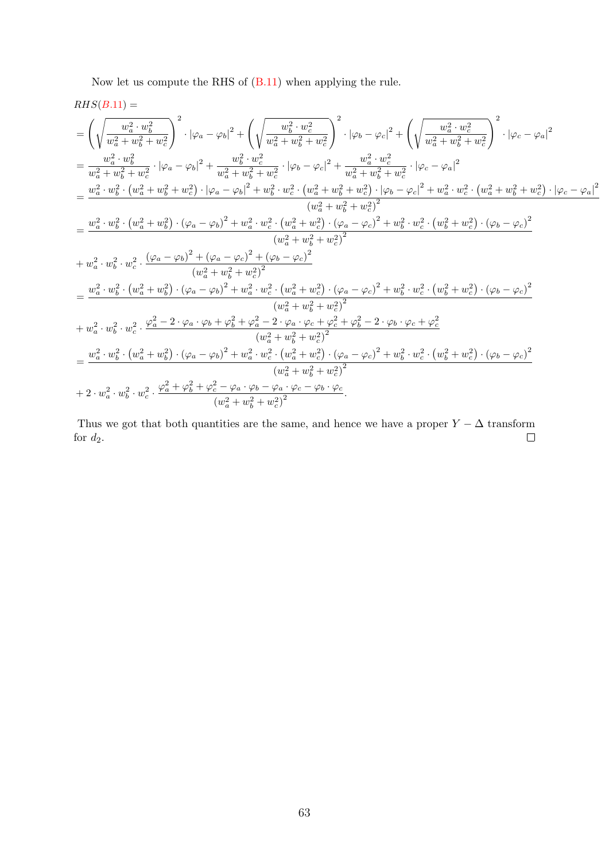Now let us compute the RHS of [\(B.11\)](#page-60-0) when applying the rule.

$$
RHS(B.11) =
$$
\n
$$
= \left(\sqrt{\frac{w_a^2 \cdot w_b^2}{w_a^2 + w_b^2 + w_c^2}}\right)^2 \cdot |\varphi_a - \varphi_b|^2 + \left(\sqrt{\frac{w_b^2 \cdot w_c^2}{w_a^2 + w_b^2 + w_c^2}}\right)^2 \cdot |\varphi_b - \varphi_c|^2 + \left(\sqrt{\frac{w_a^2 \cdot w_c^2}{w_a^2 + w_b^2 + w_c^2}}\right)^2 \cdot |\varphi_c - \varphi_a|^2
$$
\n
$$
= \frac{w_a^2 \cdot w_b^2}{w_a^2 + w_b^2 + w_c^2} \cdot |\varphi_a - \varphi_b|^2 + \frac{w_b^2 \cdot w_c^2}{w_a^2 + w_c^2 + w_c^2} \cdot |\varphi_b - \varphi_c|^2 + \frac{w_a^2 \cdot w_c^2}{w_a^2 + w_b^2 + w_c^2} \cdot |\varphi_c - \varphi_a|^2
$$
\n
$$
= \frac{w_a^2 \cdot w_b^2 \cdot (w_a^2 + w_b^2 + w_c^2) \cdot |\varphi_a - \varphi_b|^2 + w_b^2 \cdot w_c^2 \cdot (w_a^2 + w_b^2 + w_c^2) \cdot |\varphi_b - \varphi_c|^2 + w_a^2 \cdot w_c^2 \cdot (w_a^2 + w_b^2 + w_c^2) \cdot |\varphi_c - \varphi_a|^2}{(w_a^2 + w_b^2 + w_c^2)^2}
$$
\n
$$
= \frac{w_a^2 \cdot w_b^2 \cdot (w_a^2 + w_b^2) \cdot (\varphi_a - \varphi_b)^2 + w_a^2 \cdot w_c^2 \cdot (w_a^2 + w_c^2) \cdot (\varphi_a - \varphi_c)^2 + w_b^2 \cdot w_c^2 \cdot (w_b^2 + w_c^2) \cdot (\varphi_b - \varphi_c)^2}{(w_a^2 + w_b^2 + w_c^2)^2}
$$
\n
$$
+ w_a^2 \cdot w_b^2 \cdot w_c^2 \cdot \frac{(\varphi_a - \varphi_b)^2 + (\varphi_a - \varphi_c)^2 + (\varphi_b - \varphi_c)^2}{(w_a^2 + w_b^2 + w_c^2)^2}
$$
\n
$$
= \frac{w_a^2 \cdot w_b^2 \cdot (w_a^2 + w_b^2) \cdot (\varphi_a - \varphi_b)^2 + w_a^2 \cdot w_c^2 \cdot (w
$$

Thus we got that both quantities are the same, and hence we have a proper  $Y - \Delta$  transform for  $d_2.$  $\Box$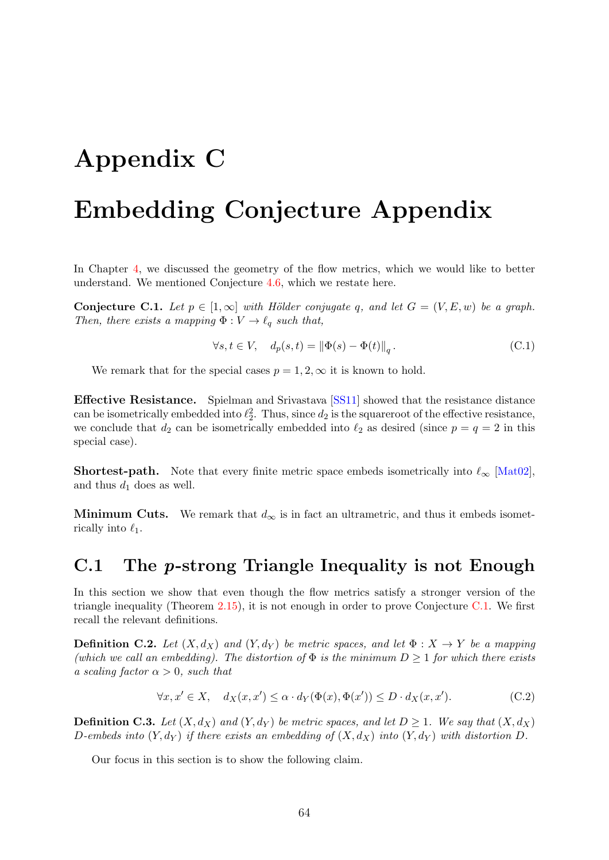# <span id="page-63-0"></span>Appendix C

# Embedding Conjecture Appendix

In Chapter [4,](#page-46-0) we discussed the geometry of the flow metrics, which we would like to better understand. We mentioned Conjecture [4.6,](#page-47-0) which we restate here.

<span id="page-63-2"></span>**Conjecture C.1.** Let  $p \in [1,\infty]$  with Hölder conjugate q, and let  $G = (V, E, w)$  be a graph. Then, there exists a mapping  $\Phi : V \to \ell_q$  such that,

$$
\forall s, t \in V, \quad d_p(s, t) = \left\| \Phi(s) - \Phi(t) \right\|_q. \tag{C.1}
$$

We remark that for the special cases  $p = 1, 2, \infty$  it is known to hold.

Effective Resistance. Spielman and Srivastava [\[SS11\]](#page-52-3) showed that the resistance distance can be isometrically embedded into  $\ell_2^2$ . Thus, since  $d_2$  is the squareroot of the effective resistance, we conclude that  $d_2$  can be isometrically embedded into  $\ell_2$  as desired (since  $p = q = 2$  in this special case).

**Shortest-path.** Note that every finite metric space embeds isometrically into  $\ell_{\infty}$  [\[Mat02\]](#page-51-1), and thus  $d_1$  does as well.

Minimum Cuts. We remark that  $d_{\infty}$  is in fact an ultrametric, and thus it embeds isometrically into  $\ell_1$ .

### <span id="page-63-1"></span>C.1 The p-strong Triangle Inequality is not Enough

In this section we show that even though the flow metrics satisfy a stronger version of the triangle inequality (Theorem [2.15\)](#page-17-3), it is not enough in order to prove Conjecture [C.1.](#page-63-2) We first recall the relevant definitions.

**Definition C.2.** Let  $(X, d_X)$  and  $(Y, d_Y)$  be metric spaces, and let  $\Phi: X \to Y$  be a mapping (which we call an embedding). The distortion of  $\Phi$  is the minimum  $D \geq 1$  for which there exists a scaling factor  $\alpha > 0$ , such that

$$
\forall x, x' \in X, \quad d_X(x, x') \le \alpha \cdot d_Y(\Phi(x), \Phi(x')) \le D \cdot d_X(x, x'). \tag{C.2}
$$

**Definition C.3.** Let  $(X, d_X)$  and  $(Y, d_Y)$  be metric spaces, and let  $D \ge 1$ . We say that  $(X, d_X)$ D-embeds into  $(Y, d_Y)$  if there exists an embedding of  $(X, d_X)$  into  $(Y, d_Y)$  with distortion D.

Our focus in this section is to show the following claim.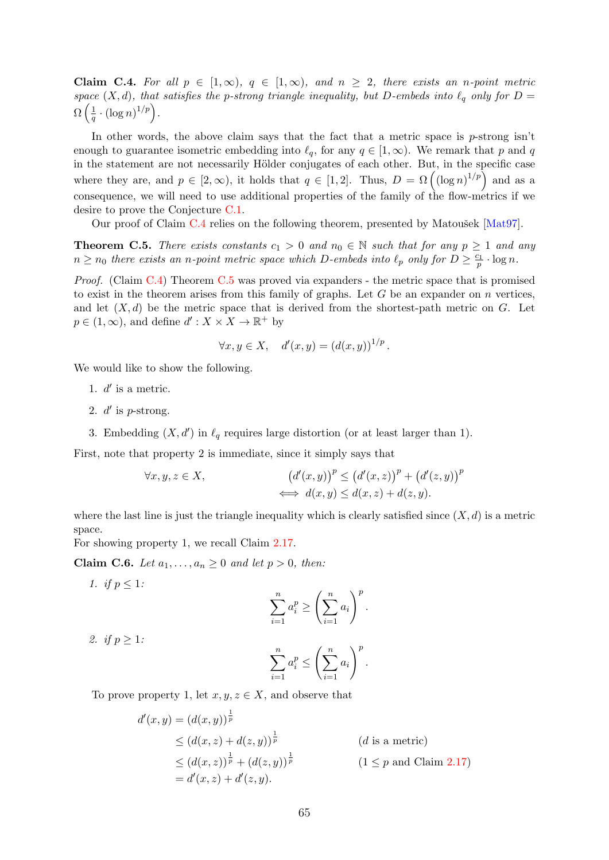<span id="page-64-0"></span>**Claim C.4.** For all  $p \in [1,\infty)$ ,  $q \in [1,\infty)$ , and  $n \geq 2$ , there exists an n-point metric space  $(X, d)$ , that satisfies the p-strong triangle inequality, but D-embeds into  $\ell_q$  only for D =  $\Omega\left(\frac{1}{a}\right)$  $\frac{1}{q} \cdot (\log n)^{1/p}$ .

In other words, the above claim says that the fact that a metric space is  $p$ -strong isn't enough to guarantee isometric embedding into  $\ell_q$ , for any  $q \in [1, \infty)$ . We remark that p and q in the statement are not necessarily Hölder conjugates of each other. But, in the specific case where they are, and  $p \in [2,\infty)$ , it holds that  $q \in [1,2]$ . Thus,  $D = \Omega((\log n)^{1/p})$  and as a consequence, we will need to use additional properties of the family of the flow-metrics if we desire to prove the Conjecture [C.1.](#page-63-2)

Our proof of Claim [C.4](#page-64-0) relies on the following theorem, presented by Matoušek  $[Mat97]$ .

<span id="page-64-1"></span>**Theorem C.5.** There exists constants  $c_1 > 0$  and  $n_0 \in \mathbb{N}$  such that for any  $p \ge 1$  and any  $n \ge n_0$  there exists an n-point metric space which D-embeds into  $\ell_p$  only for  $D \ge \frac{c_1}{p} \cdot \log n$ .

Proof. (Claim [C.4\)](#page-64-0) Theorem [C.5](#page-64-1) was proved via expanders - the metric space that is promised to exist in the theorem arises from this family of graphs. Let  $G$  be an expander on  $n$  vertices, and let  $(X, d)$  be the metric space that is derived from the shortest-path metric on G. Let  $p \in (1, \infty)$ , and define  $d' : X \times X \to \mathbb{R}^+$  by

$$
\forall x, y \in X, \quad d'(x, y) = (d(x, y))^{1/p}.
$$

We would like to show the following.

- 1.  $d'$  is a metric.
- 2.  $d'$  is p-strong.
- 3. Embedding  $(X, d')$  in  $\ell_q$  requires large distortion (or at least larger than 1).

First, note that property 2 is immediate, since it simply says that

$$
\forall x, y, z \in X,
$$
  

$$
(d'(x, y))^p \le (d'(x, z))^p + (d'(z, y))^p
$$
  

$$
\iff d(x, y) \le d(x, z) + d(z, y).
$$

where the last line is just the triangle inequality which is clearly satisfied since  $(X, d)$  is a metric space.

For showing property 1, we recall Claim [2.17.](#page-20-0)

Claim C.6. Let  $a_1, \ldots, a_n \geq 0$  and let  $p > 0$ , then:

- 1. *if*  $p \leq 1$ :  $\sum_{n=1}^{\infty}$  $i=1$  $a_i^p \geq \left(\sum^n\right)$  $i=1$  $a_i$  $\setminus^p$ .
- 2. *if*  $p \geq 1$ :

$$
\sum_{i=1}^n a_i^p \le \left(\sum_{i=1}^n a_i\right)^p.
$$

To prove property 1, let  $x, y, z \in X$ , and observe that

$$
d'(x, y) = (d(x, y))^{\frac{1}{p}}
$$
  
\n
$$
\leq (d(x, z) + d(z, y))^{\frac{1}{p}}
$$
 (*d* is a metric)  
\n
$$
\leq (d(x, z))^{\frac{1}{p}} + (d(z, y))^{\frac{1}{p}}
$$
 (*1*  $\leq$  *p* and Claim 2.17)  
\n
$$
= d'(x, z) + d'(z, y).
$$